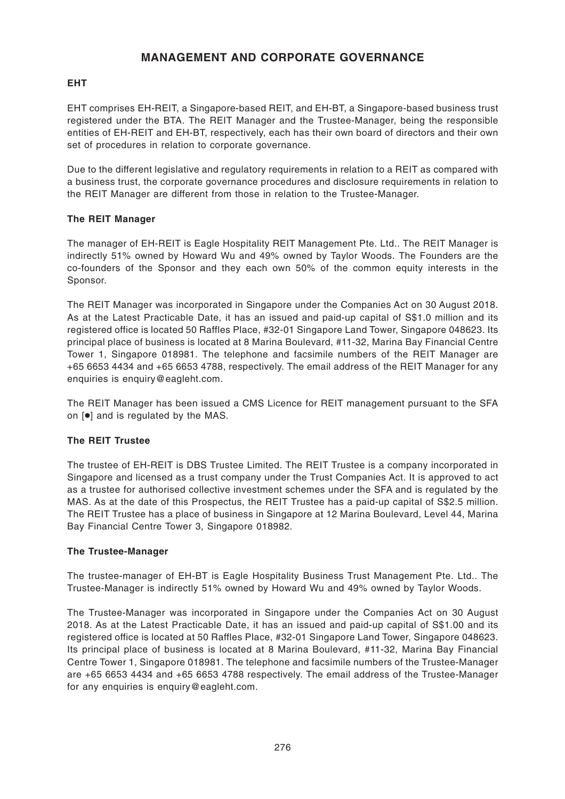# **MANAGEMENT AND CORPORATE GOVERNANCE**

# **EHT**

EHT comprises EH-REIT, a Singapore-based REIT, and EH-BT, a Singapore-based business trust registered under the BTA. The REIT Manager and the Trustee-Manager, being the responsible entities of EH-REIT and EH-BT, respectively, each has their own board of directors and their own set of procedures in relation to corporate governance.

Due to the different legislative and regulatory requirements in relation to a REIT as compared with a business trust, the corporate governance procedures and disclosure requirements in relation to the REIT Manager are different from those in relation to the Trustee-Manager.

# **The REIT Manager**

The manager of EH-REIT is Eagle Hospitality REIT Management Pte. Ltd.. The REIT Manager is indirectly 51% owned by Howard Wu and 49% owned by Taylor Woods. The Founders are the co-founders of the Sponsor and they each own 50% of the common equity interests in the Sponsor.

The REIT Manager was incorporated in Singapore under the Companies Act on 30 August 2018. As at the Latest Practicable Date, it has an issued and paid-up capital of S\$1.0 million and its registered office is located 50 Raffles Place, #32-01 Singapore Land Tower, Singapore 048623. Its principal place of business is located at 8 Marina Boulevard, #11-32, Marina Bay Financial Centre Tower 1, Singapore 018981. The telephone and facsimile numbers of the REIT Manager are +65 6653 4434 and +65 6653 4788, respectively. The email address of the REIT Manager for any enquiries is enquiry@eagleht.com.

The REIT Manager has been issued a CMS Licence for REIT management pursuant to the SFA on [●] and is regulated by the MAS.

# **The REIT Trustee**

The trustee of EH-REIT is DBS Trustee Limited. The REIT Trustee is a company incorporated in Singapore and licensed as a trust company under the Trust Companies Act. It is approved to act as a trustee for authorised collective investment schemes under the SFA and is regulated by the MAS. As at the date of this Prospectus, the REIT Trustee has a paid-up capital of S\$2.5 million. The REIT Trustee has a place of business in Singapore at 12 Marina Boulevard, Level 44, Marina Bay Financial Centre Tower 3, Singapore 018982.

#### **The Trustee-Manager**

The trustee-manager of EH-BT is Eagle Hospitality Business Trust Management Pte. Ltd.. The Trustee-Manager is indirectly 51% owned by Howard Wu and 49% owned by Taylor Woods.

The Trustee-Manager was incorporated in Singapore under the Companies Act on 30 August 2018. As at the Latest Practicable Date, it has an issued and paid-up capital of S\$1.00 and its registered office is located at 50 Raffles Place, #32-01 Singapore Land Tower, Singapore 048623. Its principal place of business is located at 8 Marina Boulevard, #11-32, Marina Bay Financial Centre Tower 1, Singapore 018981. The telephone and facsimile numbers of the Trustee-Manager are +65 6653 4434 and +65 6653 4788 respectively. The email address of the Trustee-Manager for any enquiries is enquiry@eagleht.com.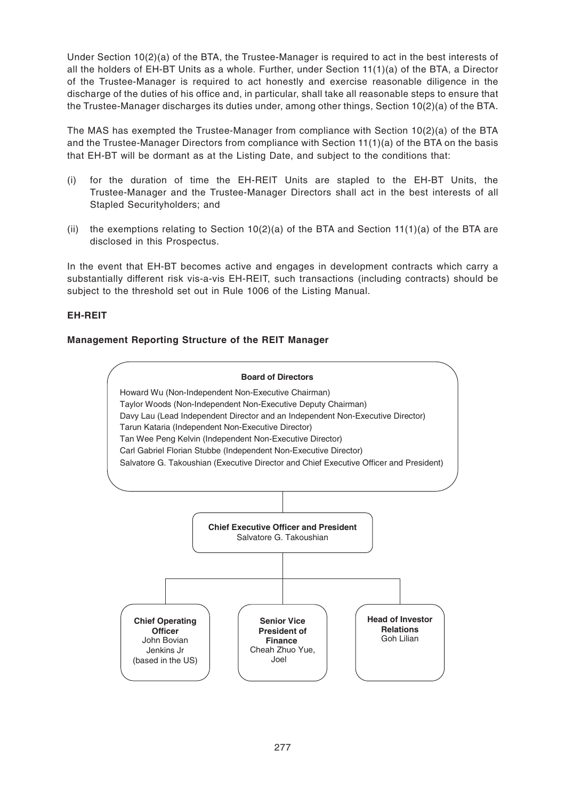Under Section 10(2)(a) of the BTA, the Trustee-Manager is required to act in the best interests of all the holders of EH-BT Units as a whole. Further, under Section 11(1)(a) of the BTA, a Director of the Trustee-Manager is required to act honestly and exercise reasonable diligence in the discharge of the duties of his office and, in particular, shall take all reasonable steps to ensure that the Trustee-Manager discharges its duties under, among other things, Section 10(2)(a) of the BTA.

The MAS has exempted the Trustee-Manager from compliance with Section 10(2)(a) of the BTA and the Trustee-Manager Directors from compliance with Section 11(1)(a) of the BTA on the basis that EH-BT will be dormant as at the Listing Date, and subject to the conditions that:

- (i) for the duration of time the EH-REIT Units are stapled to the EH-BT Units, the Trustee-Manager and the Trustee-Manager Directors shall act in the best interests of all Stapled Securityholders; and
- (ii) the exemptions relating to Section  $10(2)(a)$  of the BTA and Section  $11(1)(a)$  of the BTA are disclosed in this Prospectus.

In the event that EH-BT becomes active and engages in development contracts which carry a substantially different risk vis-a-vis EH-REIT, such transactions (including contracts) should be subject to the threshold set out in Rule 1006 of the Listing Manual.

# **EH-REIT**

# **Management Reporting Structure of the REIT Manager**

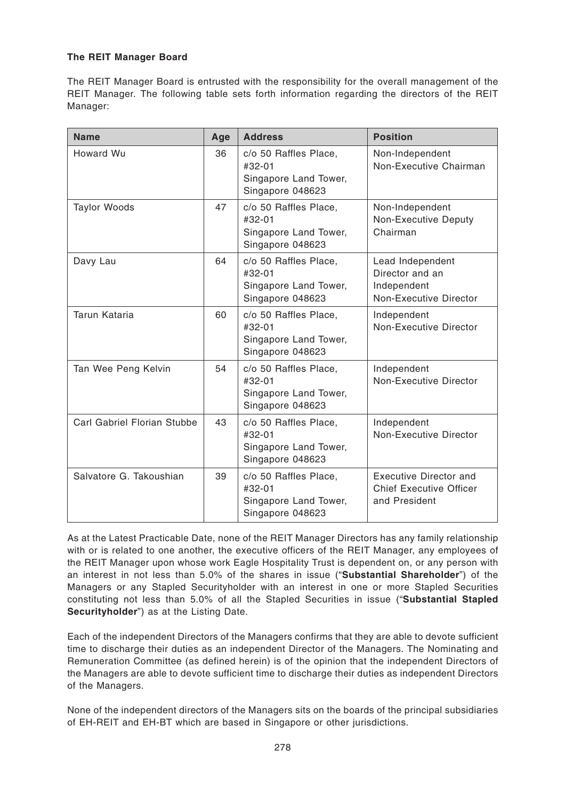# **The REIT Manager Board**

The REIT Manager Board is entrusted with the responsibility for the overall management of the REIT Manager. The following table sets forth information regarding the directors of the REIT Manager:

| <b>Name</b>                 | Age | <b>Address</b>                                                               | <b>Position</b>                                                                     |
|-----------------------------|-----|------------------------------------------------------------------------------|-------------------------------------------------------------------------------------|
| Howard Wu                   | 36  | c/o 50 Raffles Place,<br>#32-01<br>Singapore Land Tower,<br>Singapore 048623 | Non-Independent<br>Non-Executive Chairman                                           |
| <b>Taylor Woods</b>         | 47  | c/o 50 Raffles Place,<br>#32-01<br>Singapore Land Tower,<br>Singapore 048623 | Non-Independent<br>Non-Executive Deputy<br>Chairman                                 |
| Davy Lau                    | 64  | c/o 50 Raffles Place,<br>#32-01<br>Singapore Land Tower,<br>Singapore 048623 | Lead Independent<br>Director and an<br>Independent<br><b>Non-Executive Director</b> |
| Tarun Kataria               | 60  | c/o 50 Raffles Place,<br>#32-01<br>Singapore Land Tower,<br>Singapore 048623 | Independent<br>Non-Executive Director                                               |
| Tan Wee Peng Kelvin         | 54  | c/o 50 Raffles Place,<br>#32-01<br>Singapore Land Tower,<br>Singapore 048623 | Independent<br><b>Non-Executive Director</b>                                        |
| Carl Gabriel Florian Stubbe | 43  | c/o 50 Raffles Place,<br>#32-01<br>Singapore Land Tower,<br>Singapore 048623 | Independent<br><b>Non-Executive Director</b>                                        |
| Salvatore G. Takoushian     | 39  | c/o 50 Raffles Place,<br>#32-01<br>Singapore Land Tower,<br>Singapore 048623 | <b>Executive Director and</b><br><b>Chief Executive Officer</b><br>and President    |

As at the Latest Practicable Date, none of the REIT Manager Directors has any family relationship with or is related to one another, the executive officers of the REIT Manager, any employees of the REIT Manager upon whose work Eagle Hospitality Trust is dependent on, or any person with an interest in not less than 5.0% of the shares in issue ("**Substantial Shareholder**") of the Managers or any Stapled Securityholder with an interest in one or more Stapled Securities constituting not less than 5.0% of all the Stapled Securities in issue ("**Substantial Stapled Securityholder**") as at the Listing Date.

Each of the independent Directors of the Managers confirms that they are able to devote sufficient time to discharge their duties as an independent Director of the Managers. The Nominating and Remuneration Committee (as defined herein) is of the opinion that the independent Directors of the Managers are able to devote sufficient time to discharge their duties as independent Directors of the Managers.

None of the independent directors of the Managers sits on the boards of the principal subsidiaries of EH-REIT and EH-BT which are based in Singapore or other jurisdictions.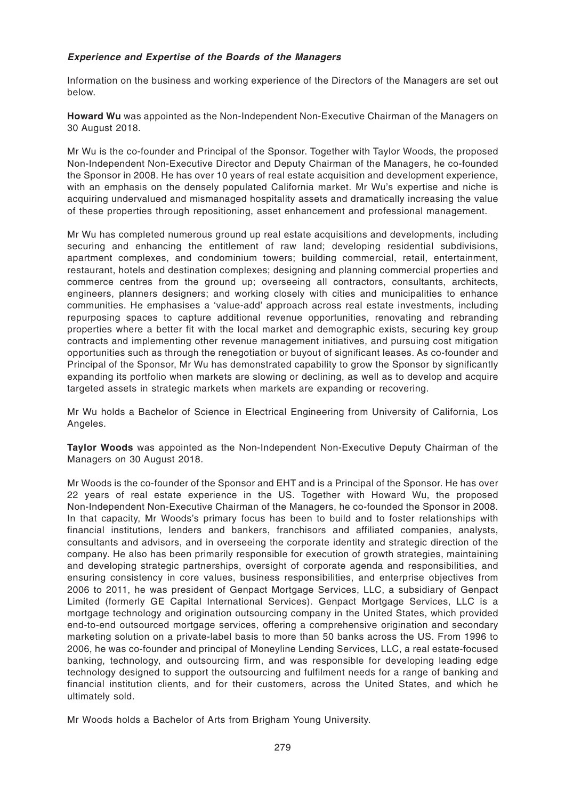## **Experience and Expertise of the Boards of the Managers**

Information on the business and working experience of the Directors of the Managers are set out below.

**Howard Wu** was appointed as the Non-Independent Non-Executive Chairman of the Managers on 30 August 2018.

Mr Wu is the co-founder and Principal of the Sponsor. Together with Taylor Woods, the proposed Non-Independent Non-Executive Director and Deputy Chairman of the Managers, he co-founded the Sponsor in 2008. He has over 10 years of real estate acquisition and development experience, with an emphasis on the densely populated California market. Mr Wu's expertise and niche is acquiring undervalued and mismanaged hospitality assets and dramatically increasing the value of these properties through repositioning, asset enhancement and professional management.

Mr Wu has completed numerous ground up real estate acquisitions and developments, including securing and enhancing the entitlement of raw land; developing residential subdivisions, apartment complexes, and condominium towers; building commercial, retail, entertainment, restaurant, hotels and destination complexes; designing and planning commercial properties and commerce centres from the ground up; overseeing all contractors, consultants, architects, engineers, planners designers; and working closely with cities and municipalities to enhance communities. He emphasises a 'value-add' approach across real estate investments, including repurposing spaces to capture additional revenue opportunities, renovating and rebranding properties where a better fit with the local market and demographic exists, securing key group contracts and implementing other revenue management initiatives, and pursuing cost mitigation opportunities such as through the renegotiation or buyout of significant leases. As co-founder and Principal of the Sponsor, Mr Wu has demonstrated capability to grow the Sponsor by significantly expanding its portfolio when markets are slowing or declining, as well as to develop and acquire targeted assets in strategic markets when markets are expanding or recovering.

Mr Wu holds a Bachelor of Science in Electrical Engineering from University of California, Los Angeles.

**Taylor Woods** was appointed as the Non-Independent Non-Executive Deputy Chairman of the Managers on 30 August 2018.

Mr Woods is the co-founder of the Sponsor and EHT and is a Principal of the Sponsor. He has over 22 years of real estate experience in the US. Together with Howard Wu, the proposed Non-Independent Non-Executive Chairman of the Managers, he co-founded the Sponsor in 2008. In that capacity, Mr Woods's primary focus has been to build and to foster relationships with financial institutions, lenders and bankers, franchisors and affiliated companies, analysts, consultants and advisors, and in overseeing the corporate identity and strategic direction of the company. He also has been primarily responsible for execution of growth strategies, maintaining and developing strategic partnerships, oversight of corporate agenda and responsibilities, and ensuring consistency in core values, business responsibilities, and enterprise objectives from 2006 to 2011, he was president of Genpact Mortgage Services, LLC, a subsidiary of Genpact Limited (formerly GE Capital International Services). Genpact Mortgage Services, LLC is a mortgage technology and origination outsourcing company in the United States, which provided end-to-end outsourced mortgage services, offering a comprehensive origination and secondary marketing solution on a private-label basis to more than 50 banks across the US. From 1996 to 2006, he was co-founder and principal of Moneyline Lending Services, LLC, a real estate-focused banking, technology, and outsourcing firm, and was responsible for developing leading edge technology designed to support the outsourcing and fulfilment needs for a range of banking and financial institution clients, and for their customers, across the United States, and which he ultimately sold.

Mr Woods holds a Bachelor of Arts from Brigham Young University.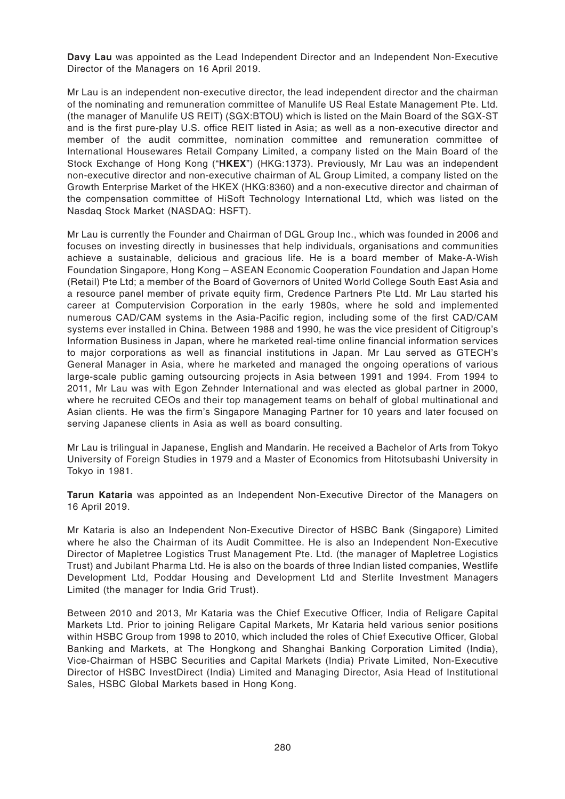**Davy Lau** was appointed as the Lead Independent Director and an Independent Non-Executive Director of the Managers on 16 April 2019.

Mr Lau is an independent non-executive director, the lead independent director and the chairman of the nominating and remuneration committee of Manulife US Real Estate Management Pte. Ltd. (the manager of Manulife US REIT) (SGX:BTOU) which is listed on the Main Board of the SGX-ST and is the first pure-play U.S. office REIT listed in Asia; as well as a non-executive director and member of the audit committee, nomination committee and remuneration committee of International Housewares Retail Company Limited, a company listed on the Main Board of the Stock Exchange of Hong Kong ("**HKEX**") (HKG:1373). Previously, Mr Lau was an independent non-executive director and non-executive chairman of AL Group Limited, a company listed on the Growth Enterprise Market of the HKEX (HKG:8360) and a non-executive director and chairman of the compensation committee of HiSoft Technology International Ltd, which was listed on the Nasdaq Stock Market (NASDAQ: HSFT).

Mr Lau is currently the Founder and Chairman of DGL Group Inc., which was founded in 2006 and focuses on investing directly in businesses that help individuals, organisations and communities achieve a sustainable, delicious and gracious life. He is a board member of Make-A-Wish Foundation Singapore, Hong Kong – ASEAN Economic Cooperation Foundation and Japan Home (Retail) Pte Ltd; a member of the Board of Governors of United World College South East Asia and a resource panel member of private equity firm, Credence Partners Pte Ltd. Mr Lau started his career at Computervision Corporation in the early 1980s, where he sold and implemented numerous CAD/CAM systems in the Asia-Pacific region, including some of the first CAD/CAM systems ever installed in China. Between 1988 and 1990, he was the vice president of Citigroup's Information Business in Japan, where he marketed real-time online financial information services to major corporations as well as financial institutions in Japan. Mr Lau served as GTECH's General Manager in Asia, where he marketed and managed the ongoing operations of various large-scale public gaming outsourcing projects in Asia between 1991 and 1994. From 1994 to 2011, Mr Lau was with Egon Zehnder International and was elected as global partner in 2000, where he recruited CEOs and their top management teams on behalf of global multinational and Asian clients. He was the firm's Singapore Managing Partner for 10 years and later focused on serving Japanese clients in Asia as well as board consulting.

Mr Lau is trilingual in Japanese, English and Mandarin. He received a Bachelor of Arts from Tokyo University of Foreign Studies in 1979 and a Master of Economics from Hitotsubashi University in Tokyo in 1981.

**Tarun Kataria** was appointed as an Independent Non-Executive Director of the Managers on 16 April 2019.

Mr Kataria is also an Independent Non-Executive Director of HSBC Bank (Singapore) Limited where he also the Chairman of its Audit Committee. He is also an Independent Non-Executive Director of Mapletree Logistics Trust Management Pte. Ltd. (the manager of Mapletree Logistics Trust) and Jubilant Pharma Ltd. He is also on the boards of three Indian listed companies, Westlife Development Ltd, Poddar Housing and Development Ltd and Sterlite Investment Managers Limited (the manager for India Grid Trust).

Between 2010 and 2013, Mr Kataria was the Chief Executive Officer, India of Religare Capital Markets Ltd. Prior to joining Religare Capital Markets, Mr Kataria held various senior positions within HSBC Group from 1998 to 2010, which included the roles of Chief Executive Officer, Global Banking and Markets, at The Hongkong and Shanghai Banking Corporation Limited (India), Vice-Chairman of HSBC Securities and Capital Markets (India) Private Limited, Non-Executive Director of HSBC InvestDirect (India) Limited and Managing Director, Asia Head of Institutional Sales, HSBC Global Markets based in Hong Kong.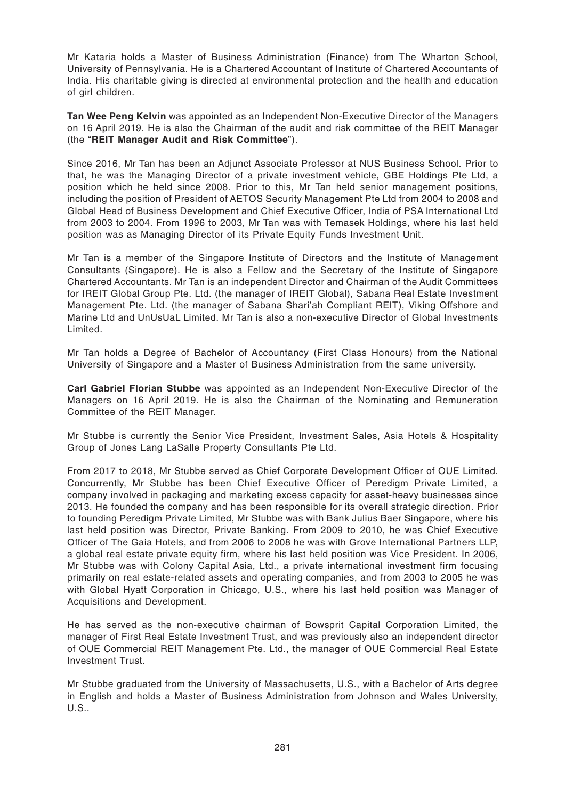Mr Kataria holds a Master of Business Administration (Finance) from The Wharton School, University of Pennsylvania. He is a Chartered Accountant of Institute of Chartered Accountants of India. His charitable giving is directed at environmental protection and the health and education of girl children.

**Tan Wee Peng Kelvin** was appointed as an Independent Non-Executive Director of the Managers on 16 April 2019. He is also the Chairman of the audit and risk committee of the REIT Manager (the "**REIT Manager Audit and Risk Committee**").

Since 2016, Mr Tan has been an Adjunct Associate Professor at NUS Business School. Prior to that, he was the Managing Director of a private investment vehicle, GBE Holdings Pte Ltd, a position which he held since 2008. Prior to this, Mr Tan held senior management positions, including the position of President of AETOS Security Management Pte Ltd from 2004 to 2008 and Global Head of Business Development and Chief Executive Officer, India of PSA International Ltd from 2003 to 2004. From 1996 to 2003, Mr Tan was with Temasek Holdings, where his last held position was as Managing Director of its Private Equity Funds Investment Unit.

Mr Tan is a member of the Singapore Institute of Directors and the Institute of Management Consultants (Singapore). He is also a Fellow and the Secretary of the Institute of Singapore Chartered Accountants. Mr Tan is an independent Director and Chairman of the Audit Committees for IREIT Global Group Pte. Ltd. (the manager of IREIT Global), Sabana Real Estate Investment Management Pte. Ltd. (the manager of Sabana Shari'ah Compliant REIT), Viking Offshore and Marine Ltd and UnUsUaL Limited. Mr Tan is also a non-executive Director of Global Investments Limited.

Mr Tan holds a Degree of Bachelor of Accountancy (First Class Honours) from the National University of Singapore and a Master of Business Administration from the same university.

**Carl Gabriel Florian Stubbe** was appointed as an Independent Non-Executive Director of the Managers on 16 April 2019. He is also the Chairman of the Nominating and Remuneration Committee of the REIT Manager.

Mr Stubbe is currently the Senior Vice President, Investment Sales, Asia Hotels & Hospitality Group of Jones Lang LaSalle Property Consultants Pte Ltd.

From 2017 to 2018, Mr Stubbe served as Chief Corporate Development Officer of OUE Limited. Concurrently, Mr Stubbe has been Chief Executive Officer of Peredigm Private Limited, a company involved in packaging and marketing excess capacity for asset-heavy businesses since 2013. He founded the company and has been responsible for its overall strategic direction. Prior to founding Peredigm Private Limited, Mr Stubbe was with Bank Julius Baer Singapore, where his last held position was Director, Private Banking. From 2009 to 2010, he was Chief Executive Officer of The Gaia Hotels, and from 2006 to 2008 he was with Grove International Partners LLP, a global real estate private equity firm, where his last held position was Vice President. In 2006, Mr Stubbe was with Colony Capital Asia, Ltd., a private international investment firm focusing primarily on real estate-related assets and operating companies, and from 2003 to 2005 he was with Global Hyatt Corporation in Chicago, U.S., where his last held position was Manager of Acquisitions and Development.

He has served as the non-executive chairman of Bowsprit Capital Corporation Limited, the manager of First Real Estate Investment Trust, and was previously also an independent director of OUE Commercial REIT Management Pte. Ltd., the manager of OUE Commercial Real Estate Investment Trust.

Mr Stubbe graduated from the University of Massachusetts, U.S., with a Bachelor of Arts degree in English and holds a Master of Business Administration from Johnson and Wales University, U.S..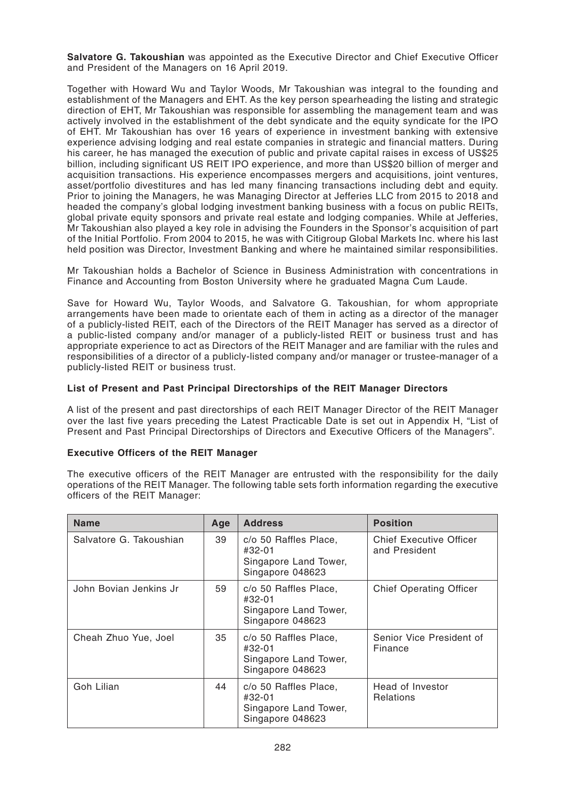**Salvatore G. Takoushian** was appointed as the Executive Director and Chief Executive Officer and President of the Managers on 16 April 2019.

Together with Howard Wu and Taylor Woods, Mr Takoushian was integral to the founding and establishment of the Managers and EHT. As the key person spearheading the listing and strategic direction of EHT, Mr Takoushian was responsible for assembling the management team and was actively involved in the establishment of the debt syndicate and the equity syndicate for the IPO of EHT. Mr Takoushian has over 16 years of experience in investment banking with extensive experience advising lodging and real estate companies in strategic and financial matters. During his career, he has managed the execution of public and private capital raises in excess of US\$25 billion, including significant US REIT IPO experience, and more than US\$20 billion of merger and acquisition transactions. His experience encompasses mergers and acquisitions, joint ventures, asset/portfolio divestitures and has led many financing transactions including debt and equity. Prior to joining the Managers, he was Managing Director at Jefferies LLC from 2015 to 2018 and headed the company's global lodging investment banking business with a focus on public REITs, global private equity sponsors and private real estate and lodging companies. While at Jefferies, Mr Takoushian also played a key role in advising the Founders in the Sponsor's acquisition of part of the Initial Portfolio. From 2004 to 2015, he was with Citigroup Global Markets Inc. where his last held position was Director, Investment Banking and where he maintained similar responsibilities.

Mr Takoushian holds a Bachelor of Science in Business Administration with concentrations in Finance and Accounting from Boston University where he graduated Magna Cum Laude.

Save for Howard Wu, Taylor Woods, and Salvatore G. Takoushian, for whom appropriate arrangements have been made to orientate each of them in acting as a director of the manager of a publicly-listed REIT, each of the Directors of the REIT Manager has served as a director of a public-listed company and/or manager of a publicly-listed REIT or business trust and has appropriate experience to act as Directors of the REIT Manager and are familiar with the rules and responsibilities of a director of a publicly-listed company and/or manager or trustee-manager of a publicly-listed REIT or business trust.

#### **List of Present and Past Principal Directorships of the REIT Manager Directors**

A list of the present and past directorships of each REIT Manager Director of the REIT Manager over the last five years preceding the Latest Practicable Date is set out in Appendix H, "List of Present and Past Principal Directorships of Directors and Executive Officers of the Managers".

#### **Executive Officers of the REIT Manager**

The executive officers of the REIT Manager are entrusted with the responsibility for the daily operations of the REIT Manager. The following table sets forth information regarding the executive officers of the REIT Manager:

| <b>Name</b>             | Age | <b>Address</b>                                                               | <b>Position</b>                                 |
|-------------------------|-----|------------------------------------------------------------------------------|-------------------------------------------------|
| Salvatore G. Takoushian | 39  | c/o 50 Raffles Place,<br>#32-01<br>Singapore Land Tower,<br>Singapore 048623 | <b>Chief Executive Officer</b><br>and President |
| John Bovian Jenkins Jr  | 59  | c/o 50 Raffles Place,<br>#32-01<br>Singapore Land Tower,<br>Singapore 048623 | <b>Chief Operating Officer</b>                  |
| Cheah Zhuo Yue, Joel    | 35  | c/o 50 Raffles Place,<br>#32-01<br>Singapore Land Tower,<br>Singapore 048623 | Senior Vice President of<br>Finance             |
| Goh Lilian              | 44  | c/o 50 Raffles Place,<br>#32-01<br>Singapore Land Tower,<br>Singapore 048623 | Head of Investor<br><b>Relations</b>            |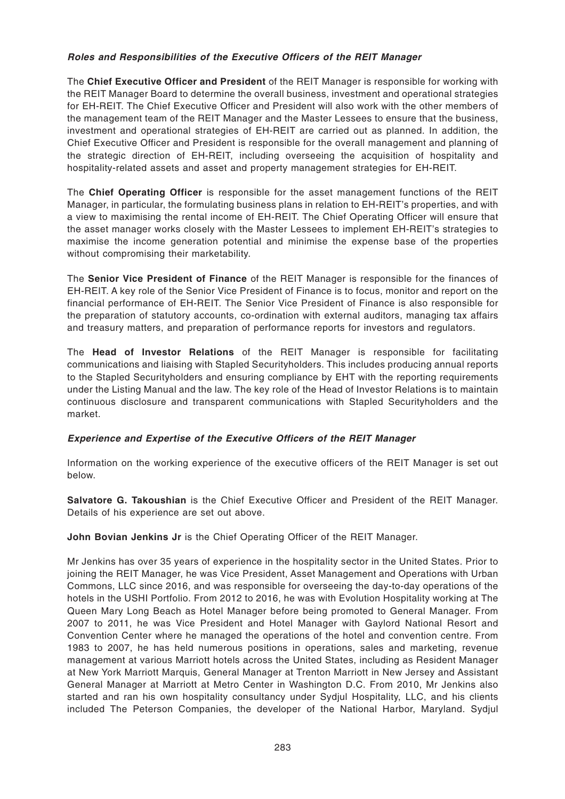# **Roles and Responsibilities of the Executive Officers of the REIT Manager**

The **Chief Executive Officer and President** of the REIT Manager is responsible for working with the REIT Manager Board to determine the overall business, investment and operational strategies for EH-REIT. The Chief Executive Officer and President will also work with the other members of the management team of the REIT Manager and the Master Lessees to ensure that the business, investment and operational strategies of EH-REIT are carried out as planned. In addition, the Chief Executive Officer and President is responsible for the overall management and planning of the strategic direction of EH-REIT, including overseeing the acquisition of hospitality and hospitality-related assets and asset and property management strategies for EH-REIT.

The **Chief Operating Officer** is responsible for the asset management functions of the REIT Manager, in particular, the formulating business plans in relation to EH-REIT's properties, and with a view to maximising the rental income of EH-REIT. The Chief Operating Officer will ensure that the asset manager works closely with the Master Lessees to implement EH-REIT's strategies to maximise the income generation potential and minimise the expense base of the properties without compromising their marketability.

The **Senior Vice President of Finance** of the REIT Manager is responsible for the finances of EH-REIT. A key role of the Senior Vice President of Finance is to focus, monitor and report on the financial performance of EH-REIT. The Senior Vice President of Finance is also responsible for the preparation of statutory accounts, co-ordination with external auditors, managing tax affairs and treasury matters, and preparation of performance reports for investors and regulators.

The **Head of Investor Relations** of the REIT Manager is responsible for facilitating communications and liaising with Stapled Securityholders. This includes producing annual reports to the Stapled Securityholders and ensuring compliance by EHT with the reporting requirements under the Listing Manual and the law. The key role of the Head of Investor Relations is to maintain continuous disclosure and transparent communications with Stapled Securityholders and the market.

# **Experience and Expertise of the Executive Officers of the REIT Manager**

Information on the working experience of the executive officers of the REIT Manager is set out below.

**Salvatore G. Takoushian** is the Chief Executive Officer and President of the REIT Manager. Details of his experience are set out above.

**John Bovian Jenkins Jr** is the Chief Operating Officer of the REIT Manager.

Mr Jenkins has over 35 years of experience in the hospitality sector in the United States. Prior to joining the REIT Manager, he was Vice President, Asset Management and Operations with Urban Commons, LLC since 2016, and was responsible for overseeing the day-to-day operations of the hotels in the USHI Portfolio. From 2012 to 2016, he was with Evolution Hospitality working at The Queen Mary Long Beach as Hotel Manager before being promoted to General Manager. From 2007 to 2011, he was Vice President and Hotel Manager with Gaylord National Resort and Convention Center where he managed the operations of the hotel and convention centre. From 1983 to 2007, he has held numerous positions in operations, sales and marketing, revenue management at various Marriott hotels across the United States, including as Resident Manager at New York Marriott Marquis, General Manager at Trenton Marriott in New Jersey and Assistant General Manager at Marriott at Metro Center in Washington D.C. From 2010, Mr Jenkins also started and ran his own hospitality consultancy under Sydjul Hospitality, LLC, and his clients included The Peterson Companies, the developer of the National Harbor, Maryland. Sydjul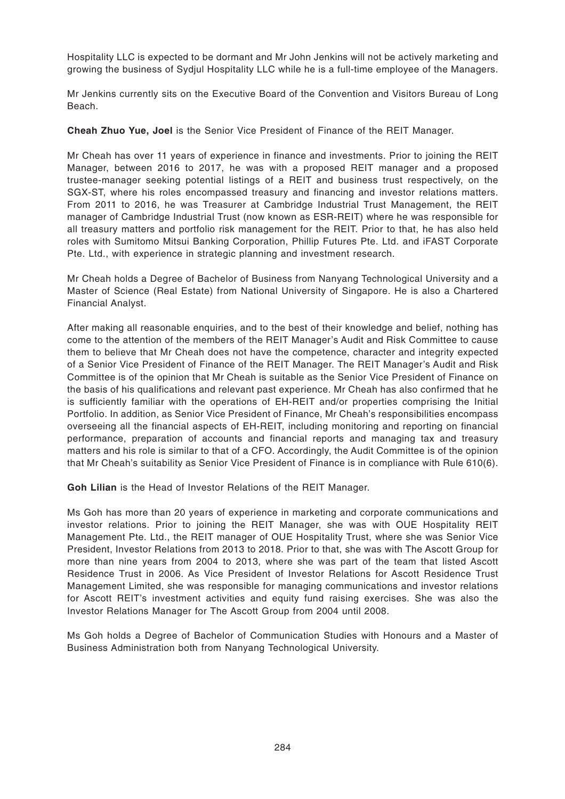Hospitality LLC is expected to be dormant and Mr John Jenkins will not be actively marketing and growing the business of Sydjul Hospitality LLC while he is a full-time employee of the Managers.

Mr Jenkins currently sits on the Executive Board of the Convention and Visitors Bureau of Long Beach.

**Cheah Zhuo Yue, Joel** is the Senior Vice President of Finance of the REIT Manager.

Mr Cheah has over 11 years of experience in finance and investments. Prior to joining the REIT Manager, between 2016 to 2017, he was with a proposed REIT manager and a proposed trustee-manager seeking potential listings of a REIT and business trust respectively, on the SGX-ST, where his roles encompassed treasury and financing and investor relations matters. From 2011 to 2016, he was Treasurer at Cambridge Industrial Trust Management, the REIT manager of Cambridge Industrial Trust (now known as ESR-REIT) where he was responsible for all treasury matters and portfolio risk management for the REIT. Prior to that, he has also held roles with Sumitomo Mitsui Banking Corporation, Phillip Futures Pte. Ltd. and iFAST Corporate Pte. Ltd., with experience in strategic planning and investment research.

Mr Cheah holds a Degree of Bachelor of Business from Nanyang Technological University and a Master of Science (Real Estate) from National University of Singapore. He is also a Chartered Financial Analyst.

After making all reasonable enquiries, and to the best of their knowledge and belief, nothing has come to the attention of the members of the REIT Manager's Audit and Risk Committee to cause them to believe that Mr Cheah does not have the competence, character and integrity expected of a Senior Vice President of Finance of the REIT Manager. The REIT Manager's Audit and Risk Committee is of the opinion that Mr Cheah is suitable as the Senior Vice President of Finance on the basis of his qualifications and relevant past experience. Mr Cheah has also confirmed that he is sufficiently familiar with the operations of EH-REIT and/or properties comprising the Initial Portfolio. In addition, as Senior Vice President of Finance, Mr Cheah's responsibilities encompass overseeing all the financial aspects of EH-REIT, including monitoring and reporting on financial performance, preparation of accounts and financial reports and managing tax and treasury matters and his role is similar to that of a CFO. Accordingly, the Audit Committee is of the opinion that Mr Cheah's suitability as Senior Vice President of Finance is in compliance with Rule 610(6).

**Goh Lilian** is the Head of Investor Relations of the REIT Manager.

Ms Goh has more than 20 years of experience in marketing and corporate communications and investor relations. Prior to joining the REIT Manager, she was with OUE Hospitality REIT Management Pte. Ltd., the REIT manager of OUE Hospitality Trust, where she was Senior Vice President, Investor Relations from 2013 to 2018. Prior to that, she was with The Ascott Group for more than nine years from 2004 to 2013, where she was part of the team that listed Ascott Residence Trust in 2006. As Vice President of Investor Relations for Ascott Residence Trust Management Limited, she was responsible for managing communications and investor relations for Ascott REIT's investment activities and equity fund raising exercises. She was also the Investor Relations Manager for The Ascott Group from 2004 until 2008.

Ms Goh holds a Degree of Bachelor of Communication Studies with Honours and a Master of Business Administration both from Nanyang Technological University.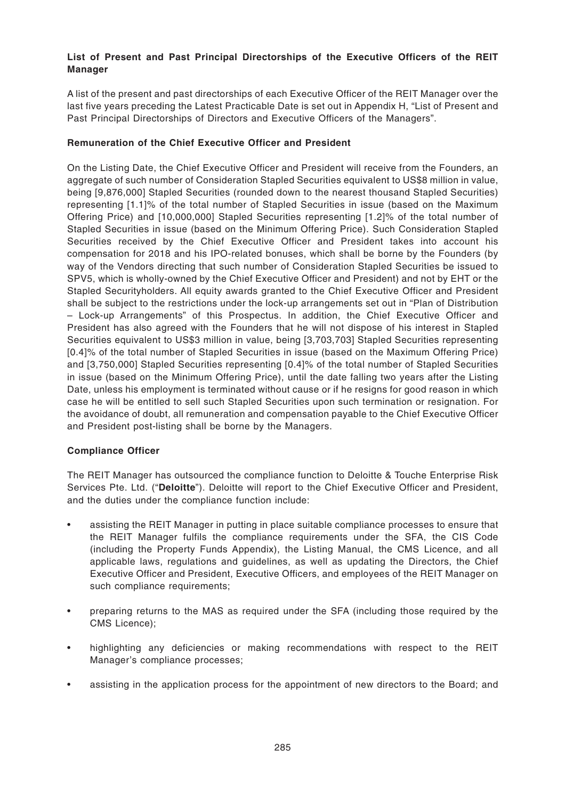# **List of Present and Past Principal Directorships of the Executive Officers of the REIT Manager**

A list of the present and past directorships of each Executive Officer of the REIT Manager over the last five years preceding the Latest Practicable Date is set out in Appendix H, "List of Present and Past Principal Directorships of Directors and Executive Officers of the Managers".

# **Remuneration of the Chief Executive Officer and President**

On the Listing Date, the Chief Executive Officer and President will receive from the Founders, an aggregate of such number of Consideration Stapled Securities equivalent to US\$8 million in value, being [9,876,000] Stapled Securities (rounded down to the nearest thousand Stapled Securities) representing [1.1]% of the total number of Stapled Securities in issue (based on the Maximum Offering Price) and [10,000,000] Stapled Securities representing [1.2]% of the total number of Stapled Securities in issue (based on the Minimum Offering Price). Such Consideration Stapled Securities received by the Chief Executive Officer and President takes into account his compensation for 2018 and his IPO-related bonuses, which shall be borne by the Founders (by way of the Vendors directing that such number of Consideration Stapled Securities be issued to SPV5, which is wholly-owned by the Chief Executive Officer and President) and not by EHT or the Stapled Securityholders. All equity awards granted to the Chief Executive Officer and President shall be subject to the restrictions under the lock-up arrangements set out in "Plan of Distribution – Lock-up Arrangements" of this Prospectus. In addition, the Chief Executive Officer and President has also agreed with the Founders that he will not dispose of his interest in Stapled Securities equivalent to US\$3 million in value, being [3,703,703] Stapled Securities representing [0.4]% of the total number of Stapled Securities in issue (based on the Maximum Offering Price) and [3,750,000] Stapled Securities representing [0.4]% of the total number of Stapled Securities in issue (based on the Minimum Offering Price), until the date falling two years after the Listing Date, unless his employment is terminated without cause or if he resigns for good reason in which case he will be entitled to sell such Stapled Securities upon such termination or resignation. For the avoidance of doubt, all remuneration and compensation payable to the Chief Executive Officer and President post-listing shall be borne by the Managers.

# **Compliance Officer**

The REIT Manager has outsourced the compliance function to Deloitte & Touche Enterprise Risk Services Pte. Ltd. ("**Deloitte**"). Deloitte will report to the Chief Executive Officer and President, and the duties under the compliance function include:

- assisting the REIT Manager in putting in place suitable compliance processes to ensure that the REIT Manager fulfils the compliance requirements under the SFA, the CIS Code (including the Property Funds Appendix), the Listing Manual, the CMS Licence, and all applicable laws, regulations and guidelines, as well as updating the Directors, the Chief Executive Officer and President, Executive Officers, and employees of the REIT Manager on such compliance requirements;
- preparing returns to the MAS as required under the SFA (including those required by the CMS Licence);
- highlighting any deficiencies or making recommendations with respect to the REIT Manager's compliance processes;
- assisting in the application process for the appointment of new directors to the Board; and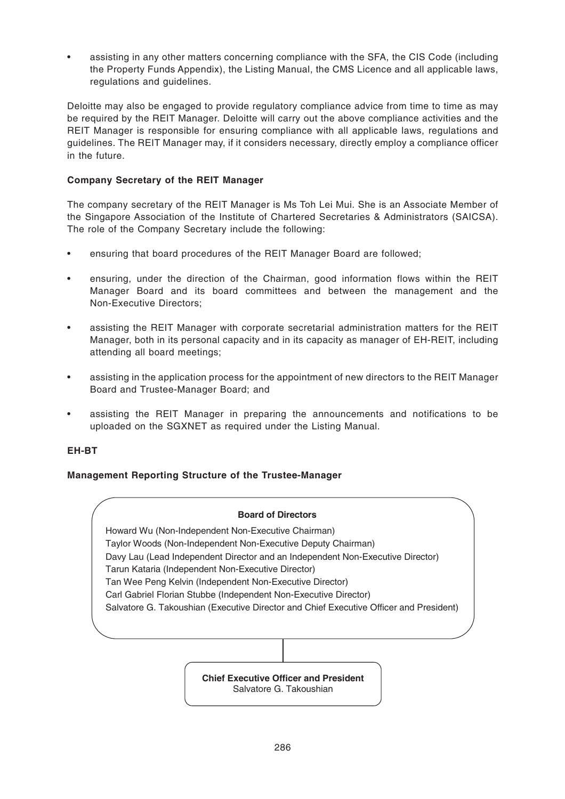• assisting in any other matters concerning compliance with the SFA, the CIS Code (including the Property Funds Appendix), the Listing Manual, the CMS Licence and all applicable laws, regulations and guidelines.

Deloitte may also be engaged to provide regulatory compliance advice from time to time as may be required by the REIT Manager. Deloitte will carry out the above compliance activities and the REIT Manager is responsible for ensuring compliance with all applicable laws, regulations and guidelines. The REIT Manager may, if it considers necessary, directly employ a compliance officer in the future.

# **Company Secretary of the REIT Manager**

The company secretary of the REIT Manager is Ms Toh Lei Mui. She is an Associate Member of the Singapore Association of the Institute of Chartered Secretaries & Administrators (SAICSA). The role of the Company Secretary include the following:

- ensuring that board procedures of the REIT Manager Board are followed;
- ensuring, under the direction of the Chairman, good information flows within the REIT Manager Board and its board committees and between the management and the Non-Executive Directors;
- assisting the REIT Manager with corporate secretarial administration matters for the REIT Manager, both in its personal capacity and in its capacity as manager of EH-REIT, including attending all board meetings;
- assisting in the application process for the appointment of new directors to the REIT Manager Board and Trustee-Manager Board; and
- assisting the REIT Manager in preparing the announcements and notifications to be uploaded on the SGXNET as required under the Listing Manual.

# **EH-BT**

# **Management Reporting Structure of the Trustee-Manager**

#### **Board of Directors**

Howard Wu (Non-Independent Non-Executive Chairman) Taylor Woods (Non-Independent Non-Executive Deputy Chairman) Davy Lau (Lead Independent Director and an Independent Non-Executive Director) Tarun Kataria (Independent Non-Executive Director) Tan Wee Peng Kelvin (Independent Non-Executive Director) Carl Gabriel Florian Stubbe (Independent Non-Executive Director) Salvatore G. Takoushian (Executive Director and Chief Executive Officer and President)

> **Chief Executive Officer and President** Salvatore G. Takoushian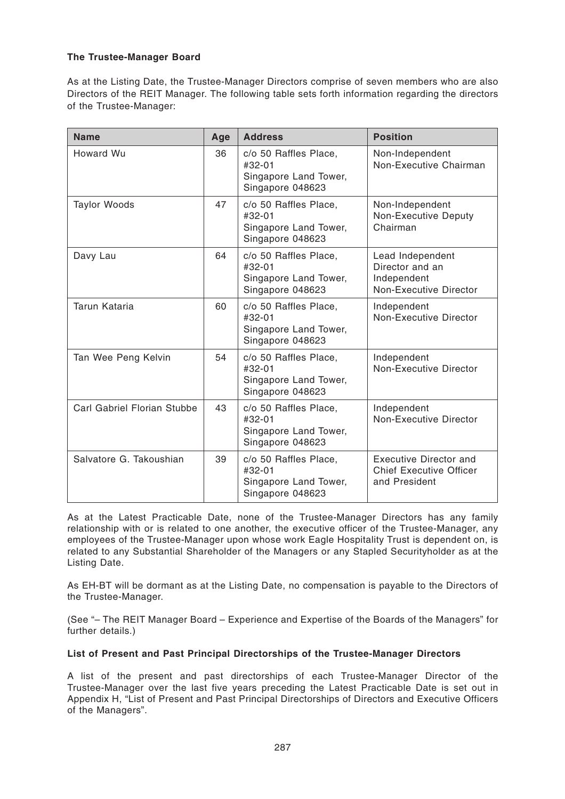# **The Trustee-Manager Board**

As at the Listing Date, the Trustee-Manager Directors comprise of seven members who are also Directors of the REIT Manager. The following table sets forth information regarding the directors of the Trustee-Manager:

| <b>Name</b>                 | Age | <b>Address</b>                                                                 | <b>Position</b>                                                                  |
|-----------------------------|-----|--------------------------------------------------------------------------------|----------------------------------------------------------------------------------|
| Howard Wu                   | 36  | c/o 50 Raffles Place,<br>#32-01<br>Singapore Land Tower,<br>Singapore 048623   | Non-Independent<br>Non-Executive Chairman                                        |
| <b>Taylor Woods</b>         | 47  | c/o 50 Raffles Place,<br>#32-01<br>Singapore Land Tower,<br>Singapore 048623   | Non-Independent<br>Non-Executive Deputy<br>Chairman                              |
| Davy Lau                    | 64  | c/o 50 Raffles Place,<br>$#32-01$<br>Singapore Land Tower,<br>Singapore 048623 | Lead Independent<br>Director and an<br>Independent<br>Non-Executive Director     |
| Tarun Kataria               | 60  | c/o 50 Raffles Place,<br>#32-01<br>Singapore Land Tower,<br>Singapore 048623   | Independent<br><b>Non-Executive Director</b>                                     |
| Tan Wee Peng Kelvin         | 54  | c/o 50 Raffles Place,<br>#32-01<br>Singapore Land Tower,<br>Singapore 048623   | Independent<br>Non-Executive Director                                            |
| Carl Gabriel Florian Stubbe | 43  | c/o 50 Raffles Place,<br>#32-01<br>Singapore Land Tower,<br>Singapore 048623   | Independent<br><b>Non-Executive Director</b>                                     |
| Salvatore G. Takoushian     | 39  | c/o 50 Raffles Place,<br>#32-01<br>Singapore Land Tower,<br>Singapore 048623   | <b>Executive Director and</b><br><b>Chief Executive Officer</b><br>and President |

As at the Latest Practicable Date, none of the Trustee-Manager Directors has any family relationship with or is related to one another, the executive officer of the Trustee-Manager, any employees of the Trustee-Manager upon whose work Eagle Hospitality Trust is dependent on, is related to any Substantial Shareholder of the Managers or any Stapled Securityholder as at the Listing Date.

As EH-BT will be dormant as at the Listing Date, no compensation is payable to the Directors of the Trustee-Manager.

(See "– The REIT Manager Board – Experience and Expertise of the Boards of the Managers" for further details.)

### **List of Present and Past Principal Directorships of the Trustee-Manager Directors**

A list of the present and past directorships of each Trustee-Manager Director of the Trustee-Manager over the last five years preceding the Latest Practicable Date is set out in Appendix H, "List of Present and Past Principal Directorships of Directors and Executive Officers of the Managers".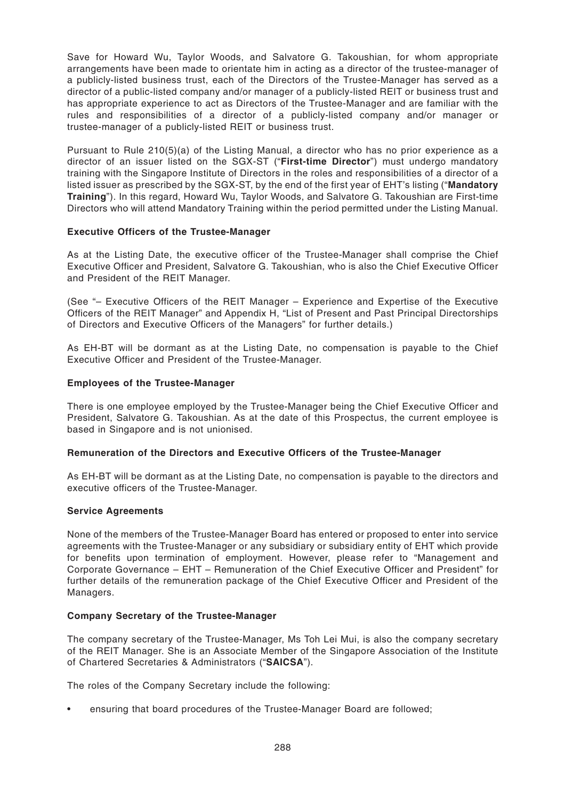Save for Howard Wu, Taylor Woods, and Salvatore G. Takoushian, for whom appropriate arrangements have been made to orientate him in acting as a director of the trustee-manager of a publicly-listed business trust, each of the Directors of the Trustee-Manager has served as a director of a public-listed company and/or manager of a publicly-listed REIT or business trust and has appropriate experience to act as Directors of the Trustee-Manager and are familiar with the rules and responsibilities of a director of a publicly-listed company and/or manager or trustee-manager of a publicly-listed REIT or business trust.

Pursuant to Rule 210(5)(a) of the Listing Manual, a director who has no prior experience as a director of an issuer listed on the SGX-ST ("**First-time Director**") must undergo mandatory training with the Singapore Institute of Directors in the roles and responsibilities of a director of a listed issuer as prescribed by the SGX-ST, by the end of the first year of EHT's listing ("**Mandatory Training**"). In this regard, Howard Wu, Taylor Woods, and Salvatore G. Takoushian are First-time Directors who will attend Mandatory Training within the period permitted under the Listing Manual.

#### **Executive Officers of the Trustee-Manager**

As at the Listing Date, the executive officer of the Trustee-Manager shall comprise the Chief Executive Officer and President, Salvatore G. Takoushian, who is also the Chief Executive Officer and President of the REIT Manager.

(See "– Executive Officers of the REIT Manager – Experience and Expertise of the Executive Officers of the REIT Manager" and Appendix H, "List of Present and Past Principal Directorships of Directors and Executive Officers of the Managers" for further details.)

As EH-BT will be dormant as at the Listing Date, no compensation is payable to the Chief Executive Officer and President of the Trustee-Manager.

# **Employees of the Trustee-Manager**

There is one employee employed by the Trustee-Manager being the Chief Executive Officer and President, Salvatore G. Takoushian. As at the date of this Prospectus, the current employee is based in Singapore and is not unionised.

#### **Remuneration of the Directors and Executive Officers of the Trustee-Manager**

As EH-BT will be dormant as at the Listing Date, no compensation is payable to the directors and executive officers of the Trustee-Manager.

#### **Service Agreements**

None of the members of the Trustee-Manager Board has entered or proposed to enter into service agreements with the Trustee-Manager or any subsidiary or subsidiary entity of EHT which provide for benefits upon termination of employment. However, please refer to "Management and Corporate Governance – EHT – Remuneration of the Chief Executive Officer and President" for further details of the remuneration package of the Chief Executive Officer and President of the Managers.

#### **Company Secretary of the Trustee-Manager**

The company secretary of the Trustee-Manager, Ms Toh Lei Mui, is also the company secretary of the REIT Manager. She is an Associate Member of the Singapore Association of the Institute of Chartered Secretaries & Administrators ("**SAICSA**").

The roles of the Company Secretary include the following:

• ensuring that board procedures of the Trustee-Manager Board are followed;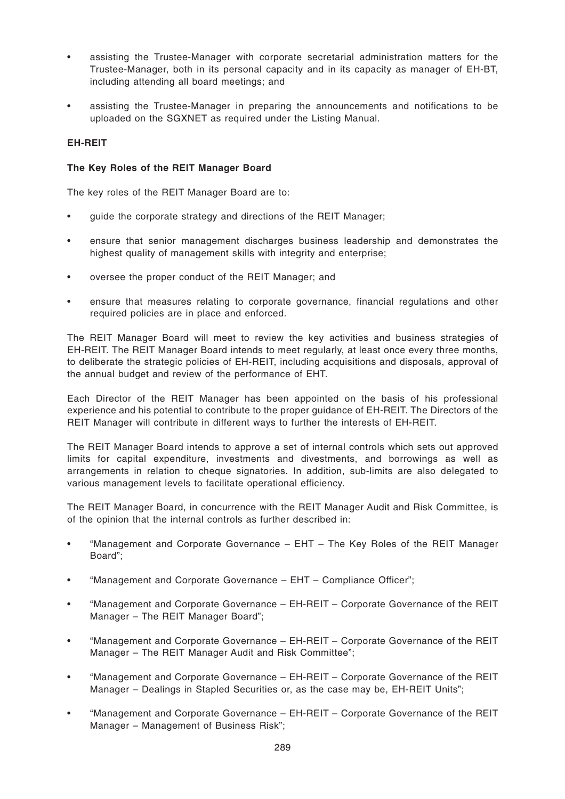- assisting the Trustee-Manager with corporate secretarial administration matters for the Trustee-Manager, both in its personal capacity and in its capacity as manager of EH-BT, including attending all board meetings; and
- assisting the Trustee-Manager in preparing the announcements and notifications to be uploaded on the SGXNET as required under the Listing Manual.

### **EH-REIT**

#### **The Key Roles of the REIT Manager Board**

The key roles of the REIT Manager Board are to:

- guide the corporate strategy and directions of the REIT Manager;
- ensure that senior management discharges business leadership and demonstrates the highest quality of management skills with integrity and enterprise;
- oversee the proper conduct of the REIT Manager; and
- ensure that measures relating to corporate governance, financial regulations and other required policies are in place and enforced.

The REIT Manager Board will meet to review the key activities and business strategies of EH-REIT. The REIT Manager Board intends to meet regularly, at least once every three months, to deliberate the strategic policies of EH-REIT, including acquisitions and disposals, approval of the annual budget and review of the performance of EHT.

Each Director of the REIT Manager has been appointed on the basis of his professional experience and his potential to contribute to the proper guidance of EH-REIT. The Directors of the REIT Manager will contribute in different ways to further the interests of EH-REIT.

The REIT Manager Board intends to approve a set of internal controls which sets out approved limits for capital expenditure, investments and divestments, and borrowings as well as arrangements in relation to cheque signatories. In addition, sub-limits are also delegated to various management levels to facilitate operational efficiency.

The REIT Manager Board, in concurrence with the REIT Manager Audit and Risk Committee, is of the opinion that the internal controls as further described in:

- "Management and Corporate Governance EHT The Key Roles of the REIT Manager Board";
- "Management and Corporate Governance EHT Compliance Officer";
- "Management and Corporate Governance EH-REIT Corporate Governance of the REIT Manager – The REIT Manager Board";
- "Management and Corporate Governance EH-REIT Corporate Governance of the REIT Manager – The REIT Manager Audit and Risk Committee";
- "Management and Corporate Governance EH-REIT Corporate Governance of the REIT Manager – Dealings in Stapled Securities or, as the case may be, EH-REIT Units";
- "Management and Corporate Governance EH-REIT Corporate Governance of the REIT Manager – Management of Business Risk";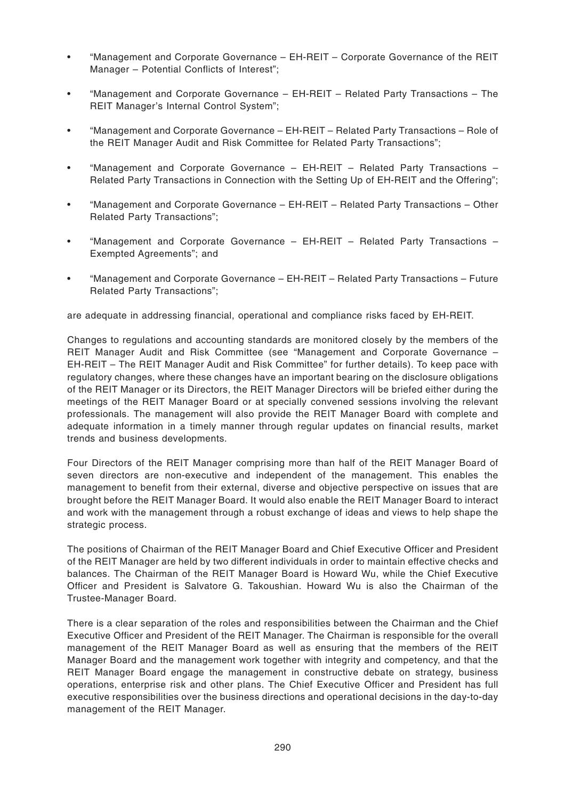- "Management and Corporate Governance EH-REIT Corporate Governance of the REIT Manager – Potential Conflicts of Interest";
- "Management and Corporate Governance EH-REIT Related Party Transactions The REIT Manager's Internal Control System";
- "Management and Corporate Governance EH-REIT Related Party Transactions Role of the REIT Manager Audit and Risk Committee for Related Party Transactions";
- "Management and Corporate Governance EH-REIT Related Party Transactions Related Party Transactions in Connection with the Setting Up of EH-REIT and the Offering";
- "Management and Corporate Governance EH-REIT Related Party Transactions Other Related Party Transactions";
- "Management and Corporate Governance EH-REIT Related Party Transactions Exempted Agreements"; and
- "Management and Corporate Governance EH-REIT Related Party Transactions Future Related Party Transactions";

are adequate in addressing financial, operational and compliance risks faced by EH-REIT.

Changes to regulations and accounting standards are monitored closely by the members of the REIT Manager Audit and Risk Committee (see "Management and Corporate Governance – EH-REIT – The REIT Manager Audit and Risk Committee" for further details). To keep pace with regulatory changes, where these changes have an important bearing on the disclosure obligations of the REIT Manager or its Directors, the REIT Manager Directors will be briefed either during the meetings of the REIT Manager Board or at specially convened sessions involving the relevant professionals. The management will also provide the REIT Manager Board with complete and adequate information in a timely manner through regular updates on financial results, market trends and business developments.

Four Directors of the REIT Manager comprising more than half of the REIT Manager Board of seven directors are non-executive and independent of the management. This enables the management to benefit from their external, diverse and objective perspective on issues that are brought before the REIT Manager Board. It would also enable the REIT Manager Board to interact and work with the management through a robust exchange of ideas and views to help shape the strategic process.

The positions of Chairman of the REIT Manager Board and Chief Executive Officer and President of the REIT Manager are held by two different individuals in order to maintain effective checks and balances. The Chairman of the REIT Manager Board is Howard Wu, while the Chief Executive Officer and President is Salvatore G. Takoushian. Howard Wu is also the Chairman of the Trustee-Manager Board.

There is a clear separation of the roles and responsibilities between the Chairman and the Chief Executive Officer and President of the REIT Manager. The Chairman is responsible for the overall management of the REIT Manager Board as well as ensuring that the members of the REIT Manager Board and the management work together with integrity and competency, and that the REIT Manager Board engage the management in constructive debate on strategy, business operations, enterprise risk and other plans. The Chief Executive Officer and President has full executive responsibilities over the business directions and operational decisions in the day-to-day management of the REIT Manager.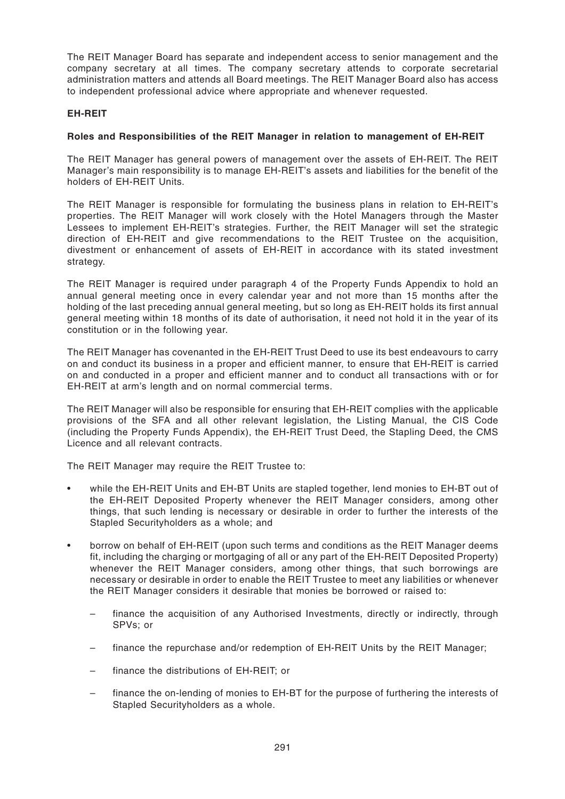The REIT Manager Board has separate and independent access to senior management and the company secretary at all times. The company secretary attends to corporate secretarial administration matters and attends all Board meetings. The REIT Manager Board also has access to independent professional advice where appropriate and whenever requested.

#### **EH-REIT**

### **Roles and Responsibilities of the REIT Manager in relation to management of EH-REIT**

The REIT Manager has general powers of management over the assets of EH-REIT. The REIT Manager's main responsibility is to manage EH-REIT's assets and liabilities for the benefit of the holders of EH-REIT Units.

The REIT Manager is responsible for formulating the business plans in relation to EH-REIT's properties. The REIT Manager will work closely with the Hotel Managers through the Master Lessees to implement EH-REIT's strategies. Further, the REIT Manager will set the strategic direction of EH-REIT and give recommendations to the REIT Trustee on the acquisition, divestment or enhancement of assets of EH-REIT in accordance with its stated investment strategy.

The REIT Manager is required under paragraph 4 of the Property Funds Appendix to hold an annual general meeting once in every calendar year and not more than 15 months after the holding of the last preceding annual general meeting, but so long as EH-REIT holds its first annual general meeting within 18 months of its date of authorisation, it need not hold it in the year of its constitution or in the following year.

The REIT Manager has covenanted in the EH-REIT Trust Deed to use its best endeavours to carry on and conduct its business in a proper and efficient manner, to ensure that EH-REIT is carried on and conducted in a proper and efficient manner and to conduct all transactions with or for EH-REIT at arm's length and on normal commercial terms.

The REIT Manager will also be responsible for ensuring that EH-REIT complies with the applicable provisions of the SFA and all other relevant legislation, the Listing Manual, the CIS Code (including the Property Funds Appendix), the EH-REIT Trust Deed, the Stapling Deed, the CMS Licence and all relevant contracts.

The REIT Manager may require the REIT Trustee to:

- while the EH-REIT Units and EH-BT Units are stapled together, lend monies to EH-BT out of the EH-REIT Deposited Property whenever the REIT Manager considers, among other things, that such lending is necessary or desirable in order to further the interests of the Stapled Securityholders as a whole; and
- borrow on behalf of EH-REIT (upon such terms and conditions as the REIT Manager deems fit, including the charging or mortgaging of all or any part of the EH-REIT Deposited Property) whenever the REIT Manager considers, among other things, that such borrowings are necessary or desirable in order to enable the REIT Trustee to meet any liabilities or whenever the REIT Manager considers it desirable that monies be borrowed or raised to:
	- finance the acquisition of any Authorised Investments, directly or indirectly, through SPVs; or
	- finance the repurchase and/or redemption of EH-REIT Units by the REIT Manager;
	- finance the distributions of EH-REIT; or
	- finance the on-lending of monies to EH-BT for the purpose of furthering the interests of Stapled Securityholders as a whole.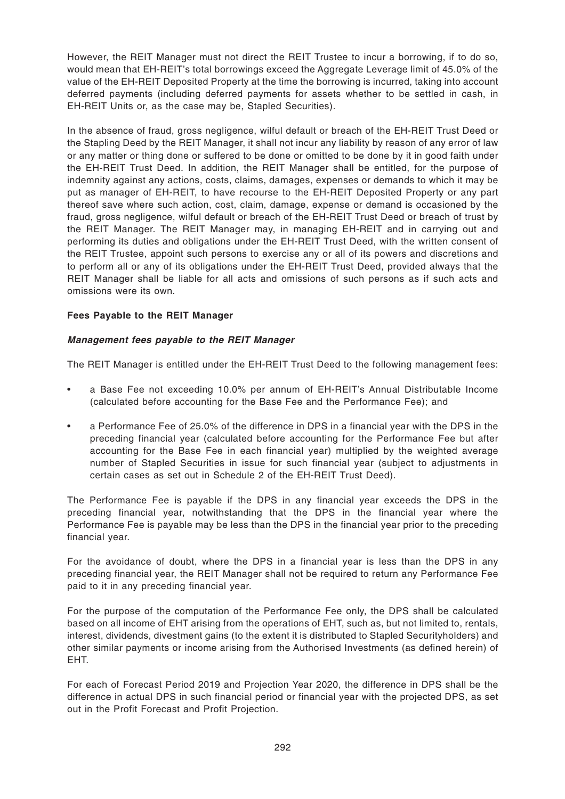However, the REIT Manager must not direct the REIT Trustee to incur a borrowing, if to do so, would mean that EH-REIT's total borrowings exceed the Aggregate Leverage limit of 45.0% of the value of the EH-REIT Deposited Property at the time the borrowing is incurred, taking into account deferred payments (including deferred payments for assets whether to be settled in cash, in EH-REIT Units or, as the case may be, Stapled Securities).

In the absence of fraud, gross negligence, wilful default or breach of the EH-REIT Trust Deed or the Stapling Deed by the REIT Manager, it shall not incur any liability by reason of any error of law or any matter or thing done or suffered to be done or omitted to be done by it in good faith under the EH-REIT Trust Deed. In addition, the REIT Manager shall be entitled, for the purpose of indemnity against any actions, costs, claims, damages, expenses or demands to which it may be put as manager of EH-REIT, to have recourse to the EH-REIT Deposited Property or any part thereof save where such action, cost, claim, damage, expense or demand is occasioned by the fraud, gross negligence, wilful default or breach of the EH-REIT Trust Deed or breach of trust by the REIT Manager. The REIT Manager may, in managing EH-REIT and in carrying out and performing its duties and obligations under the EH-REIT Trust Deed, with the written consent of the REIT Trustee, appoint such persons to exercise any or all of its powers and discretions and to perform all or any of its obligations under the EH-REIT Trust Deed, provided always that the REIT Manager shall be liable for all acts and omissions of such persons as if such acts and omissions were its own.

# **Fees Payable to the REIT Manager**

# **Management fees payable to the REIT Manager**

The REIT Manager is entitled under the EH-REIT Trust Deed to the following management fees:

- a Base Fee not exceeding 10.0% per annum of EH-REIT's Annual Distributable Income (calculated before accounting for the Base Fee and the Performance Fee); and
- a Performance Fee of 25.0% of the difference in DPS in a financial year with the DPS in the preceding financial year (calculated before accounting for the Performance Fee but after accounting for the Base Fee in each financial year) multiplied by the weighted average number of Stapled Securities in issue for such financial year (subject to adjustments in certain cases as set out in Schedule 2 of the EH-REIT Trust Deed).

The Performance Fee is payable if the DPS in any financial year exceeds the DPS in the preceding financial year, notwithstanding that the DPS in the financial year where the Performance Fee is payable may be less than the DPS in the financial year prior to the preceding financial year.

For the avoidance of doubt, where the DPS in a financial year is less than the DPS in any preceding financial year, the REIT Manager shall not be required to return any Performance Fee paid to it in any preceding financial year.

For the purpose of the computation of the Performance Fee only, the DPS shall be calculated based on all income of EHT arising from the operations of EHT, such as, but not limited to, rentals, interest, dividends, divestment gains (to the extent it is distributed to Stapled Securityholders) and other similar payments or income arising from the Authorised Investments (as defined herein) of EHT.

For each of Forecast Period 2019 and Projection Year 2020, the difference in DPS shall be the difference in actual DPS in such financial period or financial year with the projected DPS, as set out in the Profit Forecast and Profit Projection.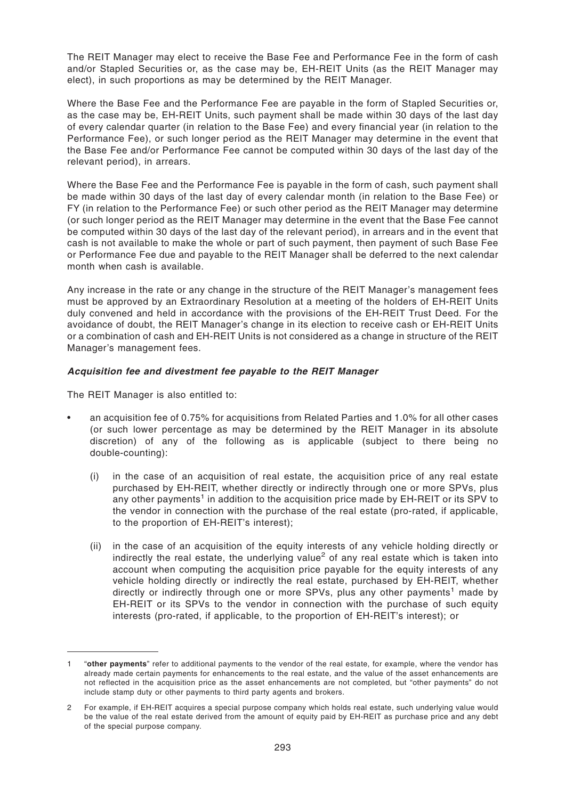The REIT Manager may elect to receive the Base Fee and Performance Fee in the form of cash and/or Stapled Securities or, as the case may be, EH-REIT Units (as the REIT Manager may elect), in such proportions as may be determined by the REIT Manager.

Where the Base Fee and the Performance Fee are payable in the form of Stapled Securities or, as the case may be, EH-REIT Units, such payment shall be made within 30 days of the last day of every calendar quarter (in relation to the Base Fee) and every financial year (in relation to the Performance Fee), or such longer period as the REIT Manager may determine in the event that the Base Fee and/or Performance Fee cannot be computed within 30 days of the last day of the relevant period), in arrears.

Where the Base Fee and the Performance Fee is payable in the form of cash, such payment shall be made within 30 days of the last day of every calendar month (in relation to the Base Fee) or FY (in relation to the Performance Fee) or such other period as the REIT Manager may determine (or such longer period as the REIT Manager may determine in the event that the Base Fee cannot be computed within 30 days of the last day of the relevant period), in arrears and in the event that cash is not available to make the whole or part of such payment, then payment of such Base Fee or Performance Fee due and payable to the REIT Manager shall be deferred to the next calendar month when cash is available.

Any increase in the rate or any change in the structure of the REIT Manager's management fees must be approved by an Extraordinary Resolution at a meeting of the holders of EH-REIT Units duly convened and held in accordance with the provisions of the EH-REIT Trust Deed. For the avoidance of doubt, the REIT Manager's change in its election to receive cash or EH-REIT Units or a combination of cash and EH-REIT Units is not considered as a change in structure of the REIT Manager's management fees.

#### **Acquisition fee and divestment fee payable to the REIT Manager**

The REIT Manager is also entitled to:

- an acquisition fee of 0.75% for acquisitions from Related Parties and 1.0% for all other cases (or such lower percentage as may be determined by the REIT Manager in its absolute discretion) of any of the following as is applicable (subject to there being no double-counting):
	- (i) in the case of an acquisition of real estate, the acquisition price of any real estate purchased by EH-REIT, whether directly or indirectly through one or more SPVs, plus any other payments<sup>1</sup> in addition to the acquisition price made by EH-REIT or its SPV to the vendor in connection with the purchase of the real estate (pro-rated, if applicable, to the proportion of EH-REIT's interest);
	- (ii) in the case of an acquisition of the equity interests of any vehicle holding directly or indirectly the real estate, the underlying value<sup>2</sup> of any real estate which is taken into account when computing the acquisition price payable for the equity interests of any vehicle holding directly or indirectly the real estate, purchased by EH-REIT, whether directly or indirectly through one or more SPVs, plus any other payments<sup>1</sup> made by EH-REIT or its SPVs to the vendor in connection with the purchase of such equity interests (pro-rated, if applicable, to the proportion of EH-REIT's interest); or

<sup>1 &</sup>quot;**other payments**" refer to additional payments to the vendor of the real estate, for example, where the vendor has already made certain payments for enhancements to the real estate, and the value of the asset enhancements are not reflected in the acquisition price as the asset enhancements are not completed, but "other payments" do not include stamp duty or other payments to third party agents and brokers.

<sup>2</sup> For example, if EH-REIT acquires a special purpose company which holds real estate, such underlying value would be the value of the real estate derived from the amount of equity paid by EH-REIT as purchase price and any debt of the special purpose company.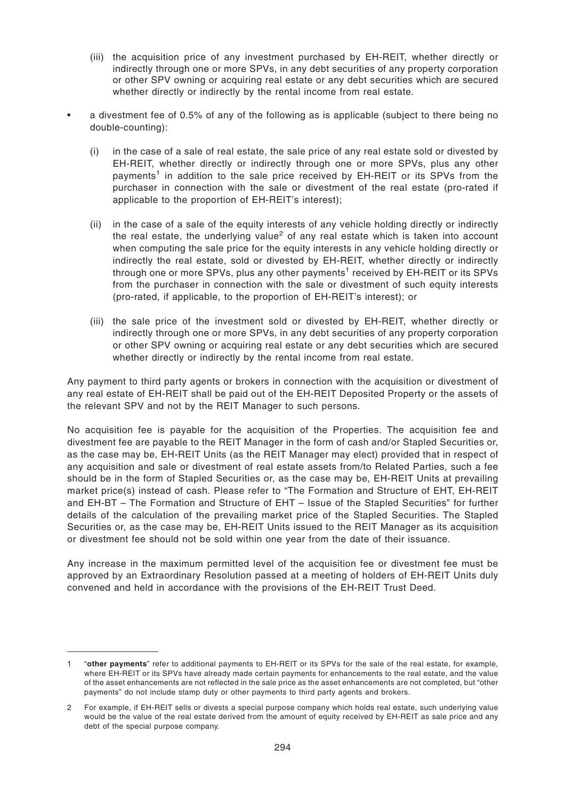- (iii) the acquisition price of any investment purchased by EH-REIT, whether directly or indirectly through one or more SPVs, in any debt securities of any property corporation or other SPV owning or acquiring real estate or any debt securities which are secured whether directly or indirectly by the rental income from real estate.
- a divestment fee of 0.5% of any of the following as is applicable (subject to there being no double-counting):
	- (i) in the case of a sale of real estate, the sale price of any real estate sold or divested by EH-REIT, whether directly or indirectly through one or more SPVs, plus any other payments<sup>1</sup> in addition to the sale price received by EH-REIT or its SPVs from the purchaser in connection with the sale or divestment of the real estate (pro-rated if applicable to the proportion of EH-REIT's interest);
	- (ii) in the case of a sale of the equity interests of any vehicle holding directly or indirectly the real estate, the underlying value<sup>2</sup> of any real estate which is taken into account when computing the sale price for the equity interests in any vehicle holding directly or indirectly the real estate, sold or divested by EH-REIT, whether directly or indirectly through one or more SPVs, plus any other payments $^1$  received by EH-REIT or its SPVs from the purchaser in connection with the sale or divestment of such equity interests (pro-rated, if applicable, to the proportion of EH-REIT's interest); or
	- (iii) the sale price of the investment sold or divested by EH-REIT, whether directly or indirectly through one or more SPVs, in any debt securities of any property corporation or other SPV owning or acquiring real estate or any debt securities which are secured whether directly or indirectly by the rental income from real estate.

Any payment to third party agents or brokers in connection with the acquisition or divestment of any real estate of EH-REIT shall be paid out of the EH-REIT Deposited Property or the assets of the relevant SPV and not by the REIT Manager to such persons.

No acquisition fee is payable for the acquisition of the Properties. The acquisition fee and divestment fee are payable to the REIT Manager in the form of cash and/or Stapled Securities or, as the case may be, EH-REIT Units (as the REIT Manager may elect) provided that in respect of any acquisition and sale or divestment of real estate assets from/to Related Parties, such a fee should be in the form of Stapled Securities or, as the case may be, EH-REIT Units at prevailing market price(s) instead of cash. Please refer to "The Formation and Structure of EHT, EH-REIT and EH-BT – The Formation and Structure of EHT – Issue of the Stapled Securities" for further details of the calculation of the prevailing market price of the Stapled Securities. The Stapled Securities or, as the case may be, EH-REIT Units issued to the REIT Manager as its acquisition or divestment fee should not be sold within one year from the date of their issuance.

Any increase in the maximum permitted level of the acquisition fee or divestment fee must be approved by an Extraordinary Resolution passed at a meeting of holders of EH-REIT Units duly convened and held in accordance with the provisions of the EH-REIT Trust Deed.

<sup>1 &</sup>quot;**other payments**" refer to additional payments to EH-REIT or its SPVs for the sale of the real estate, for example, where EH-REIT or its SPVs have already made certain payments for enhancements to the real estate, and the value of the asset enhancements are not reflected in the sale price as the asset enhancements are not completed, but "other payments" do not include stamp duty or other payments to third party agents and brokers.

<sup>2</sup> For example, if EH-REIT sells or divests a special purpose company which holds real estate, such underlying value would be the value of the real estate derived from the amount of equity received by EH-REIT as sale price and any debt of the special purpose company.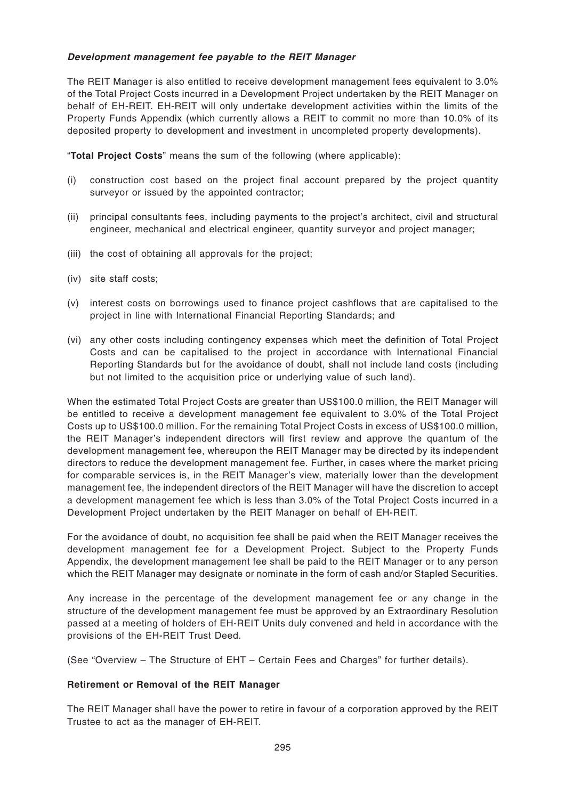## **Development management fee payable to the REIT Manager**

The REIT Manager is also entitled to receive development management fees equivalent to 3.0% of the Total Project Costs incurred in a Development Project undertaken by the REIT Manager on behalf of EH-REIT. EH-REIT will only undertake development activities within the limits of the Property Funds Appendix (which currently allows a REIT to commit no more than 10.0% of its deposited property to development and investment in uncompleted property developments).

"**Total Project Costs**" means the sum of the following (where applicable):

- (i) construction cost based on the project final account prepared by the project quantity surveyor or issued by the appointed contractor;
- (ii) principal consultants fees, including payments to the project's architect, civil and structural engineer, mechanical and electrical engineer, quantity surveyor and project manager;
- (iii) the cost of obtaining all approvals for the project;
- (iv) site staff costs;
- (v) interest costs on borrowings used to finance project cashflows that are capitalised to the project in line with International Financial Reporting Standards; and
- (vi) any other costs including contingency expenses which meet the definition of Total Project Costs and can be capitalised to the project in accordance with International Financial Reporting Standards but for the avoidance of doubt, shall not include land costs (including but not limited to the acquisition price or underlying value of such land).

When the estimated Total Project Costs are greater than US\$100.0 million, the REIT Manager will be entitled to receive a development management fee equivalent to 3.0% of the Total Project Costs up to US\$100.0 million. For the remaining Total Project Costs in excess of US\$100.0 million, the REIT Manager's independent directors will first review and approve the quantum of the development management fee, whereupon the REIT Manager may be directed by its independent directors to reduce the development management fee. Further, in cases where the market pricing for comparable services is, in the REIT Manager's view, materially lower than the development management fee, the independent directors of the REIT Manager will have the discretion to accept a development management fee which is less than 3.0% of the Total Project Costs incurred in a Development Project undertaken by the REIT Manager on behalf of EH-REIT.

For the avoidance of doubt, no acquisition fee shall be paid when the REIT Manager receives the development management fee for a Development Project. Subject to the Property Funds Appendix, the development management fee shall be paid to the REIT Manager or to any person which the REIT Manager may designate or nominate in the form of cash and/or Stapled Securities.

Any increase in the percentage of the development management fee or any change in the structure of the development management fee must be approved by an Extraordinary Resolution passed at a meeting of holders of EH-REIT Units duly convened and held in accordance with the provisions of the EH-REIT Trust Deed.

(See "Overview – The Structure of EHT – Certain Fees and Charges" for further details).

#### **Retirement or Removal of the REIT Manager**

The REIT Manager shall have the power to retire in favour of a corporation approved by the REIT Trustee to act as the manager of EH-REIT.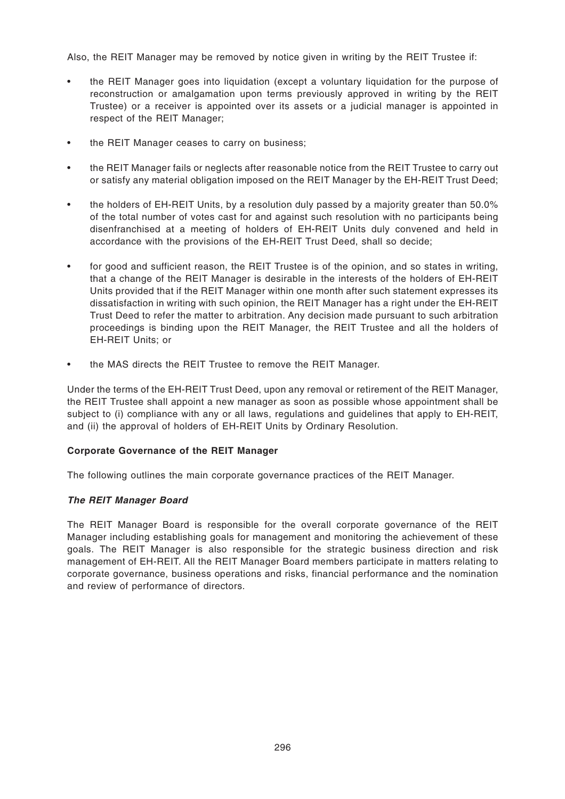Also, the REIT Manager may be removed by notice given in writing by the REIT Trustee if:

- the REIT Manager goes into liquidation (except a voluntary liquidation for the purpose of reconstruction or amalgamation upon terms previously approved in writing by the REIT Trustee) or a receiver is appointed over its assets or a judicial manager is appointed in respect of the REIT Manager;
- the REIT Manager ceases to carry on business;
- the REIT Manager fails or neglects after reasonable notice from the REIT Trustee to carry out or satisfy any material obligation imposed on the REIT Manager by the EH-REIT Trust Deed;
- the holders of EH-REIT Units, by a resolution duly passed by a majority greater than 50.0% of the total number of votes cast for and against such resolution with no participants being disenfranchised at a meeting of holders of EH-REIT Units duly convened and held in accordance with the provisions of the EH-REIT Trust Deed, shall so decide;
- for good and sufficient reason, the REIT Trustee is of the opinion, and so states in writing, that a change of the REIT Manager is desirable in the interests of the holders of EH-REIT Units provided that if the REIT Manager within one month after such statement expresses its dissatisfaction in writing with such opinion, the REIT Manager has a right under the EH-REIT Trust Deed to refer the matter to arbitration. Any decision made pursuant to such arbitration proceedings is binding upon the REIT Manager, the REIT Trustee and all the holders of EH-REIT Units; or
- the MAS directs the REIT Trustee to remove the REIT Manager.

Under the terms of the EH-REIT Trust Deed, upon any removal or retirement of the REIT Manager, the REIT Trustee shall appoint a new manager as soon as possible whose appointment shall be subject to (i) compliance with any or all laws, regulations and guidelines that apply to EH-REIT, and (ii) the approval of holders of EH-REIT Units by Ordinary Resolution.

#### **Corporate Governance of the REIT Manager**

The following outlines the main corporate governance practices of the REIT Manager.

#### **The REIT Manager Board**

The REIT Manager Board is responsible for the overall corporate governance of the REIT Manager including establishing goals for management and monitoring the achievement of these goals. The REIT Manager is also responsible for the strategic business direction and risk management of EH-REIT. All the REIT Manager Board members participate in matters relating to corporate governance, business operations and risks, financial performance and the nomination and review of performance of directors.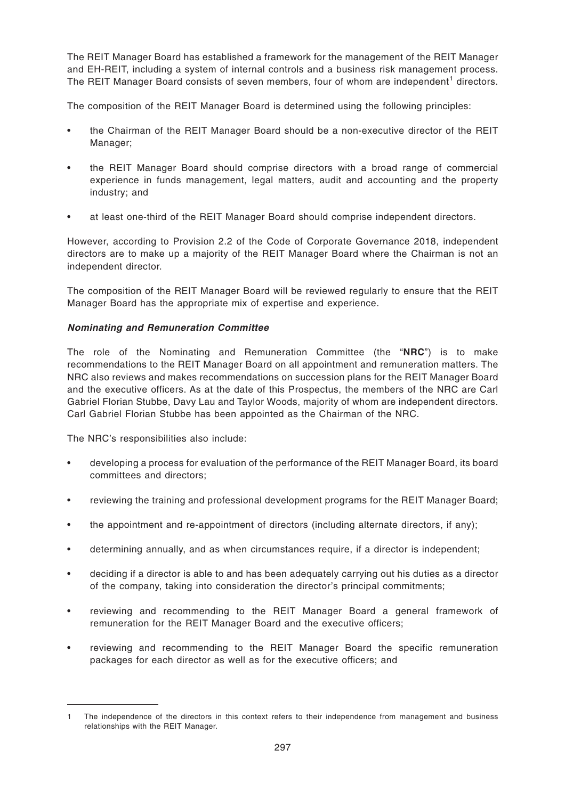The REIT Manager Board has established a framework for the management of the REIT Manager and EH-REIT, including a system of internal controls and a business risk management process. The REIT Manager Board consists of seven members, four of whom are independent<sup>1</sup> directors.

The composition of the REIT Manager Board is determined using the following principles:

- the Chairman of the REIT Manager Board should be a non-executive director of the REIT Manager;
- the REIT Manager Board should comprise directors with a broad range of commercial experience in funds management, legal matters, audit and accounting and the property industry; and
- at least one-third of the REIT Manager Board should comprise independent directors.

However, according to Provision 2.2 of the Code of Corporate Governance 2018, independent directors are to make up a majority of the REIT Manager Board where the Chairman is not an independent director.

The composition of the REIT Manager Board will be reviewed regularly to ensure that the REIT Manager Board has the appropriate mix of expertise and experience.

# **Nominating and Remuneration Committee**

The role of the Nominating and Remuneration Committee (the "**NRC**") is to make recommendations to the REIT Manager Board on all appointment and remuneration matters. The NRC also reviews and makes recommendations on succession plans for the REIT Manager Board and the executive officers. As at the date of this Prospectus, the members of the NRC are Carl Gabriel Florian Stubbe, Davy Lau and Taylor Woods, majority of whom are independent directors. Carl Gabriel Florian Stubbe has been appointed as the Chairman of the NRC.

The NRC's responsibilities also include:

- developing a process for evaluation of the performance of the REIT Manager Board, its board committees and directors;
- reviewing the training and professional development programs for the REIT Manager Board;
- the appointment and re-appointment of directors (including alternate directors, if any);
- determining annually, and as when circumstances require, if a director is independent;
- deciding if a director is able to and has been adequately carrying out his duties as a director of the company, taking into consideration the director's principal commitments;
- reviewing and recommending to the REIT Manager Board a general framework of remuneration for the REIT Manager Board and the executive officers;
- reviewing and recommending to the REIT Manager Board the specific remuneration packages for each director as well as for the executive officers; and

<sup>1</sup> The independence of the directors in this context refers to their independence from management and business relationships with the REIT Manager.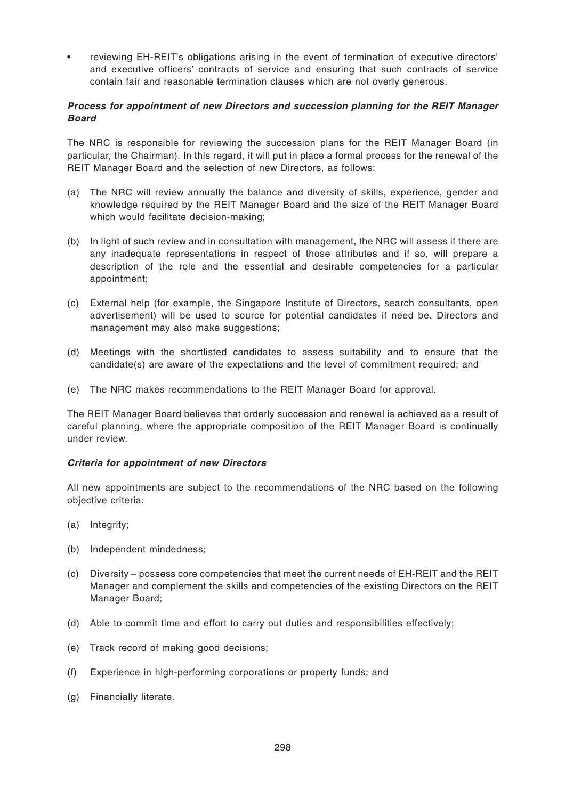• reviewing EH-REIT's obligations arising in the event of termination of executive directors' and executive officers' contracts of service and ensuring that such contracts of service contain fair and reasonable termination clauses which are not overly generous.

## **Process for appointment of new Directors and succession planning for the REIT Manager Board**

The NRC is responsible for reviewing the succession plans for the REIT Manager Board (in particular, the Chairman). In this regard, it will put in place a formal process for the renewal of the REIT Manager Board and the selection of new Directors, as follows:

- (a) The NRC will review annually the balance and diversity of skills, experience, gender and knowledge required by the REIT Manager Board and the size of the REIT Manager Board which would facilitate decision-making;
- (b) In light of such review and in consultation with management, the NRC will assess if there are any inadequate representations in respect of those attributes and if so, will prepare a description of the role and the essential and desirable competencies for a particular appointment;
- (c) External help (for example, the Singapore Institute of Directors, search consultants, open advertisement) will be used to source for potential candidates if need be. Directors and management may also make suggestions;
- (d) Meetings with the shortlisted candidates to assess suitability and to ensure that the candidate(s) are aware of the expectations and the level of commitment required; and
- (e) The NRC makes recommendations to the REIT Manager Board for approval.

The REIT Manager Board believes that orderly succession and renewal is achieved as a result of careful planning, where the appropriate composition of the REIT Manager Board is continually under review.

#### **Criteria for appointment of new Directors**

All new appointments are subject to the recommendations of the NRC based on the following objective criteria:

- (a) Integrity;
- (b) Independent mindedness;
- (c) Diversity possess core competencies that meet the current needs of EH-REIT and the REIT Manager and complement the skills and competencies of the existing Directors on the REIT Manager Board;
- (d) Able to commit time and effort to carry out duties and responsibilities effectively;
- (e) Track record of making good decisions;
- (f) Experience in high-performing corporations or property funds; and
- (g) Financially literate.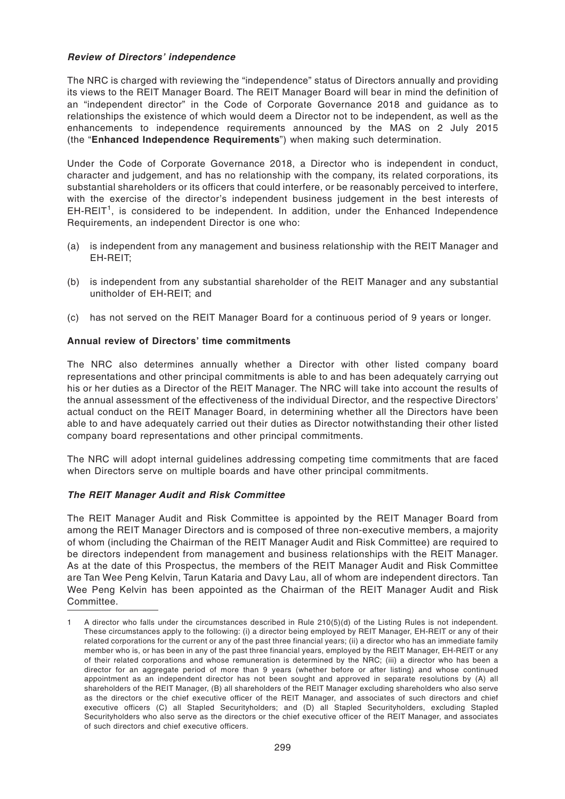## **Review of Directors' independence**

The NRC is charged with reviewing the "independence" status of Directors annually and providing its views to the REIT Manager Board. The REIT Manager Board will bear in mind the definition of an "independent director" in the Code of Corporate Governance 2018 and guidance as to relationships the existence of which would deem a Director not to be independent, as well as the enhancements to independence requirements announced by the MAS on 2 July 2015 (the "**Enhanced Independence Requirements**") when making such determination.

Under the Code of Corporate Governance 2018, a Director who is independent in conduct, character and judgement, and has no relationship with the company, its related corporations, its substantial shareholders or its officers that could interfere, or be reasonably perceived to interfere, with the exercise of the director's independent business judgement in the best interests of  $EH$ -REIT<sup>1</sup>, is considered to be independent. In addition, under the Enhanced Independence Requirements, an independent Director is one who:

- (a) is independent from any management and business relationship with the REIT Manager and EH-REIT;
- (b) is independent from any substantial shareholder of the REIT Manager and any substantial unitholder of EH-REIT; and
- (c) has not served on the REIT Manager Board for a continuous period of 9 years or longer.

# **Annual review of Directors' time commitments**

The NRC also determines annually whether a Director with other listed company board representations and other principal commitments is able to and has been adequately carrying out his or her duties as a Director of the REIT Manager. The NRC will take into account the results of the annual assessment of the effectiveness of the individual Director, and the respective Directors' actual conduct on the REIT Manager Board, in determining whether all the Directors have been able to and have adequately carried out their duties as Director notwithstanding their other listed company board representations and other principal commitments.

The NRC will adopt internal guidelines addressing competing time commitments that are faced when Directors serve on multiple boards and have other principal commitments.

#### **The REIT Manager Audit and Risk Committee**

The REIT Manager Audit and Risk Committee is appointed by the REIT Manager Board from among the REIT Manager Directors and is composed of three non-executive members, a majority of whom (including the Chairman of the REIT Manager Audit and Risk Committee) are required to be directors independent from management and business relationships with the REIT Manager. As at the date of this Prospectus, the members of the REIT Manager Audit and Risk Committee are Tan Wee Peng Kelvin, Tarun Kataria and Davy Lau, all of whom are independent directors. Tan Wee Peng Kelvin has been appointed as the Chairman of the REIT Manager Audit and Risk Committee.

<sup>1</sup> A director who falls under the circumstances described in Rule 210(5)(d) of the Listing Rules is not independent. These circumstances apply to the following: (i) a director being employed by REIT Manager, EH-REIT or any of their related corporations for the current or any of the past three financial years; (ii) a director who has an immediate family member who is, or has been in any of the past three financial years, employed by the REIT Manager, EH-REIT or any of their related corporations and whose remuneration is determined by the NRC; (iii) a director who has been a director for an aggregate period of more than 9 years (whether before or after listing) and whose continued appointment as an independent director has not been sought and approved in separate resolutions by (A) all shareholders of the REIT Manager, (B) all shareholders of the REIT Manager excluding shareholders who also serve as the directors or the chief executive officer of the REIT Manager, and associates of such directors and chief executive officers (C) all Stapled Securityholders; and (D) all Stapled Securityholders, excluding Stapled Securityholders who also serve as the directors or the chief executive officer of the REIT Manager, and associates of such directors and chief executive officers.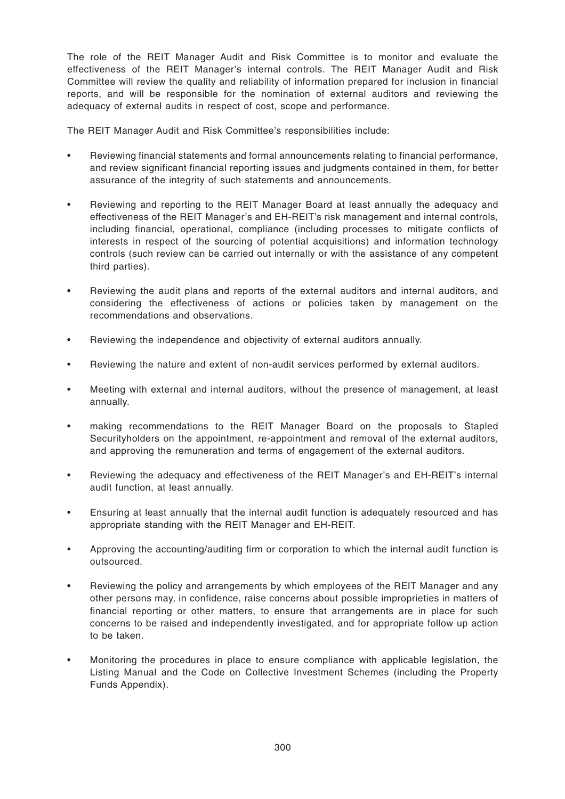The role of the REIT Manager Audit and Risk Committee is to monitor and evaluate the effectiveness of the REIT Manager's internal controls. The REIT Manager Audit and Risk Committee will review the quality and reliability of information prepared for inclusion in financial reports, and will be responsible for the nomination of external auditors and reviewing the adequacy of external audits in respect of cost, scope and performance.

The REIT Manager Audit and Risk Committee's responsibilities include:

- Reviewing financial statements and formal announcements relating to financial performance, and review significant financial reporting issues and judgments contained in them, for better assurance of the integrity of such statements and announcements.
- Reviewing and reporting to the REIT Manager Board at least annually the adequacy and effectiveness of the REIT Manager's and EH-REIT's risk management and internal controls, including financial, operational, compliance (including processes to mitigate conflicts of interests in respect of the sourcing of potential acquisitions) and information technology controls (such review can be carried out internally or with the assistance of any competent third parties).
- Reviewing the audit plans and reports of the external auditors and internal auditors, and considering the effectiveness of actions or policies taken by management on the recommendations and observations.
- Reviewing the independence and objectivity of external auditors annually.
- Reviewing the nature and extent of non-audit services performed by external auditors.
- Meeting with external and internal auditors, without the presence of management, at least annually.
- making recommendations to the REIT Manager Board on the proposals to Stapled Securityholders on the appointment, re-appointment and removal of the external auditors, and approving the remuneration and terms of engagement of the external auditors.
- Reviewing the adequacy and effectiveness of the REIT Manager's and EH-REIT's internal audit function, at least annually.
- Ensuring at least annually that the internal audit function is adequately resourced and has appropriate standing with the REIT Manager and EH-REIT.
- Approving the accounting/auditing firm or corporation to which the internal audit function is outsourced.
- Reviewing the policy and arrangements by which employees of the REIT Manager and any other persons may, in confidence, raise concerns about possible improprieties in matters of financial reporting or other matters, to ensure that arrangements are in place for such concerns to be raised and independently investigated, and for appropriate follow up action to be taken.
- Monitoring the procedures in place to ensure compliance with applicable legislation, the Listing Manual and the Code on Collective Investment Schemes (including the Property Funds Appendix).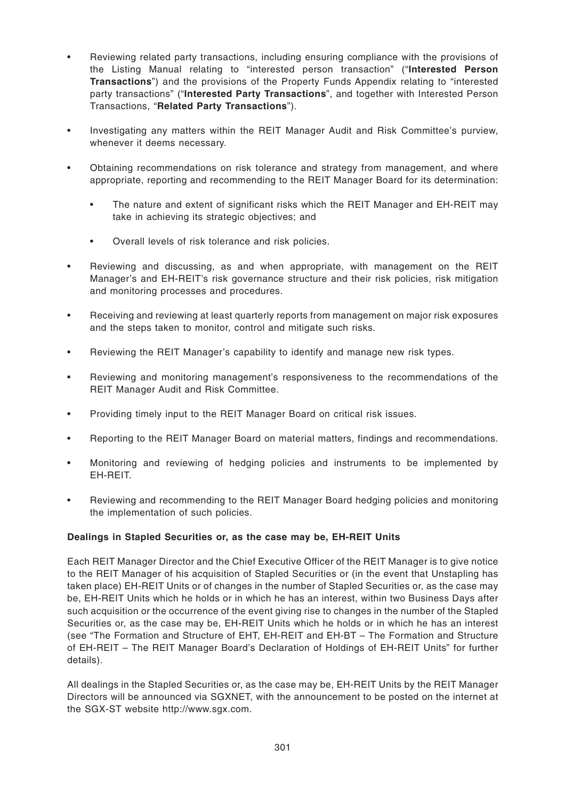- Reviewing related party transactions, including ensuring compliance with the provisions of the Listing Manual relating to "interested person transaction" ("**Interested Person Transactions**") and the provisions of the Property Funds Appendix relating to "interested party transactions" ("**Interested Party Transactions**", and together with Interested Person Transactions, "**Related Party Transactions**").
- Investigating any matters within the REIT Manager Audit and Risk Committee's purview, whenever it deems necessary.
- Obtaining recommendations on risk tolerance and strategy from management, and where appropriate, reporting and recommending to the REIT Manager Board for its determination:
	- The nature and extent of significant risks which the REIT Manager and EH-REIT may take in achieving its strategic objectives; and
	- Overall levels of risk tolerance and risk policies.
- Reviewing and discussing, as and when appropriate, with management on the REIT Manager's and EH-REIT's risk governance structure and their risk policies, risk mitigation and monitoring processes and procedures.
- Receiving and reviewing at least quarterly reports from management on major risk exposures and the steps taken to monitor, control and mitigate such risks.
- Reviewing the REIT Manager's capability to identify and manage new risk types.
- Reviewing and monitoring management's responsiveness to the recommendations of the REIT Manager Audit and Risk Committee.
- Providing timely input to the REIT Manager Board on critical risk issues.
- Reporting to the REIT Manager Board on material matters, findings and recommendations.
- Monitoring and reviewing of hedging policies and instruments to be implemented by EH-REIT.
- Reviewing and recommending to the REIT Manager Board hedging policies and monitoring the implementation of such policies.

#### **Dealings in Stapled Securities or, as the case may be, EH-REIT Units**

Each REIT Manager Director and the Chief Executive Officer of the REIT Manager is to give notice to the REIT Manager of his acquisition of Stapled Securities or (in the event that Unstapling has taken place) EH-REIT Units or of changes in the number of Stapled Securities or, as the case may be, EH-REIT Units which he holds or in which he has an interest, within two Business Days after such acquisition or the occurrence of the event giving rise to changes in the number of the Stapled Securities or, as the case may be, EH-REIT Units which he holds or in which he has an interest (see "The Formation and Structure of EHT, EH-REIT and EH-BT – The Formation and Structure of EH-REIT – The REIT Manager Board's Declaration of Holdings of EH-REIT Units" for further details).

All dealings in the Stapled Securities or, as the case may be, EH-REIT Units by the REIT Manager Directors will be announced via SGXNET, with the announcement to be posted on the internet at the SGX-ST website http://www.sgx.com.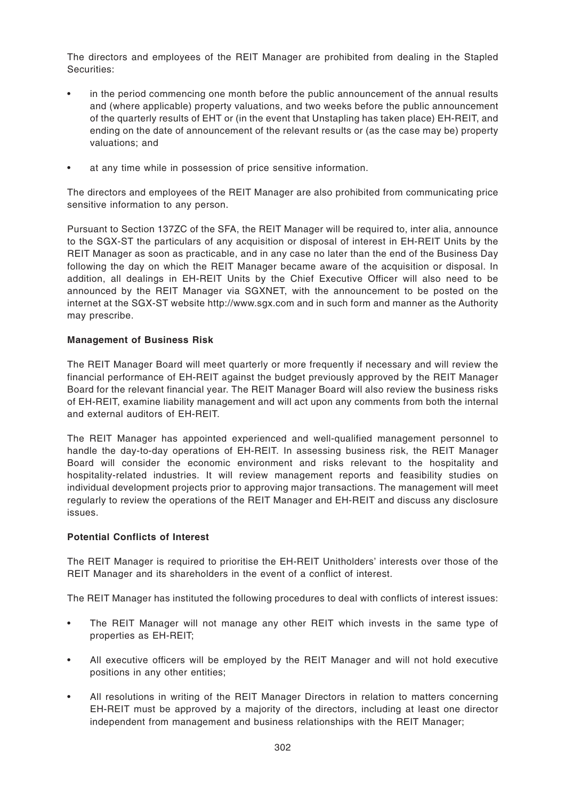The directors and employees of the REIT Manager are prohibited from dealing in the Stapled Securities:

- in the period commencing one month before the public announcement of the annual results and (where applicable) property valuations, and two weeks before the public announcement of the quarterly results of EHT or (in the event that Unstapling has taken place) EH-REIT, and ending on the date of announcement of the relevant results or (as the case may be) property valuations; and
- at any time while in possession of price sensitive information.

The directors and employees of the REIT Manager are also prohibited from communicating price sensitive information to any person.

Pursuant to Section 137ZC of the SFA, the REIT Manager will be required to, inter alia, announce to the SGX-ST the particulars of any acquisition or disposal of interest in EH-REIT Units by the REIT Manager as soon as practicable, and in any case no later than the end of the Business Day following the day on which the REIT Manager became aware of the acquisition or disposal. In addition, all dealings in EH-REIT Units by the Chief Executive Officer will also need to be announced by the REIT Manager via SGXNET, with the announcement to be posted on the internet at the SGX-ST website http://www.sgx.com and in such form and manner as the Authority may prescribe.

# **Management of Business Risk**

The REIT Manager Board will meet quarterly or more frequently if necessary and will review the financial performance of EH-REIT against the budget previously approved by the REIT Manager Board for the relevant financial year. The REIT Manager Board will also review the business risks of EH-REIT, examine liability management and will act upon any comments from both the internal and external auditors of EH-REIT.

The REIT Manager has appointed experienced and well-qualified management personnel to handle the day-to-day operations of EH-REIT. In assessing business risk, the REIT Manager Board will consider the economic environment and risks relevant to the hospitality and hospitality-related industries. It will review management reports and feasibility studies on individual development projects prior to approving major transactions. The management will meet regularly to review the operations of the REIT Manager and EH-REIT and discuss any disclosure issues.

#### **Potential Conflicts of Interest**

The REIT Manager is required to prioritise the EH-REIT Unitholders' interests over those of the REIT Manager and its shareholders in the event of a conflict of interest.

The REIT Manager has instituted the following procedures to deal with conflicts of interest issues:

- The REIT Manager will not manage any other REIT which invests in the same type of properties as EH-REIT;
- All executive officers will be employed by the REIT Manager and will not hold executive positions in any other entities;
- All resolutions in writing of the REIT Manager Directors in relation to matters concerning EH-REIT must be approved by a majority of the directors, including at least one director independent from management and business relationships with the REIT Manager;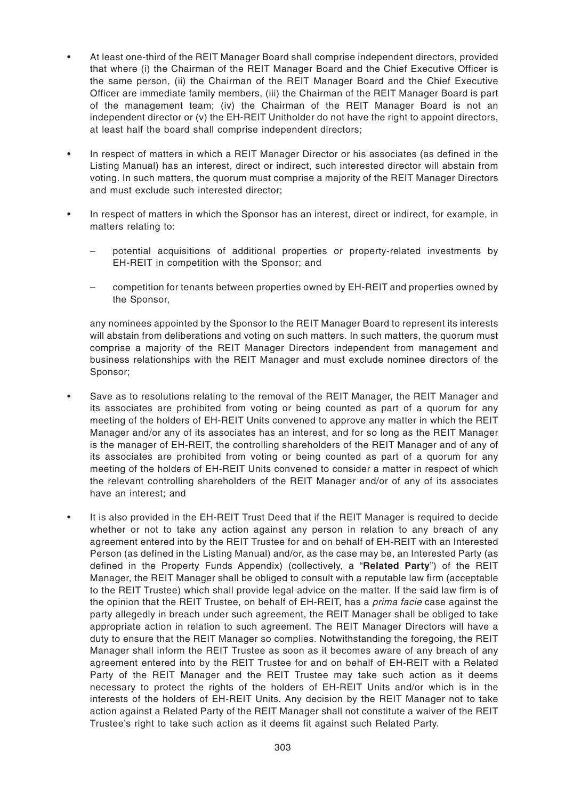- At least one-third of the REIT Manager Board shall comprise independent directors, provided that where (i) the Chairman of the REIT Manager Board and the Chief Executive Officer is the same person, (ii) the Chairman of the REIT Manager Board and the Chief Executive Officer are immediate family members, (iii) the Chairman of the REIT Manager Board is part of the management team; (iv) the Chairman of the REIT Manager Board is not an independent director or (v) the EH-REIT Unitholder do not have the right to appoint directors, at least half the board shall comprise independent directors;
- In respect of matters in which a REIT Manager Director or his associates (as defined in the Listing Manual) has an interest, direct or indirect, such interested director will abstain from voting. In such matters, the quorum must comprise a majority of the REIT Manager Directors and must exclude such interested director;
- In respect of matters in which the Sponsor has an interest, direct or indirect, for example, in matters relating to:
	- potential acquisitions of additional properties or property-related investments by EH-REIT in competition with the Sponsor; and
	- competition for tenants between properties owned by EH-REIT and properties owned by the Sponsor,

any nominees appointed by the Sponsor to the REIT Manager Board to represent its interests will abstain from deliberations and voting on such matters. In such matters, the quorum must comprise a majority of the REIT Manager Directors independent from management and business relationships with the REIT Manager and must exclude nominee directors of the Sponsor;

- Save as to resolutions relating to the removal of the REIT Manager, the REIT Manager and its associates are prohibited from voting or being counted as part of a quorum for any meeting of the holders of EH-REIT Units convened to approve any matter in which the REIT Manager and/or any of its associates has an interest, and for so long as the REIT Manager is the manager of EH-REIT, the controlling shareholders of the REIT Manager and of any of its associates are prohibited from voting or being counted as part of a quorum for any meeting of the holders of EH-REIT Units convened to consider a matter in respect of which the relevant controlling shareholders of the REIT Manager and/or of any of its associates have an interest; and
- It is also provided in the EH-REIT Trust Deed that if the REIT Manager is required to decide whether or not to take any action against any person in relation to any breach of any agreement entered into by the REIT Trustee for and on behalf of EH-REIT with an Interested Person (as defined in the Listing Manual) and/or, as the case may be, an Interested Party (as defined in the Property Funds Appendix) (collectively, a "**Related Party**") of the REIT Manager, the REIT Manager shall be obliged to consult with a reputable law firm (acceptable to the REIT Trustee) which shall provide legal advice on the matter. If the said law firm is of the opinion that the REIT Trustee, on behalf of EH-REIT, has a *prima facie* case against the party allegedly in breach under such agreement, the REIT Manager shall be obliged to take appropriate action in relation to such agreement. The REIT Manager Directors will have a duty to ensure that the REIT Manager so complies. Notwithstanding the foregoing, the REIT Manager shall inform the REIT Trustee as soon as it becomes aware of any breach of any agreement entered into by the REIT Trustee for and on behalf of EH-REIT with a Related Party of the REIT Manager and the REIT Trustee may take such action as it deems necessary to protect the rights of the holders of EH-REIT Units and/or which is in the interests of the holders of EH-REIT Units. Any decision by the REIT Manager not to take action against a Related Party of the REIT Manager shall not constitute a waiver of the REIT Trustee's right to take such action as it deems fit against such Related Party.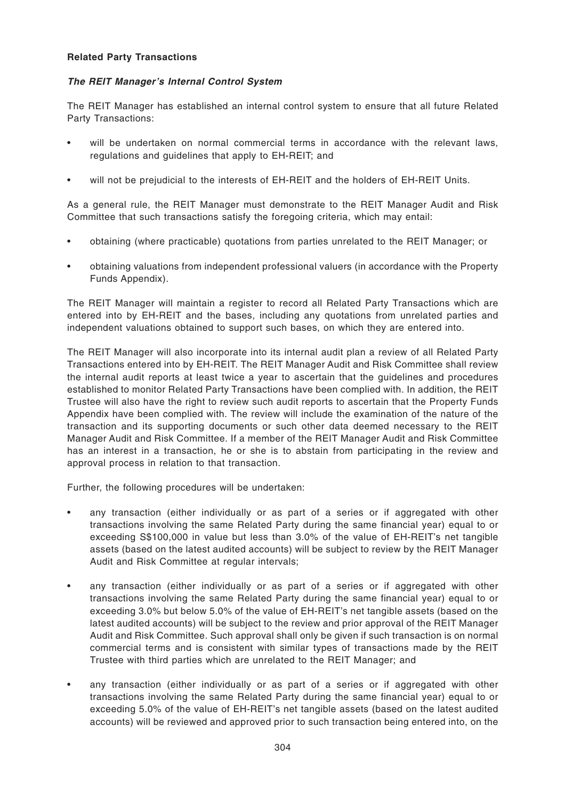#### **Related Party Transactions**

# **The REIT Manager's Internal Control System**

The REIT Manager has established an internal control system to ensure that all future Related Party Transactions:

- will be undertaken on normal commercial terms in accordance with the relevant laws, regulations and guidelines that apply to EH-REIT; and
- will not be prejudicial to the interests of EH-REIT and the holders of EH-REIT Units.

As a general rule, the REIT Manager must demonstrate to the REIT Manager Audit and Risk Committee that such transactions satisfy the foregoing criteria, which may entail:

- obtaining (where practicable) quotations from parties unrelated to the REIT Manager; or
- obtaining valuations from independent professional valuers (in accordance with the Property Funds Appendix).

The REIT Manager will maintain a register to record all Related Party Transactions which are entered into by EH-REIT and the bases, including any quotations from unrelated parties and independent valuations obtained to support such bases, on which they are entered into.

The REIT Manager will also incorporate into its internal audit plan a review of all Related Party Transactions entered into by EH-REIT. The REIT Manager Audit and Risk Committee shall review the internal audit reports at least twice a year to ascertain that the guidelines and procedures established to monitor Related Party Transactions have been complied with. In addition, the REIT Trustee will also have the right to review such audit reports to ascertain that the Property Funds Appendix have been complied with. The review will include the examination of the nature of the transaction and its supporting documents or such other data deemed necessary to the REIT Manager Audit and Risk Committee. If a member of the REIT Manager Audit and Risk Committee has an interest in a transaction, he or she is to abstain from participating in the review and approval process in relation to that transaction.

Further, the following procedures will be undertaken:

- any transaction (either individually or as part of a series or if aggregated with other transactions involving the same Related Party during the same financial year) equal to or exceeding S\$100,000 in value but less than 3.0% of the value of EH-REIT's net tangible assets (based on the latest audited accounts) will be subject to review by the REIT Manager Audit and Risk Committee at regular intervals;
- any transaction (either individually or as part of a series or if aggregated with other transactions involving the same Related Party during the same financial year) equal to or exceeding 3.0% but below 5.0% of the value of EH-REIT's net tangible assets (based on the latest audited accounts) will be subject to the review and prior approval of the REIT Manager Audit and Risk Committee. Such approval shall only be given if such transaction is on normal commercial terms and is consistent with similar types of transactions made by the REIT Trustee with third parties which are unrelated to the REIT Manager; and
- any transaction (either individually or as part of a series or if aggregated with other transactions involving the same Related Party during the same financial year) equal to or exceeding 5.0% of the value of EH-REIT's net tangible assets (based on the latest audited accounts) will be reviewed and approved prior to such transaction being entered into, on the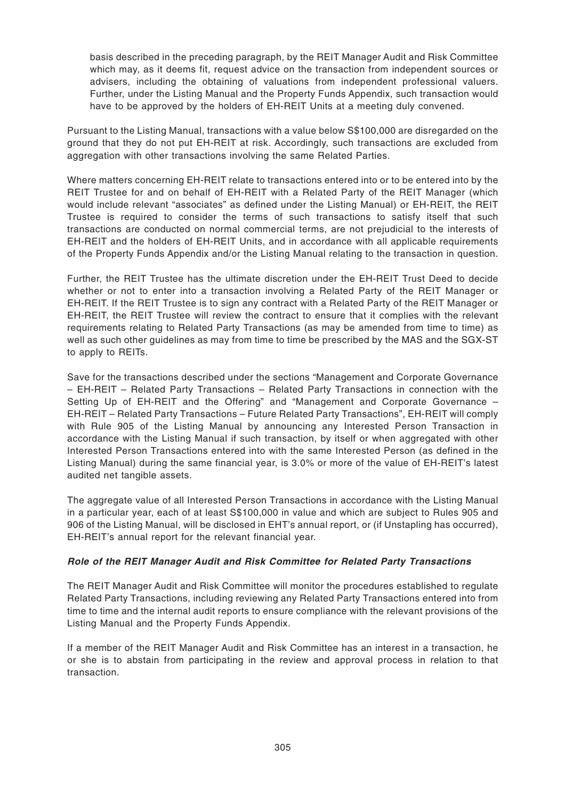basis described in the preceding paragraph, by the REIT Manager Audit and Risk Committee which may, as it deems fit, request advice on the transaction from independent sources or advisers, including the obtaining of valuations from independent professional valuers. Further, under the Listing Manual and the Property Funds Appendix, such transaction would have to be approved by the holders of EH-REIT Units at a meeting duly convened.

Pursuant to the Listing Manual, transactions with a value below S\$100,000 are disregarded on the ground that they do not put EH-REIT at risk. Accordingly, such transactions are excluded from aggregation with other transactions involving the same Related Parties.

Where matters concerning EH-REIT relate to transactions entered into or to be entered into by the REIT Trustee for and on behalf of EH-REIT with a Related Party of the REIT Manager (which would include relevant "associates" as defined under the Listing Manual) or EH-REIT, the REIT Trustee is required to consider the terms of such transactions to satisfy itself that such transactions are conducted on normal commercial terms, are not prejudicial to the interests of EH-REIT and the holders of EH-REIT Units, and in accordance with all applicable requirements of the Property Funds Appendix and/or the Listing Manual relating to the transaction in question.

Further, the REIT Trustee has the ultimate discretion under the EH-REIT Trust Deed to decide whether or not to enter into a transaction involving a Related Party of the REIT Manager or EH-REIT. If the REIT Trustee is to sign any contract with a Related Party of the REIT Manager or EH-REIT, the REIT Trustee will review the contract to ensure that it complies with the relevant requirements relating to Related Party Transactions (as may be amended from time to time) as well as such other guidelines as may from time to time be prescribed by the MAS and the SGX-ST to apply to REITs.

Save for the transactions described under the sections "Management and Corporate Governance – EH-REIT – Related Party Transactions – Related Party Transactions in connection with the Setting Up of EH-REIT and the Offering" and "Management and Corporate Governance – EH-REIT – Related Party Transactions – Future Related Party Transactions", EH-REIT will comply with Rule 905 of the Listing Manual by announcing any Interested Person Transaction in accordance with the Listing Manual if such transaction, by itself or when aggregated with other Interested Person Transactions entered into with the same Interested Person (as defined in the Listing Manual) during the same financial year, is 3.0% or more of the value of EH-REIT's latest audited net tangible assets.

The aggregate value of all Interested Person Transactions in accordance with the Listing Manual in a particular year, each of at least S\$100,000 in value and which are subject to Rules 905 and 906 of the Listing Manual, will be disclosed in EHT's annual report, or (if Unstapling has occurred), EH-REIT's annual report for the relevant financial year.

# **Role of the REIT Manager Audit and Risk Committee for Related Party Transactions**

The REIT Manager Audit and Risk Committee will monitor the procedures established to regulate Related Party Transactions, including reviewing any Related Party Transactions entered into from time to time and the internal audit reports to ensure compliance with the relevant provisions of the Listing Manual and the Property Funds Appendix.

If a member of the REIT Manager Audit and Risk Committee has an interest in a transaction, he or she is to abstain from participating in the review and approval process in relation to that transaction.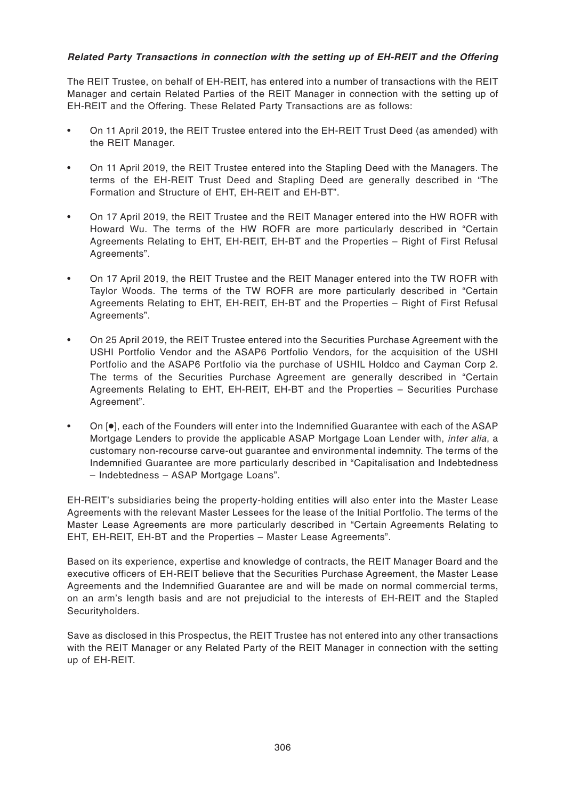# **Related Party Transactions in connection with the setting up of EH-REIT and the Offering**

The REIT Trustee, on behalf of EH-REIT, has entered into a number of transactions with the REIT Manager and certain Related Parties of the REIT Manager in connection with the setting up of EH-REIT and the Offering. These Related Party Transactions are as follows:

- On 11 April 2019, the REIT Trustee entered into the EH-REIT Trust Deed (as amended) with the REIT Manager.
- On 11 April 2019, the REIT Trustee entered into the Stapling Deed with the Managers. The terms of the EH-REIT Trust Deed and Stapling Deed are generally described in "The Formation and Structure of EHT, EH-REIT and EH-BT".
- On 17 April 2019, the REIT Trustee and the REIT Manager entered into the HW ROFR with Howard Wu. The terms of the HW ROFR are more particularly described in "Certain Agreements Relating to EHT, EH-REIT, EH-BT and the Properties – Right of First Refusal Agreements".
- On 17 April 2019, the REIT Trustee and the REIT Manager entered into the TW ROFR with Taylor Woods. The terms of the TW ROFR are more particularly described in "Certain Agreements Relating to EHT, EH-REIT, EH-BT and the Properties – Right of First Refusal Agreements".
- On 25 April 2019, the REIT Trustee entered into the Securities Purchase Agreement with the USHI Portfolio Vendor and the ASAP6 Portfolio Vendors, for the acquisition of the USHI Portfolio and the ASAP6 Portfolio via the purchase of USHIL Holdco and Cayman Corp 2. The terms of the Securities Purchase Agreement are generally described in "Certain Agreements Relating to EHT, EH-REIT, EH-BT and the Properties – Securities Purchase Agreement".
- On [●], each of the Founders will enter into the Indemnified Guarantee with each of the ASAP Mortgage Lenders to provide the applicable ASAP Mortgage Loan Lender with, *inter alia*, a customary non-recourse carve-out guarantee and environmental indemnity. The terms of the Indemnified Guarantee are more particularly described in "Capitalisation and Indebtedness – Indebtedness – ASAP Mortgage Loans".

EH-REIT's subsidiaries being the property-holding entities will also enter into the Master Lease Agreements with the relevant Master Lessees for the lease of the Initial Portfolio. The terms of the Master Lease Agreements are more particularly described in "Certain Agreements Relating to EHT, EH-REIT, EH-BT and the Properties – Master Lease Agreements".

Based on its experience, expertise and knowledge of contracts, the REIT Manager Board and the executive officers of EH-REIT believe that the Securities Purchase Agreement, the Master Lease Agreements and the Indemnified Guarantee are and will be made on normal commercial terms, on an arm's length basis and are not prejudicial to the interests of EH-REIT and the Stapled Securityholders.

Save as disclosed in this Prospectus, the REIT Trustee has not entered into any other transactions with the REIT Manager or any Related Party of the REIT Manager in connection with the setting up of EH-REIT.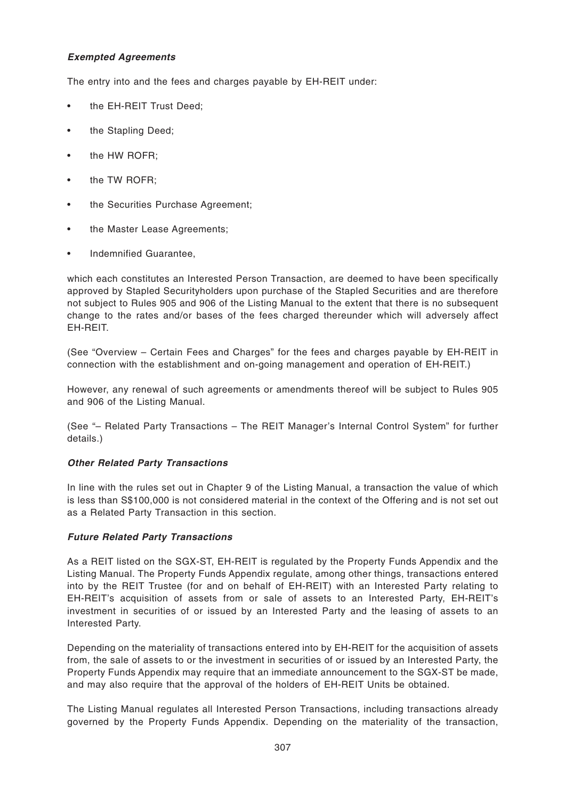# **Exempted Agreements**

The entry into and the fees and charges payable by EH-REIT under:

- the EH-REIT Trust Deed;
- the Stapling Deed:
- the HW ROFR;
- the TW ROFR;
- the Securities Purchase Agreement;
- the Master Lease Agreements;
- Indemnified Guarantee,

which each constitutes an Interested Person Transaction, are deemed to have been specifically approved by Stapled Securityholders upon purchase of the Stapled Securities and are therefore not subject to Rules 905 and 906 of the Listing Manual to the extent that there is no subsequent change to the rates and/or bases of the fees charged thereunder which will adversely affect EH-REIT.

(See "Overview – Certain Fees and Charges" for the fees and charges payable by EH-REIT in connection with the establishment and on-going management and operation of EH-REIT.)

However, any renewal of such agreements or amendments thereof will be subject to Rules 905 and 906 of the Listing Manual.

(See "– Related Party Transactions – The REIT Manager's Internal Control System" for further details.)

#### **Other Related Party Transactions**

In line with the rules set out in Chapter 9 of the Listing Manual, a transaction the value of which is less than S\$100,000 is not considered material in the context of the Offering and is not set out as a Related Party Transaction in this section.

#### **Future Related Party Transactions**

As a REIT listed on the SGX-ST, EH-REIT is regulated by the Property Funds Appendix and the Listing Manual. The Property Funds Appendix regulate, among other things, transactions entered into by the REIT Trustee (for and on behalf of EH-REIT) with an Interested Party relating to EH-REIT's acquisition of assets from or sale of assets to an Interested Party, EH-REIT's investment in securities of or issued by an Interested Party and the leasing of assets to an Interested Party.

Depending on the materiality of transactions entered into by EH-REIT for the acquisition of assets from, the sale of assets to or the investment in securities of or issued by an Interested Party, the Property Funds Appendix may require that an immediate announcement to the SGX-ST be made, and may also require that the approval of the holders of EH-REIT Units be obtained.

The Listing Manual regulates all Interested Person Transactions, including transactions already governed by the Property Funds Appendix. Depending on the materiality of the transaction,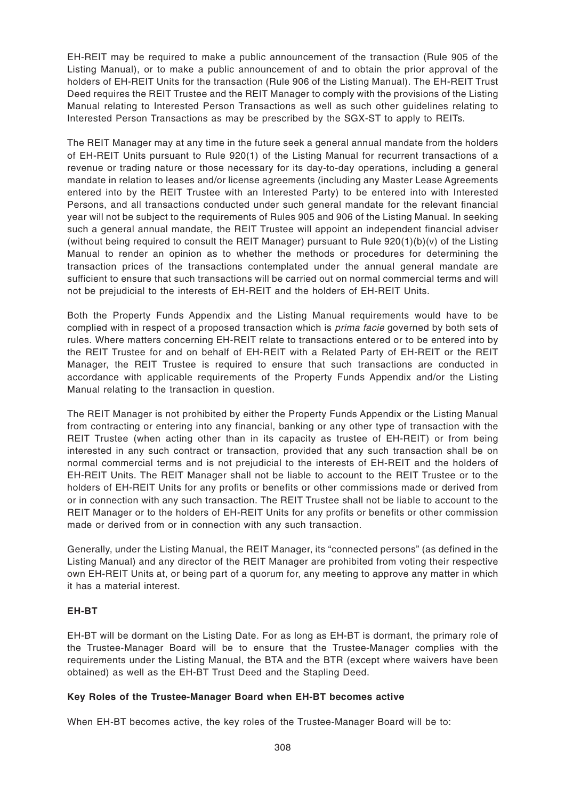EH-REIT may be required to make a public announcement of the transaction (Rule 905 of the Listing Manual), or to make a public announcement of and to obtain the prior approval of the holders of EH-REIT Units for the transaction (Rule 906 of the Listing Manual). The EH-REIT Trust Deed requires the REIT Trustee and the REIT Manager to comply with the provisions of the Listing Manual relating to Interested Person Transactions as well as such other guidelines relating to Interested Person Transactions as may be prescribed by the SGX-ST to apply to REITs.

The REIT Manager may at any time in the future seek a general annual mandate from the holders of EH-REIT Units pursuant to Rule 920(1) of the Listing Manual for recurrent transactions of a revenue or trading nature or those necessary for its day-to-day operations, including a general mandate in relation to leases and/or license agreements (including any Master Lease Agreements entered into by the REIT Trustee with an Interested Party) to be entered into with Interested Persons, and all transactions conducted under such general mandate for the relevant financial year will not be subject to the requirements of Rules 905 and 906 of the Listing Manual. In seeking such a general annual mandate, the REIT Trustee will appoint an independent financial adviser (without being required to consult the REIT Manager) pursuant to Rule 920(1)(b)(v) of the Listing Manual to render an opinion as to whether the methods or procedures for determining the transaction prices of the transactions contemplated under the annual general mandate are sufficient to ensure that such transactions will be carried out on normal commercial terms and will not be prejudicial to the interests of EH-REIT and the holders of EH-REIT Units.

Both the Property Funds Appendix and the Listing Manual requirements would have to be complied with in respect of a proposed transaction which is *prima facie* governed by both sets of rules. Where matters concerning EH-REIT relate to transactions entered or to be entered into by the REIT Trustee for and on behalf of EH-REIT with a Related Party of EH-REIT or the REIT Manager, the REIT Trustee is required to ensure that such transactions are conducted in accordance with applicable requirements of the Property Funds Appendix and/or the Listing Manual relating to the transaction in question.

The REIT Manager is not prohibited by either the Property Funds Appendix or the Listing Manual from contracting or entering into any financial, banking or any other type of transaction with the REIT Trustee (when acting other than in its capacity as trustee of EH-REIT) or from being interested in any such contract or transaction, provided that any such transaction shall be on normal commercial terms and is not prejudicial to the interests of EH-REIT and the holders of EH-REIT Units. The REIT Manager shall not be liable to account to the REIT Trustee or to the holders of EH-REIT Units for any profits or benefits or other commissions made or derived from or in connection with any such transaction. The REIT Trustee shall not be liable to account to the REIT Manager or to the holders of EH-REIT Units for any profits or benefits or other commission made or derived from or in connection with any such transaction.

Generally, under the Listing Manual, the REIT Manager, its "connected persons" (as defined in the Listing Manual) and any director of the REIT Manager are prohibited from voting their respective own EH-REIT Units at, or being part of a quorum for, any meeting to approve any matter in which it has a material interest.

# **EH-BT**

EH-BT will be dormant on the Listing Date. For as long as EH-BT is dormant, the primary role of the Trustee-Manager Board will be to ensure that the Trustee-Manager complies with the requirements under the Listing Manual, the BTA and the BTR (except where waivers have been obtained) as well as the EH-BT Trust Deed and the Stapling Deed.

# **Key Roles of the Trustee-Manager Board when EH-BT becomes active**

When EH-BT becomes active, the key roles of the Trustee-Manager Board will be to: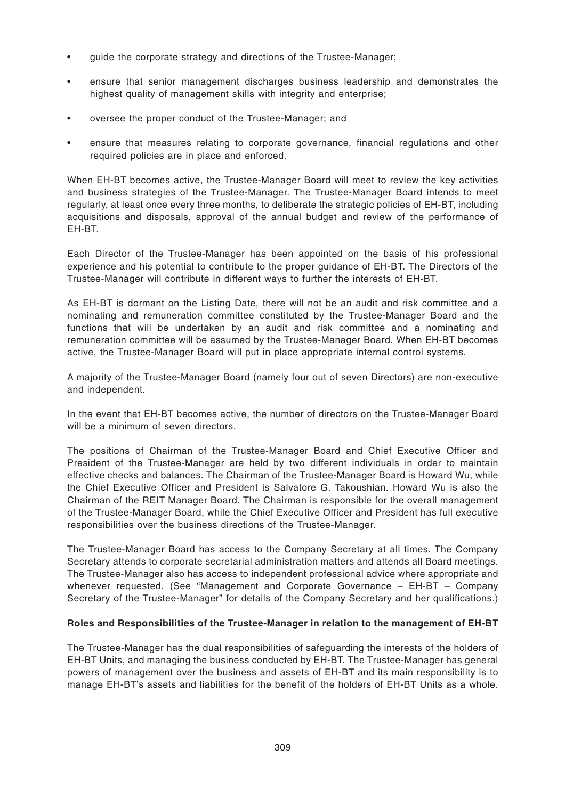- guide the corporate strategy and directions of the Trustee-Manager;
- ensure that senior management discharges business leadership and demonstrates the highest quality of management skills with integrity and enterprise;
- oversee the proper conduct of the Trustee-Manager; and
- ensure that measures relating to corporate governance, financial regulations and other required policies are in place and enforced.

When EH-BT becomes active, the Trustee-Manager Board will meet to review the key activities and business strategies of the Trustee-Manager. The Trustee-Manager Board intends to meet regularly, at least once every three months, to deliberate the strategic policies of EH-BT, including acquisitions and disposals, approval of the annual budget and review of the performance of EH-BT.

Each Director of the Trustee-Manager has been appointed on the basis of his professional experience and his potential to contribute to the proper guidance of EH-BT. The Directors of the Trustee-Manager will contribute in different ways to further the interests of EH-BT.

As EH-BT is dormant on the Listing Date, there will not be an audit and risk committee and a nominating and remuneration committee constituted by the Trustee-Manager Board and the functions that will be undertaken by an audit and risk committee and a nominating and remuneration committee will be assumed by the Trustee-Manager Board. When EH-BT becomes active, the Trustee-Manager Board will put in place appropriate internal control systems.

A majority of the Trustee-Manager Board (namely four out of seven Directors) are non-executive and independent.

In the event that EH-BT becomes active, the number of directors on the Trustee-Manager Board will be a minimum of seven directors.

The positions of Chairman of the Trustee-Manager Board and Chief Executive Officer and President of the Trustee-Manager are held by two different individuals in order to maintain effective checks and balances. The Chairman of the Trustee-Manager Board is Howard Wu, while the Chief Executive Officer and President is Salvatore G. Takoushian. Howard Wu is also the Chairman of the REIT Manager Board. The Chairman is responsible for the overall management of the Trustee-Manager Board, while the Chief Executive Officer and President has full executive responsibilities over the business directions of the Trustee-Manager.

The Trustee-Manager Board has access to the Company Secretary at all times. The Company Secretary attends to corporate secretarial administration matters and attends all Board meetings. The Trustee-Manager also has access to independent professional advice where appropriate and whenever requested. (See "Management and Corporate Governance – EH-BT – Company Secretary of the Trustee-Manager" for details of the Company Secretary and her qualifications.)

#### **Roles and Responsibilities of the Trustee-Manager in relation to the management of EH-BT**

The Trustee-Manager has the dual responsibilities of safeguarding the interests of the holders of EH-BT Units, and managing the business conducted by EH-BT. The Trustee-Manager has general powers of management over the business and assets of EH-BT and its main responsibility is to manage EH-BT's assets and liabilities for the benefit of the holders of EH-BT Units as a whole.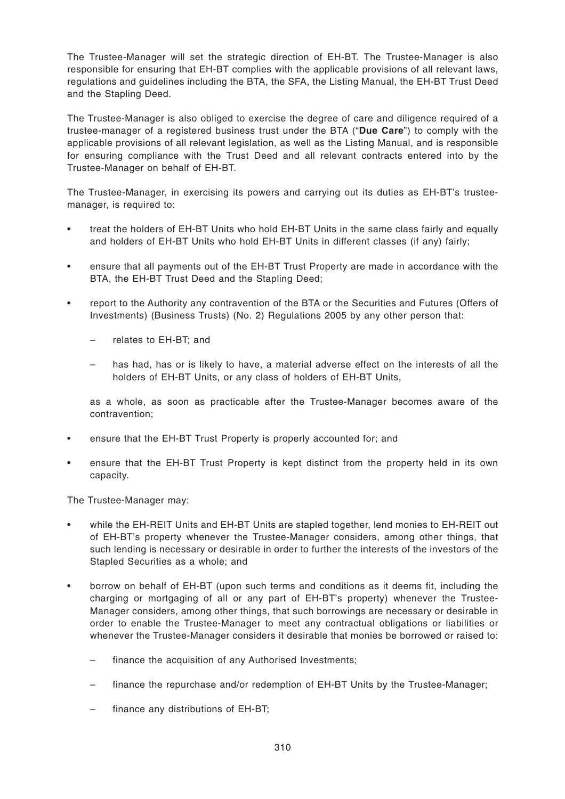The Trustee-Manager will set the strategic direction of EH-BT. The Trustee-Manager is also responsible for ensuring that EH-BT complies with the applicable provisions of all relevant laws, regulations and guidelines including the BTA, the SFA, the Listing Manual, the EH-BT Trust Deed and the Stapling Deed.

The Trustee-Manager is also obliged to exercise the degree of care and diligence required of a trustee-manager of a registered business trust under the BTA ("**Due Care**") to comply with the applicable provisions of all relevant legislation, as well as the Listing Manual, and is responsible for ensuring compliance with the Trust Deed and all relevant contracts entered into by the Trustee-Manager on behalf of EH-BT.

The Trustee-Manager, in exercising its powers and carrying out its duties as EH-BT's trusteemanager, is required to:

- treat the holders of EH-BT Units who hold EH-BT Units in the same class fairly and equally and holders of EH-BT Units who hold EH-BT Units in different classes (if any) fairly;
- ensure that all payments out of the EH-BT Trust Property are made in accordance with the BTA, the EH-BT Trust Deed and the Stapling Deed;
- report to the Authority any contravention of the BTA or the Securities and Futures (Offers of Investments) (Business Trusts) (No. 2) Regulations 2005 by any other person that:
	- relates to EH-BT; and
	- has had, has or is likely to have, a material adverse effect on the interests of all the holders of EH-BT Units, or any class of holders of EH-BT Units,

as a whole, as soon as practicable after the Trustee-Manager becomes aware of the contravention;

- ensure that the EH-BT Trust Property is properly accounted for; and
- ensure that the EH-BT Trust Property is kept distinct from the property held in its own capacity.

The Trustee-Manager may:

- while the EH-REIT Units and EH-BT Units are stapled together, lend monies to EH-REIT out of EH-BT's property whenever the Trustee-Manager considers, among other things, that such lending is necessary or desirable in order to further the interests of the investors of the Stapled Securities as a whole; and
- borrow on behalf of EH-BT (upon such terms and conditions as it deems fit, including the charging or mortgaging of all or any part of EH-BT's property) whenever the Trustee-Manager considers, among other things, that such borrowings are necessary or desirable in order to enable the Trustee-Manager to meet any contractual obligations or liabilities or whenever the Trustee-Manager considers it desirable that monies be borrowed or raised to:
	- finance the acquisition of any Authorised Investments;
	- finance the repurchase and/or redemption of EH-BT Units by the Trustee-Manager;
	- finance any distributions of EH-BT;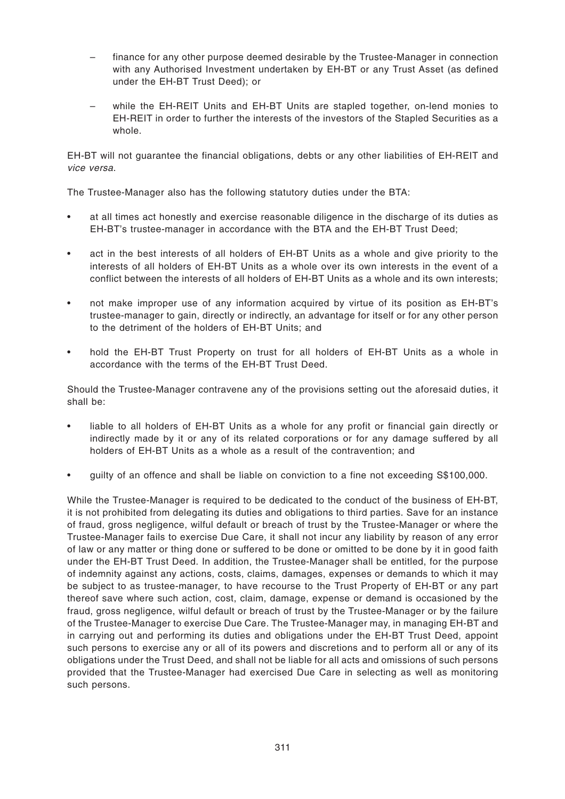- finance for any other purpose deemed desirable by the Trustee-Manager in connection with any Authorised Investment undertaken by EH-BT or any Trust Asset (as defined under the EH-BT Trust Deed); or
- while the EH-REIT Units and EH-BT Units are stapled together, on-lend monies to EH-REIT in order to further the interests of the investors of the Stapled Securities as a whole.

EH-BT will not guarantee the financial obligations, debts or any other liabilities of EH-REIT and vice versa.

The Trustee-Manager also has the following statutory duties under the BTA:

- at all times act honestly and exercise reasonable diligence in the discharge of its duties as EH-BT's trustee-manager in accordance with the BTA and the EH-BT Trust Deed;
- act in the best interests of all holders of EH-BT Units as a whole and give priority to the interests of all holders of EH-BT Units as a whole over its own interests in the event of a conflict between the interests of all holders of EH-BT Units as a whole and its own interests;
- not make improper use of any information acquired by virtue of its position as EH-BT's trustee-manager to gain, directly or indirectly, an advantage for itself or for any other person to the detriment of the holders of EH-BT Units; and
- hold the EH-BT Trust Property on trust for all holders of EH-BT Units as a whole in accordance with the terms of the EH-BT Trust Deed.

Should the Trustee-Manager contravene any of the provisions setting out the aforesaid duties, it shall be:

- liable to all holders of EH-BT Units as a whole for any profit or financial gain directly or indirectly made by it or any of its related corporations or for any damage suffered by all holders of EH-BT Units as a whole as a result of the contravention; and
- guilty of an offence and shall be liable on conviction to a fine not exceeding S\$100,000.

While the Trustee-Manager is required to be dedicated to the conduct of the business of EH-BT, it is not prohibited from delegating its duties and obligations to third parties. Save for an instance of fraud, gross negligence, wilful default or breach of trust by the Trustee-Manager or where the Trustee-Manager fails to exercise Due Care, it shall not incur any liability by reason of any error of law or any matter or thing done or suffered to be done or omitted to be done by it in good faith under the EH-BT Trust Deed. In addition, the Trustee-Manager shall be entitled, for the purpose of indemnity against any actions, costs, claims, damages, expenses or demands to which it may be subject to as trustee-manager, to have recourse to the Trust Property of EH-BT or any part thereof save where such action, cost, claim, damage, expense or demand is occasioned by the fraud, gross negligence, wilful default or breach of trust by the Trustee-Manager or by the failure of the Trustee-Manager to exercise Due Care. The Trustee-Manager may, in managing EH-BT and in carrying out and performing its duties and obligations under the EH-BT Trust Deed, appoint such persons to exercise any or all of its powers and discretions and to perform all or any of its obligations under the Trust Deed, and shall not be liable for all acts and omissions of such persons provided that the Trustee-Manager had exercised Due Care in selecting as well as monitoring such persons.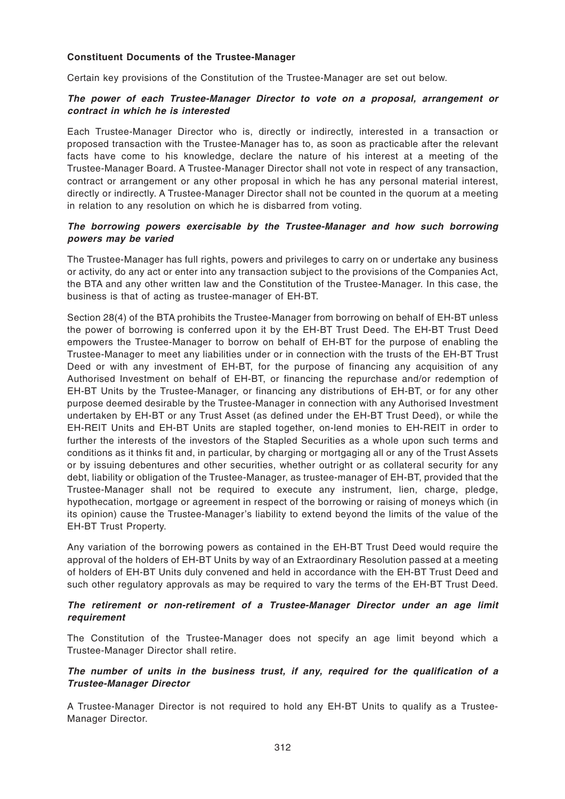#### **Constituent Documents of the Trustee-Manager**

Certain key provisions of the Constitution of the Trustee-Manager are set out below.

#### **The power of each Trustee-Manager Director to vote on a proposal, arrangement or contract in which he is interested**

Each Trustee-Manager Director who is, directly or indirectly, interested in a transaction or proposed transaction with the Trustee-Manager has to, as soon as practicable after the relevant facts have come to his knowledge, declare the nature of his interest at a meeting of the Trustee-Manager Board. A Trustee-Manager Director shall not vote in respect of any transaction, contract or arrangement or any other proposal in which he has any personal material interest, directly or indirectly. A Trustee-Manager Director shall not be counted in the quorum at a meeting in relation to any resolution on which he is disbarred from voting.

#### **The borrowing powers exercisable by the Trustee-Manager and how such borrowing powers may be varied**

The Trustee-Manager has full rights, powers and privileges to carry on or undertake any business or activity, do any act or enter into any transaction subject to the provisions of the Companies Act, the BTA and any other written law and the Constitution of the Trustee-Manager. In this case, the business is that of acting as trustee-manager of EH-BT.

Section 28(4) of the BTA prohibits the Trustee-Manager from borrowing on behalf of EH-BT unless the power of borrowing is conferred upon it by the EH-BT Trust Deed. The EH-BT Trust Deed empowers the Trustee-Manager to borrow on behalf of EH-BT for the purpose of enabling the Trustee-Manager to meet any liabilities under or in connection with the trusts of the EH-BT Trust Deed or with any investment of EH-BT, for the purpose of financing any acquisition of any Authorised Investment on behalf of EH-BT, or financing the repurchase and/or redemption of EH-BT Units by the Trustee-Manager, or financing any distributions of EH-BT, or for any other purpose deemed desirable by the Trustee-Manager in connection with any Authorised Investment undertaken by EH-BT or any Trust Asset (as defined under the EH-BT Trust Deed), or while the EH-REIT Units and EH-BT Units are stapled together, on-lend monies to EH-REIT in order to further the interests of the investors of the Stapled Securities as a whole upon such terms and conditions as it thinks fit and, in particular, by charging or mortgaging all or any of the Trust Assets or by issuing debentures and other securities, whether outright or as collateral security for any debt, liability or obligation of the Trustee-Manager, as trustee-manager of EH-BT, provided that the Trustee-Manager shall not be required to execute any instrument, lien, charge, pledge, hypothecation, mortgage or agreement in respect of the borrowing or raising of moneys which (in its opinion) cause the Trustee-Manager's liability to extend beyond the limits of the value of the EH-BT Trust Property.

Any variation of the borrowing powers as contained in the EH-BT Trust Deed would require the approval of the holders of EH-BT Units by way of an Extraordinary Resolution passed at a meeting of holders of EH-BT Units duly convened and held in accordance with the EH-BT Trust Deed and such other regulatory approvals as may be required to vary the terms of the EH-BT Trust Deed.

#### **The retirement or non-retirement of a Trustee-Manager Director under an age limit requirement**

The Constitution of the Trustee-Manager does not specify an age limit beyond which a Trustee-Manager Director shall retire.

#### **The number of units in the business trust, if any, required for the qualification of a Trustee-Manager Director**

A Trustee-Manager Director is not required to hold any EH-BT Units to qualify as a Trustee-Manager Director.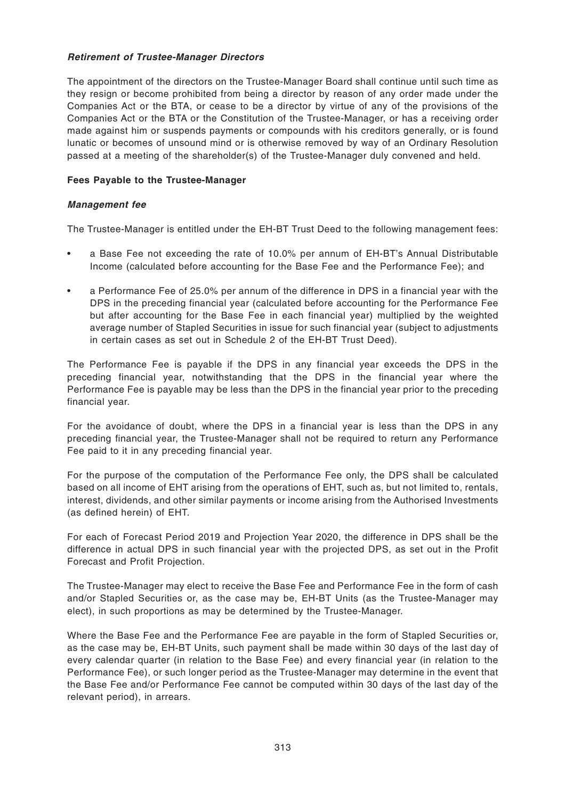### **Retirement of Trustee-Manager Directors**

The appointment of the directors on the Trustee-Manager Board shall continue until such time as they resign or become prohibited from being a director by reason of any order made under the Companies Act or the BTA, or cease to be a director by virtue of any of the provisions of the Companies Act or the BTA or the Constitution of the Trustee-Manager, or has a receiving order made against him or suspends payments or compounds with his creditors generally, or is found lunatic or becomes of unsound mind or is otherwise removed by way of an Ordinary Resolution passed at a meeting of the shareholder(s) of the Trustee-Manager duly convened and held.

# **Fees Payable to the Trustee-Manager**

# **Management fee**

The Trustee-Manager is entitled under the EH-BT Trust Deed to the following management fees:

- a Base Fee not exceeding the rate of 10.0% per annum of EH-BT's Annual Distributable Income (calculated before accounting for the Base Fee and the Performance Fee); and
- a Performance Fee of 25.0% per annum of the difference in DPS in a financial year with the DPS in the preceding financial year (calculated before accounting for the Performance Fee but after accounting for the Base Fee in each financial year) multiplied by the weighted average number of Stapled Securities in issue for such financial year (subject to adjustments in certain cases as set out in Schedule 2 of the EH-BT Trust Deed).

The Performance Fee is payable if the DPS in any financial year exceeds the DPS in the preceding financial year, notwithstanding that the DPS in the financial year where the Performance Fee is payable may be less than the DPS in the financial year prior to the preceding financial year.

For the avoidance of doubt, where the DPS in a financial year is less than the DPS in any preceding financial year, the Trustee-Manager shall not be required to return any Performance Fee paid to it in any preceding financial year.

For the purpose of the computation of the Performance Fee only, the DPS shall be calculated based on all income of EHT arising from the operations of EHT, such as, but not limited to, rentals, interest, dividends, and other similar payments or income arising from the Authorised Investments (as defined herein) of EHT.

For each of Forecast Period 2019 and Projection Year 2020, the difference in DPS shall be the difference in actual DPS in such financial year with the projected DPS, as set out in the Profit Forecast and Profit Projection.

The Trustee-Manager may elect to receive the Base Fee and Performance Fee in the form of cash and/or Stapled Securities or, as the case may be, EH-BT Units (as the Trustee-Manager may elect), in such proportions as may be determined by the Trustee-Manager.

Where the Base Fee and the Performance Fee are payable in the form of Stapled Securities or, as the case may be, EH-BT Units, such payment shall be made within 30 days of the last day of every calendar quarter (in relation to the Base Fee) and every financial year (in relation to the Performance Fee), or such longer period as the Trustee-Manager may determine in the event that the Base Fee and/or Performance Fee cannot be computed within 30 days of the last day of the relevant period), in arrears.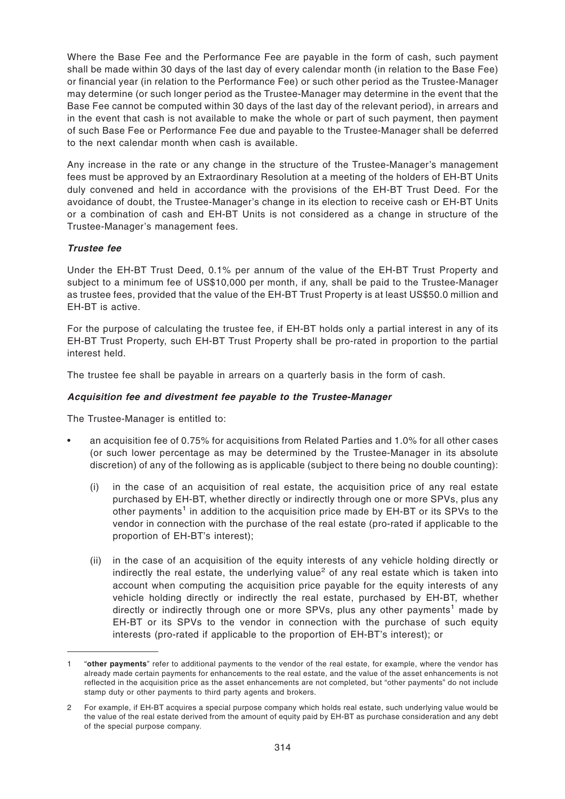Where the Base Fee and the Performance Fee are payable in the form of cash, such payment shall be made within 30 days of the last day of every calendar month (in relation to the Base Fee) or financial year (in relation to the Performance Fee) or such other period as the Trustee-Manager may determine (or such longer period as the Trustee-Manager may determine in the event that the Base Fee cannot be computed within 30 days of the last day of the relevant period), in arrears and in the event that cash is not available to make the whole or part of such payment, then payment of such Base Fee or Performance Fee due and payable to the Trustee-Manager shall be deferred to the next calendar month when cash is available.

Any increase in the rate or any change in the structure of the Trustee-Manager's management fees must be approved by an Extraordinary Resolution at a meeting of the holders of EH-BT Units duly convened and held in accordance with the provisions of the EH-BT Trust Deed. For the avoidance of doubt, the Trustee-Manager's change in its election to receive cash or EH-BT Units or a combination of cash and EH-BT Units is not considered as a change in structure of the Trustee-Manager's management fees.

# **Trustee fee**

Under the EH-BT Trust Deed, 0.1% per annum of the value of the EH-BT Trust Property and subject to a minimum fee of US\$10,000 per month, if any, shall be paid to the Trustee-Manager as trustee fees, provided that the value of the EH-BT Trust Property is at least US\$50.0 million and EH-BT is active.

For the purpose of calculating the trustee fee, if EH-BT holds only a partial interest in any of its EH-BT Trust Property, such EH-BT Trust Property shall be pro-rated in proportion to the partial interest held.

The trustee fee shall be payable in arrears on a quarterly basis in the form of cash.

# **Acquisition fee and divestment fee payable to the Trustee-Manager**

The Trustee-Manager is entitled to:

- an acquisition fee of 0.75% for acquisitions from Related Parties and 1.0% for all other cases (or such lower percentage as may be determined by the Trustee-Manager in its absolute discretion) of any of the following as is applicable (subject to there being no double counting):
	- (i) in the case of an acquisition of real estate, the acquisition price of any real estate purchased by EH-BT, whether directly or indirectly through one or more SPVs, plus any other payments<sup>1</sup> in addition to the acquisition price made by EH-BT or its SPVs to the vendor in connection with the purchase of the real estate (pro-rated if applicable to the proportion of EH-BT's interest);
	- (ii) in the case of an acquisition of the equity interests of any vehicle holding directly or indirectly the real estate, the underlying value<sup>2</sup> of any real estate which is taken into account when computing the acquisition price payable for the equity interests of any vehicle holding directly or indirectly the real estate, purchased by EH-BT, whether directly or indirectly through one or more SPVs, plus any other payments<sup>1</sup> made by EH-BT or its SPVs to the vendor in connection with the purchase of such equity interests (pro-rated if applicable to the proportion of EH-BT's interest); or

<sup>1 &</sup>quot;**other payments**" refer to additional payments to the vendor of the real estate, for example, where the vendor has already made certain payments for enhancements to the real estate, and the value of the asset enhancements is not reflected in the acquisition price as the asset enhancements are not completed, but "other payments" do not include stamp duty or other payments to third party agents and brokers.

<sup>2</sup> For example, if EH-BT acquires a special purpose company which holds real estate, such underlying value would be the value of the real estate derived from the amount of equity paid by EH-BT as purchase consideration and any debt of the special purpose company.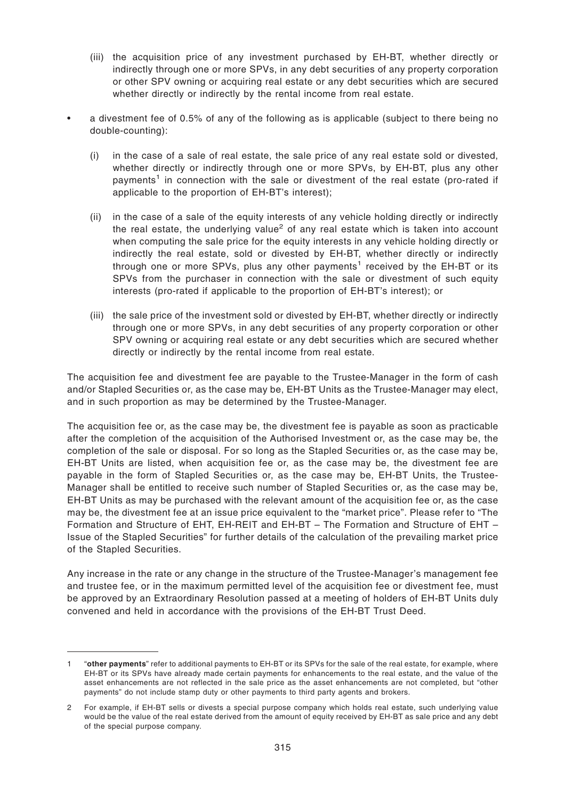- (iii) the acquisition price of any investment purchased by EH-BT, whether directly or indirectly through one or more SPVs, in any debt securities of any property corporation or other SPV owning or acquiring real estate or any debt securities which are secured whether directly or indirectly by the rental income from real estate.
- a divestment fee of 0.5% of any of the following as is applicable (subject to there being no double-counting):
	- (i) in the case of a sale of real estate, the sale price of any real estate sold or divested, whether directly or indirectly through one or more SPVs, by EH-BT, plus any other payments<sup>1</sup> in connection with the sale or divestment of the real estate (pro-rated if applicable to the proportion of EH-BT's interest);
	- (ii) in the case of a sale of the equity interests of any vehicle holding directly or indirectly the real estate, the underlying value<sup>2</sup> of any real estate which is taken into account when computing the sale price for the equity interests in any vehicle holding directly or indirectly the real estate, sold or divested by EH-BT, whether directly or indirectly through one or more SPVs, plus any other payments<sup>1</sup> received by the EH-BT or its SPVs from the purchaser in connection with the sale or divestment of such equity interests (pro-rated if applicable to the proportion of EH-BT's interest); or
	- (iii) the sale price of the investment sold or divested by EH-BT, whether directly or indirectly through one or more SPVs, in any debt securities of any property corporation or other SPV owning or acquiring real estate or any debt securities which are secured whether directly or indirectly by the rental income from real estate.

The acquisition fee and divestment fee are payable to the Trustee-Manager in the form of cash and/or Stapled Securities or, as the case may be, EH-BT Units as the Trustee-Manager may elect, and in such proportion as may be determined by the Trustee-Manager.

The acquisition fee or, as the case may be, the divestment fee is payable as soon as practicable after the completion of the acquisition of the Authorised Investment or, as the case may be, the completion of the sale or disposal. For so long as the Stapled Securities or, as the case may be, EH-BT Units are listed, when acquisition fee or, as the case may be, the divestment fee are payable in the form of Stapled Securities or, as the case may be, EH-BT Units, the Trustee-Manager shall be entitled to receive such number of Stapled Securities or, as the case may be, EH-BT Units as may be purchased with the relevant amount of the acquisition fee or, as the case may be, the divestment fee at an issue price equivalent to the "market price". Please refer to "The Formation and Structure of EHT, EH-REIT and EH-BT – The Formation and Structure of EHT – Issue of the Stapled Securities" for further details of the calculation of the prevailing market price of the Stapled Securities.

Any increase in the rate or any change in the structure of the Trustee-Manager's management fee and trustee fee, or in the maximum permitted level of the acquisition fee or divestment fee, must be approved by an Extraordinary Resolution passed at a meeting of holders of EH-BT Units duly convened and held in accordance with the provisions of the EH-BT Trust Deed.

<sup>1 &</sup>quot;**other payments**" refer to additional payments to EH-BT or its SPVs for the sale of the real estate, for example, where EH-BT or its SPVs have already made certain payments for enhancements to the real estate, and the value of the asset enhancements are not reflected in the sale price as the asset enhancements are not completed, but "other payments" do not include stamp duty or other payments to third party agents and brokers.

<sup>2</sup> For example, if EH-BT sells or divests a special purpose company which holds real estate, such underlying value would be the value of the real estate derived from the amount of equity received by EH-BT as sale price and any debt of the special purpose company.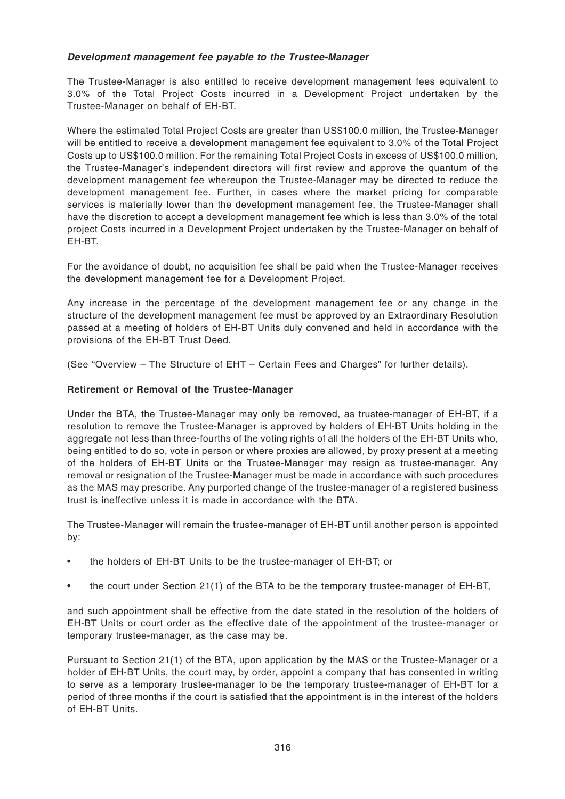### **Development management fee payable to the Trustee-Manager**

The Trustee-Manager is also entitled to receive development management fees equivalent to 3.0% of the Total Project Costs incurred in a Development Project undertaken by the Trustee-Manager on behalf of EH-BT.

Where the estimated Total Project Costs are greater than US\$100.0 million, the Trustee-Manager will be entitled to receive a development management fee equivalent to 3.0% of the Total Project Costs up to US\$100.0 million. For the remaining Total Project Costs in excess of US\$100.0 million, the Trustee-Manager's independent directors will first review and approve the quantum of the development management fee whereupon the Trustee-Manager may be directed to reduce the development management fee. Further, in cases where the market pricing for comparable services is materially lower than the development management fee, the Trustee-Manager shall have the discretion to accept a development management fee which is less than 3.0% of the total project Costs incurred in a Development Project undertaken by the Trustee-Manager on behalf of EH-BT.

For the avoidance of doubt, no acquisition fee shall be paid when the Trustee-Manager receives the development management fee for a Development Project.

Any increase in the percentage of the development management fee or any change in the structure of the development management fee must be approved by an Extraordinary Resolution passed at a meeting of holders of EH-BT Units duly convened and held in accordance with the provisions of the EH-BT Trust Deed.

(See "Overview – The Structure of EHT – Certain Fees and Charges" for further details).

# **Retirement or Removal of the Trustee-Manager**

Under the BTA, the Trustee-Manager may only be removed, as trustee-manager of EH-BT, if a resolution to remove the Trustee-Manager is approved by holders of EH-BT Units holding in the aggregate not less than three-fourths of the voting rights of all the holders of the EH-BT Units who, being entitled to do so, vote in person or where proxies are allowed, by proxy present at a meeting of the holders of EH-BT Units or the Trustee-Manager may resign as trustee-manager. Any removal or resignation of the Trustee-Manager must be made in accordance with such procedures as the MAS may prescribe. Any purported change of the trustee-manager of a registered business trust is ineffective unless it is made in accordance with the BTA.

The Trustee-Manager will remain the trustee-manager of EH-BT until another person is appointed by:

- the holders of EH-BT Units to be the trustee-manager of EH-BT; or
- the court under Section 21(1) of the BTA to be the temporary trustee-manager of EH-BT,

and such appointment shall be effective from the date stated in the resolution of the holders of EH-BT Units or court order as the effective date of the appointment of the trustee-manager or temporary trustee-manager, as the case may be.

Pursuant to Section 21(1) of the BTA, upon application by the MAS or the Trustee-Manager or a holder of EH-BT Units, the court may, by order, appoint a company that has consented in writing to serve as a temporary trustee-manager to be the temporary trustee-manager of EH-BT for a period of three months if the court is satisfied that the appointment is in the interest of the holders of EH-BT Units.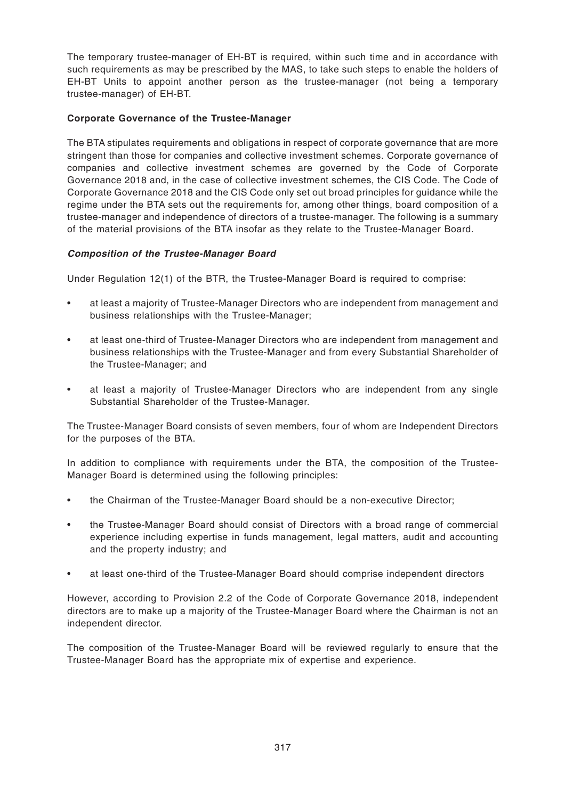The temporary trustee-manager of EH-BT is required, within such time and in accordance with such requirements as may be prescribed by the MAS, to take such steps to enable the holders of EH-BT Units to appoint another person as the trustee-manager (not being a temporary trustee-manager) of EH-BT.

# **Corporate Governance of the Trustee-Manager**

The BTA stipulates requirements and obligations in respect of corporate governance that are more stringent than those for companies and collective investment schemes. Corporate governance of companies and collective investment schemes are governed by the Code of Corporate Governance 2018 and, in the case of collective investment schemes, the CIS Code. The Code of Corporate Governance 2018 and the CIS Code only set out broad principles for guidance while the regime under the BTA sets out the requirements for, among other things, board composition of a trustee-manager and independence of directors of a trustee-manager. The following is a summary of the material provisions of the BTA insofar as they relate to the Trustee-Manager Board.

# **Composition of the Trustee-Manager Board**

Under Regulation 12(1) of the BTR, the Trustee-Manager Board is required to comprise:

- at least a majority of Trustee-Manager Directors who are independent from management and business relationships with the Trustee-Manager;
- at least one-third of Trustee-Manager Directors who are independent from management and business relationships with the Trustee-Manager and from every Substantial Shareholder of the Trustee-Manager; and
- at least a majority of Trustee-Manager Directors who are independent from any single Substantial Shareholder of the Trustee-Manager.

The Trustee-Manager Board consists of seven members, four of whom are Independent Directors for the purposes of the BTA.

In addition to compliance with requirements under the BTA, the composition of the Trustee-Manager Board is determined using the following principles:

- the Chairman of the Trustee-Manager Board should be a non-executive Director;
- the Trustee-Manager Board should consist of Directors with a broad range of commercial experience including expertise in funds management, legal matters, audit and accounting and the property industry; and
- at least one-third of the Trustee-Manager Board should comprise independent directors

However, according to Provision 2.2 of the Code of Corporate Governance 2018, independent directors are to make up a majority of the Trustee-Manager Board where the Chairman is not an independent director.

The composition of the Trustee-Manager Board will be reviewed regularly to ensure that the Trustee-Manager Board has the appropriate mix of expertise and experience.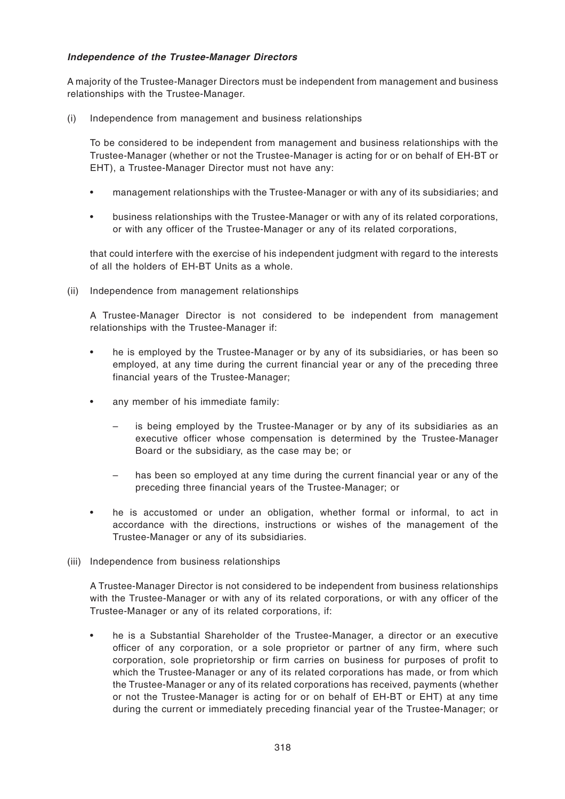## **Independence of the Trustee-Manager Directors**

A majority of the Trustee-Manager Directors must be independent from management and business relationships with the Trustee-Manager.

(i) Independence from management and business relationships

To be considered to be independent from management and business relationships with the Trustee-Manager (whether or not the Trustee-Manager is acting for or on behalf of EH-BT or EHT), a Trustee-Manager Director must not have any:

- management relationships with the Trustee-Manager or with any of its subsidiaries; and
- business relationships with the Trustee-Manager or with any of its related corporations, or with any officer of the Trustee-Manager or any of its related corporations,

that could interfere with the exercise of his independent judgment with regard to the interests of all the holders of EH-BT Units as a whole.

(ii) Independence from management relationships

A Trustee-Manager Director is not considered to be independent from management relationships with the Trustee-Manager if:

- he is employed by the Trustee-Manager or by any of its subsidiaries, or has been so employed, at any time during the current financial year or any of the preceding three financial years of the Trustee-Manager;
- any member of his immediate family:
	- is being employed by the Trustee-Manager or by any of its subsidiaries as an executive officer whose compensation is determined by the Trustee-Manager Board or the subsidiary, as the case may be; or
	- has been so employed at any time during the current financial year or any of the preceding three financial years of the Trustee-Manager; or
- he is accustomed or under an obligation, whether formal or informal, to act in accordance with the directions, instructions or wishes of the management of the Trustee-Manager or any of its subsidiaries.
- (iii) Independence from business relationships

A Trustee-Manager Director is not considered to be independent from business relationships with the Trustee-Manager or with any of its related corporations, or with any officer of the Trustee-Manager or any of its related corporations, if:

• he is a Substantial Shareholder of the Trustee-Manager, a director or an executive officer of any corporation, or a sole proprietor or partner of any firm, where such corporation, sole proprietorship or firm carries on business for purposes of profit to which the Trustee-Manager or any of its related corporations has made, or from which the Trustee-Manager or any of its related corporations has received, payments (whether or not the Trustee-Manager is acting for or on behalf of EH-BT or EHT) at any time during the current or immediately preceding financial year of the Trustee-Manager; or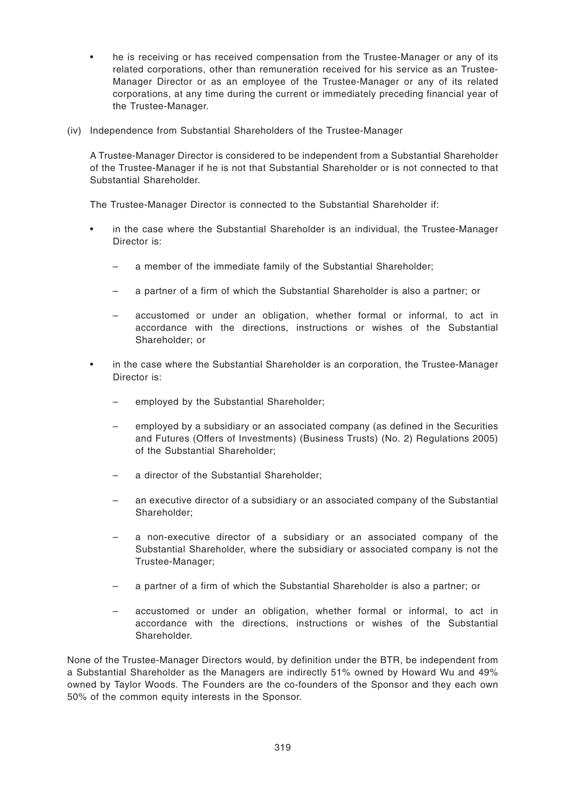- he is receiving or has received compensation from the Trustee-Manager or any of its related corporations, other than remuneration received for his service as an Trustee-Manager Director or as an employee of the Trustee-Manager or any of its related corporations, at any time during the current or immediately preceding financial year of the Trustee-Manager.
- (iv) Independence from Substantial Shareholders of the Trustee-Manager

A Trustee-Manager Director is considered to be independent from a Substantial Shareholder of the Trustee-Manager if he is not that Substantial Shareholder or is not connected to that Substantial Shareholder.

The Trustee-Manager Director is connected to the Substantial Shareholder if:

- in the case where the Substantial Shareholder is an individual, the Trustee-Manager Director is:
	- a member of the immediate family of the Substantial Shareholder;
	- a partner of a firm of which the Substantial Shareholder is also a partner; or
	- accustomed or under an obligation, whether formal or informal, to act in accordance with the directions, instructions or wishes of the Substantial Shareholder; or
- in the case where the Substantial Shareholder is an corporation, the Trustee-Manager Director is:
	- employed by the Substantial Shareholder;
	- employed by a subsidiary or an associated company (as defined in the Securities and Futures (Offers of Investments) (Business Trusts) (No. 2) Regulations 2005) of the Substantial Shareholder;
	- a director of the Substantial Shareholder;
	- an executive director of a subsidiary or an associated company of the Substantial Shareholder;
	- a non-executive director of a subsidiary or an associated company of the Substantial Shareholder, where the subsidiary or associated company is not the Trustee-Manager;
	- a partner of a firm of which the Substantial Shareholder is also a partner; or
	- accustomed or under an obligation, whether formal or informal, to act in accordance with the directions, instructions or wishes of the Substantial Shareholder.

None of the Trustee-Manager Directors would, by definition under the BTR, be independent from a Substantial Shareholder as the Managers are indirectly 51% owned by Howard Wu and 49% owned by Taylor Woods. The Founders are the co-founders of the Sponsor and they each own 50% of the common equity interests in the Sponsor.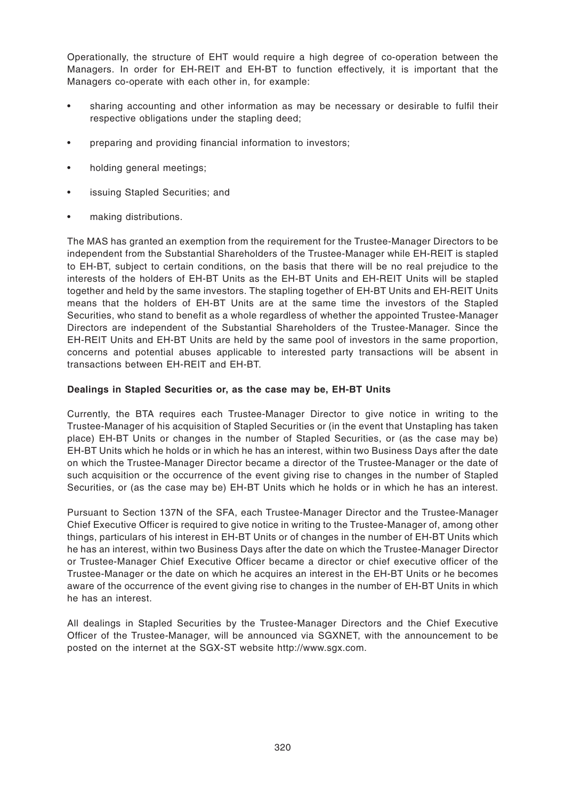Operationally, the structure of EHT would require a high degree of co-operation between the Managers. In order for EH-REIT and EH-BT to function effectively, it is important that the Managers co-operate with each other in, for example:

- sharing accounting and other information as may be necessary or desirable to fulfil their respective obligations under the stapling deed;
- preparing and providing financial information to investors;
- holding general meetings;
- issuing Stapled Securities; and
- making distributions.

The MAS has granted an exemption from the requirement for the Trustee-Manager Directors to be independent from the Substantial Shareholders of the Trustee-Manager while EH-REIT is stapled to EH-BT, subject to certain conditions, on the basis that there will be no real prejudice to the interests of the holders of EH-BT Units as the EH-BT Units and EH-REIT Units will be stapled together and held by the same investors. The stapling together of EH-BT Units and EH-REIT Units means that the holders of EH-BT Units are at the same time the investors of the Stapled Securities, who stand to benefit as a whole regardless of whether the appointed Trustee-Manager Directors are independent of the Substantial Shareholders of the Trustee-Manager. Since the EH-REIT Units and EH-BT Units are held by the same pool of investors in the same proportion, concerns and potential abuses applicable to interested party transactions will be absent in transactions between EH-REIT and EH-BT.

#### **Dealings in Stapled Securities or, as the case may be, EH-BT Units**

Currently, the BTA requires each Trustee-Manager Director to give notice in writing to the Trustee-Manager of his acquisition of Stapled Securities or (in the event that Unstapling has taken place) EH-BT Units or changes in the number of Stapled Securities, or (as the case may be) EH-BT Units which he holds or in which he has an interest, within two Business Days after the date on which the Trustee-Manager Director became a director of the Trustee-Manager or the date of such acquisition or the occurrence of the event giving rise to changes in the number of Stapled Securities, or (as the case may be) EH-BT Units which he holds or in which he has an interest.

Pursuant to Section 137N of the SFA, each Trustee-Manager Director and the Trustee-Manager Chief Executive Officer is required to give notice in writing to the Trustee-Manager of, among other things, particulars of his interest in EH-BT Units or of changes in the number of EH-BT Units which he has an interest, within two Business Days after the date on which the Trustee-Manager Director or Trustee-Manager Chief Executive Officer became a director or chief executive officer of the Trustee-Manager or the date on which he acquires an interest in the EH-BT Units or he becomes aware of the occurrence of the event giving rise to changes in the number of EH-BT Units in which he has an interest.

All dealings in Stapled Securities by the Trustee-Manager Directors and the Chief Executive Officer of the Trustee-Manager, will be announced via SGXNET, with the announcement to be posted on the internet at the SGX-ST website http://www.sgx.com.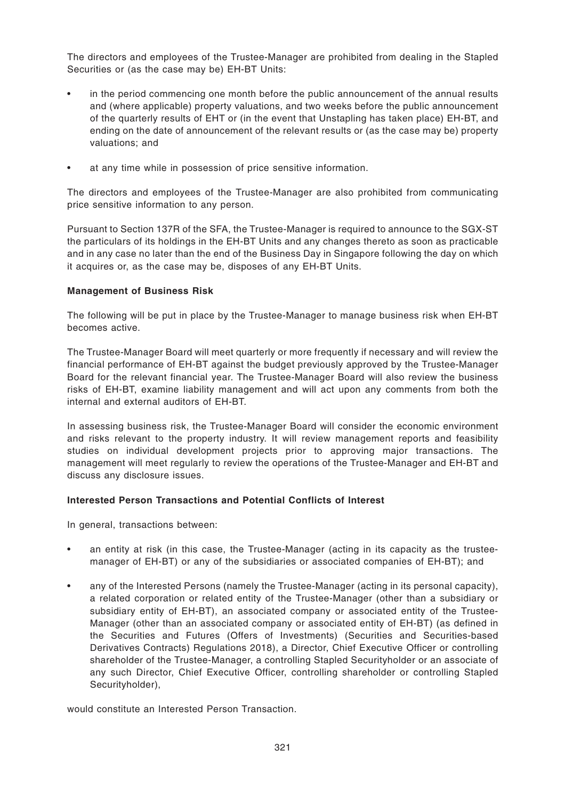The directors and employees of the Trustee-Manager are prohibited from dealing in the Stapled Securities or (as the case may be) EH-BT Units:

- in the period commencing one month before the public announcement of the annual results and (where applicable) property valuations, and two weeks before the public announcement of the quarterly results of EHT or (in the event that Unstapling has taken place) EH-BT, and ending on the date of announcement of the relevant results or (as the case may be) property valuations; and
- at any time while in possession of price sensitive information.

The directors and employees of the Trustee-Manager are also prohibited from communicating price sensitive information to any person.

Pursuant to Section 137R of the SFA, the Trustee-Manager is required to announce to the SGX-ST the particulars of its holdings in the EH-BT Units and any changes thereto as soon as practicable and in any case no later than the end of the Business Day in Singapore following the day on which it acquires or, as the case may be, disposes of any EH-BT Units.

# **Management of Business Risk**

The following will be put in place by the Trustee-Manager to manage business risk when EH-BT becomes active.

The Trustee-Manager Board will meet quarterly or more frequently if necessary and will review the financial performance of EH-BT against the budget previously approved by the Trustee-Manager Board for the relevant financial year. The Trustee-Manager Board will also review the business risks of EH-BT, examine liability management and will act upon any comments from both the internal and external auditors of EH-BT.

In assessing business risk, the Trustee-Manager Board will consider the economic environment and risks relevant to the property industry. It will review management reports and feasibility studies on individual development projects prior to approving major transactions. The management will meet regularly to review the operations of the Trustee-Manager and EH-BT and discuss any disclosure issues.

### **Interested Person Transactions and Potential Conflicts of Interest**

In general, transactions between:

- an entity at risk (in this case, the Trustee-Manager (acting in its capacity as the trusteemanager of EH-BT) or any of the subsidiaries or associated companies of EH-BT); and
- any of the Interested Persons (namely the Trustee-Manager (acting in its personal capacity), a related corporation or related entity of the Trustee-Manager (other than a subsidiary or subsidiary entity of EH-BT), an associated company or associated entity of the Trustee-Manager (other than an associated company or associated entity of EH-BT) (as defined in the Securities and Futures (Offers of Investments) (Securities and Securities-based Derivatives Contracts) Regulations 2018), a Director, Chief Executive Officer or controlling shareholder of the Trustee-Manager, a controlling Stapled Securityholder or an associate of any such Director, Chief Executive Officer, controlling shareholder or controlling Stapled Securityholder),

would constitute an Interested Person Transaction.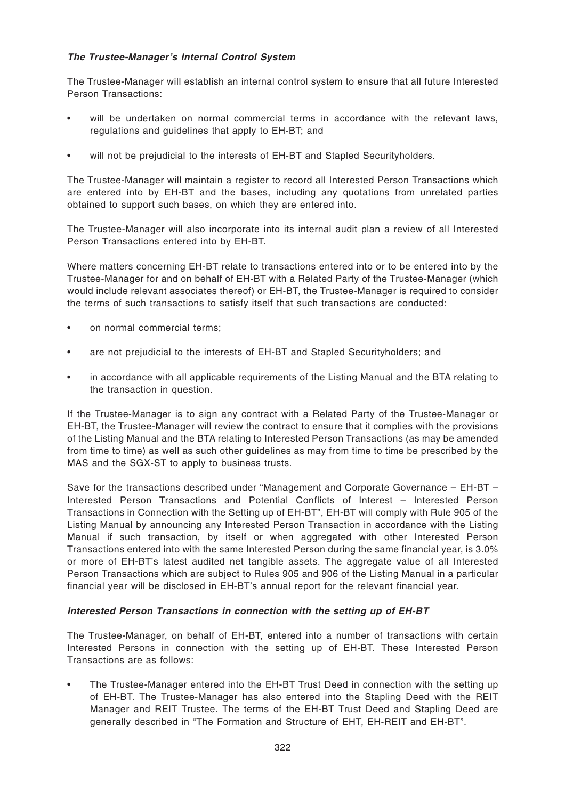# **The Trustee-Manager's Internal Control System**

The Trustee-Manager will establish an internal control system to ensure that all future Interested Person Transactions:

- will be undertaken on normal commercial terms in accordance with the relevant laws, regulations and guidelines that apply to EH-BT; and
- will not be prejudicial to the interests of EH-BT and Stapled Securityholders.

The Trustee-Manager will maintain a register to record all Interested Person Transactions which are entered into by EH-BT and the bases, including any quotations from unrelated parties obtained to support such bases, on which they are entered into.

The Trustee-Manager will also incorporate into its internal audit plan a review of all Interested Person Transactions entered into by EH-BT.

Where matters concerning EH-BT relate to transactions entered into or to be entered into by the Trustee-Manager for and on behalf of EH-BT with a Related Party of the Trustee-Manager (which would include relevant associates thereof) or EH-BT, the Trustee-Manager is required to consider the terms of such transactions to satisfy itself that such transactions are conducted:

- on normal commercial terms:
- are not prejudicial to the interests of EH-BT and Stapled Securityholders; and
- in accordance with all applicable requirements of the Listing Manual and the BTA relating to the transaction in question.

If the Trustee-Manager is to sign any contract with a Related Party of the Trustee-Manager or EH-BT, the Trustee-Manager will review the contract to ensure that it complies with the provisions of the Listing Manual and the BTA relating to Interested Person Transactions (as may be amended from time to time) as well as such other guidelines as may from time to time be prescribed by the MAS and the SGX-ST to apply to business trusts.

Save for the transactions described under "Management and Corporate Governance – EH-BT – Interested Person Transactions and Potential Conflicts of Interest – Interested Person Transactions in Connection with the Setting up of EH-BT", EH-BT will comply with Rule 905 of the Listing Manual by announcing any Interested Person Transaction in accordance with the Listing Manual if such transaction, by itself or when aggregated with other Interested Person Transactions entered into with the same Interested Person during the same financial year, is 3.0% or more of EH-BT's latest audited net tangible assets. The aggregate value of all Interested Person Transactions which are subject to Rules 905 and 906 of the Listing Manual in a particular financial year will be disclosed in EH-BT's annual report for the relevant financial year.

#### **Interested Person Transactions in connection with the setting up of EH-BT**

The Trustee-Manager, on behalf of EH-BT, entered into a number of transactions with certain Interested Persons in connection with the setting up of EH-BT. These Interested Person Transactions are as follows:

• The Trustee-Manager entered into the EH-BT Trust Deed in connection with the setting up of EH-BT. The Trustee-Manager has also entered into the Stapling Deed with the REIT Manager and REIT Trustee. The terms of the EH-BT Trust Deed and Stapling Deed are generally described in "The Formation and Structure of EHT, EH-REIT and EH-BT".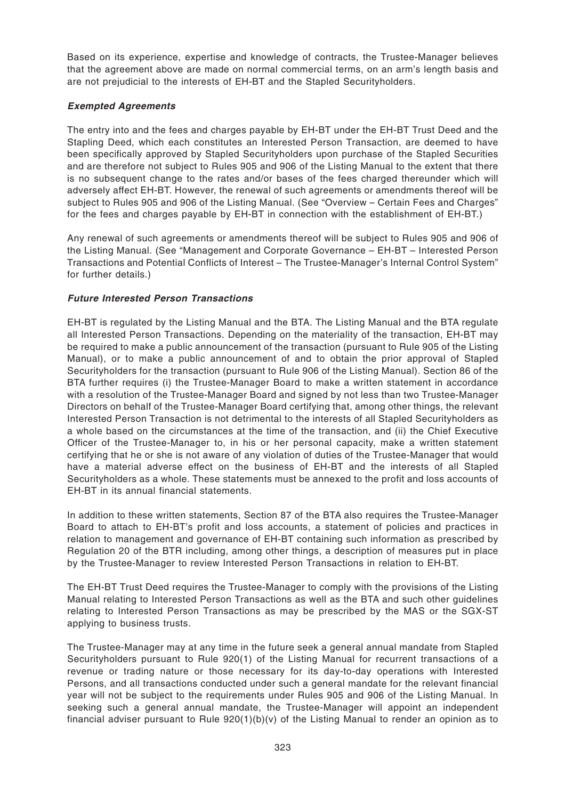Based on its experience, expertise and knowledge of contracts, the Trustee-Manager believes that the agreement above are made on normal commercial terms, on an arm's length basis and are not prejudicial to the interests of EH-BT and the Stapled Securityholders.

# **Exempted Agreements**

The entry into and the fees and charges payable by EH-BT under the EH-BT Trust Deed and the Stapling Deed, which each constitutes an Interested Person Transaction, are deemed to have been specifically approved by Stapled Securityholders upon purchase of the Stapled Securities and are therefore not subject to Rules 905 and 906 of the Listing Manual to the extent that there is no subsequent change to the rates and/or bases of the fees charged thereunder which will adversely affect EH-BT. However, the renewal of such agreements or amendments thereof will be subject to Rules 905 and 906 of the Listing Manual. (See "Overview – Certain Fees and Charges" for the fees and charges payable by EH-BT in connection with the establishment of EH-BT.)

Any renewal of such agreements or amendments thereof will be subject to Rules 905 and 906 of the Listing Manual. (See "Management and Corporate Governance – EH-BT – Interested Person Transactions and Potential Conflicts of Interest – The Trustee-Manager's Internal Control System" for further details.)

# **Future Interested Person Transactions**

EH-BT is regulated by the Listing Manual and the BTA. The Listing Manual and the BTA regulate all Interested Person Transactions. Depending on the materiality of the transaction, EH-BT may be required to make a public announcement of the transaction (pursuant to Rule 905 of the Listing Manual), or to make a public announcement of and to obtain the prior approval of Stapled Securityholders for the transaction (pursuant to Rule 906 of the Listing Manual). Section 86 of the BTA further requires (i) the Trustee-Manager Board to make a written statement in accordance with a resolution of the Trustee-Manager Board and signed by not less than two Trustee-Manager Directors on behalf of the Trustee-Manager Board certifying that, among other things, the relevant Interested Person Transaction is not detrimental to the interests of all Stapled Securityholders as a whole based on the circumstances at the time of the transaction, and (ii) the Chief Executive Officer of the Trustee-Manager to, in his or her personal capacity, make a written statement certifying that he or she is not aware of any violation of duties of the Trustee-Manager that would have a material adverse effect on the business of EH-BT and the interests of all Stapled Securityholders as a whole. These statements must be annexed to the profit and loss accounts of EH-BT in its annual financial statements.

In addition to these written statements, Section 87 of the BTA also requires the Trustee-Manager Board to attach to EH-BT's profit and loss accounts, a statement of policies and practices in relation to management and governance of EH-BT containing such information as prescribed by Regulation 20 of the BTR including, among other things, a description of measures put in place by the Trustee-Manager to review Interested Person Transactions in relation to EH-BT.

The EH-BT Trust Deed requires the Trustee-Manager to comply with the provisions of the Listing Manual relating to Interested Person Transactions as well as the BTA and such other guidelines relating to Interested Person Transactions as may be prescribed by the MAS or the SGX-ST applying to business trusts.

The Trustee-Manager may at any time in the future seek a general annual mandate from Stapled Securityholders pursuant to Rule 920(1) of the Listing Manual for recurrent transactions of a revenue or trading nature or those necessary for its day-to-day operations with Interested Persons, and all transactions conducted under such a general mandate for the relevant financial year will not be subject to the requirements under Rules 905 and 906 of the Listing Manual. In seeking such a general annual mandate, the Trustee-Manager will appoint an independent financial adviser pursuant to Rule  $920(1)(b)(v)$  of the Listing Manual to render an opinion as to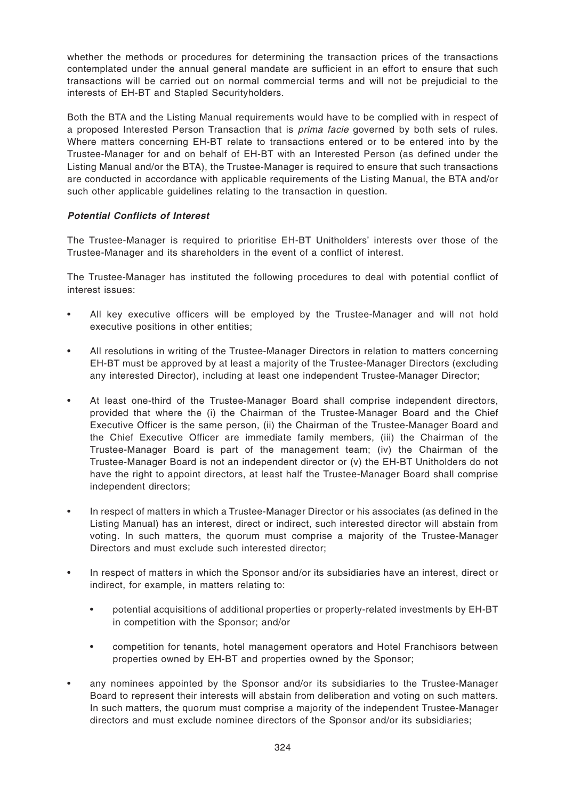whether the methods or procedures for determining the transaction prices of the transactions contemplated under the annual general mandate are sufficient in an effort to ensure that such transactions will be carried out on normal commercial terms and will not be prejudicial to the interests of EH-BT and Stapled Securityholders.

Both the BTA and the Listing Manual requirements would have to be complied with in respect of a proposed Interested Person Transaction that is *prima facie* governed by both sets of rules. Where matters concerning EH-BT relate to transactions entered or to be entered into by the Trustee-Manager for and on behalf of EH-BT with an Interested Person (as defined under the Listing Manual and/or the BTA), the Trustee-Manager is required to ensure that such transactions are conducted in accordance with applicable requirements of the Listing Manual, the BTA and/or such other applicable guidelines relating to the transaction in question.

# **Potential Conflicts of Interest**

The Trustee-Manager is required to prioritise EH-BT Unitholders' interests over those of the Trustee-Manager and its shareholders in the event of a conflict of interest.

The Trustee-Manager has instituted the following procedures to deal with potential conflict of interest issues:

- All key executive officers will be employed by the Trustee-Manager and will not hold executive positions in other entities;
- All resolutions in writing of the Trustee-Manager Directors in relation to matters concerning EH-BT must be approved by at least a majority of the Trustee-Manager Directors (excluding any interested Director), including at least one independent Trustee-Manager Director;
- At least one-third of the Trustee-Manager Board shall comprise independent directors, provided that where the (i) the Chairman of the Trustee-Manager Board and the Chief Executive Officer is the same person, (ii) the Chairman of the Trustee-Manager Board and the Chief Executive Officer are immediate family members, (iii) the Chairman of the Trustee-Manager Board is part of the management team; (iv) the Chairman of the Trustee-Manager Board is not an independent director or (v) the EH-BT Unitholders do not have the right to appoint directors, at least half the Trustee-Manager Board shall comprise independent directors;
- In respect of matters in which a Trustee-Manager Director or his associates (as defined in the Listing Manual) has an interest, direct or indirect, such interested director will abstain from voting. In such matters, the quorum must comprise a majority of the Trustee-Manager Directors and must exclude such interested director;
- In respect of matters in which the Sponsor and/or its subsidiaries have an interest, direct or indirect, for example, in matters relating to:
	- potential acquisitions of additional properties or property-related investments by EH-BT in competition with the Sponsor; and/or
	- competition for tenants, hotel management operators and Hotel Franchisors between properties owned by EH-BT and properties owned by the Sponsor;
- any nominees appointed by the Sponsor and/or its subsidiaries to the Trustee-Manager Board to represent their interests will abstain from deliberation and voting on such matters. In such matters, the quorum must comprise a majority of the independent Trustee-Manager directors and must exclude nominee directors of the Sponsor and/or its subsidiaries;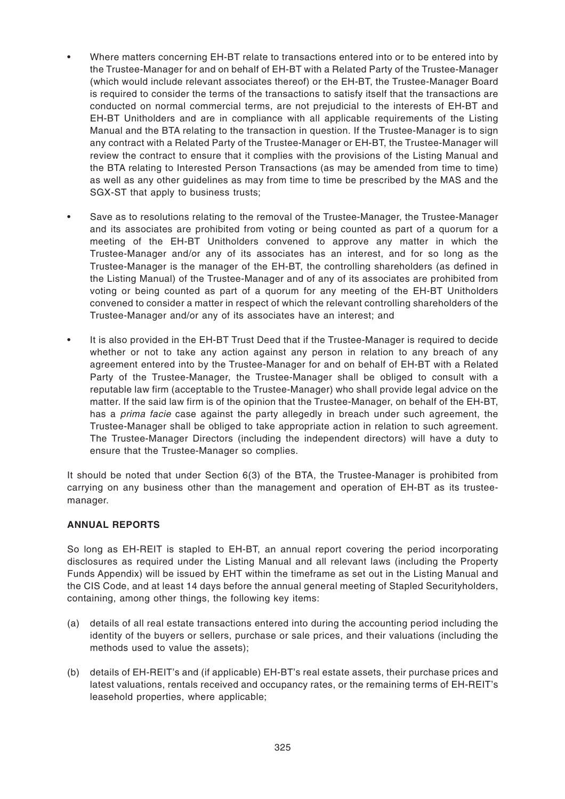- Where matters concerning EH-BT relate to transactions entered into or to be entered into by the Trustee-Manager for and on behalf of EH-BT with a Related Party of the Trustee-Manager (which would include relevant associates thereof) or the EH-BT, the Trustee-Manager Board is required to consider the terms of the transactions to satisfy itself that the transactions are conducted on normal commercial terms, are not prejudicial to the interests of EH-BT and EH-BT Unitholders and are in compliance with all applicable requirements of the Listing Manual and the BTA relating to the transaction in question. If the Trustee-Manager is to sign any contract with a Related Party of the Trustee-Manager or EH-BT, the Trustee-Manager will review the contract to ensure that it complies with the provisions of the Listing Manual and the BTA relating to Interested Person Transactions (as may be amended from time to time) as well as any other guidelines as may from time to time be prescribed by the MAS and the SGX-ST that apply to business trusts;
- Save as to resolutions relating to the removal of the Trustee-Manager, the Trustee-Manager and its associates are prohibited from voting or being counted as part of a quorum for a meeting of the EH-BT Unitholders convened to approve any matter in which the Trustee-Manager and/or any of its associates has an interest, and for so long as the Trustee-Manager is the manager of the EH-BT, the controlling shareholders (as defined in the Listing Manual) of the Trustee-Manager and of any of its associates are prohibited from voting or being counted as part of a quorum for any meeting of the EH-BT Unitholders convened to consider a matter in respect of which the relevant controlling shareholders of the Trustee-Manager and/or any of its associates have an interest; and
- It is also provided in the EH-BT Trust Deed that if the Trustee-Manager is required to decide whether or not to take any action against any person in relation to any breach of any agreement entered into by the Trustee-Manager for and on behalf of EH-BT with a Related Party of the Trustee-Manager, the Trustee-Manager shall be obliged to consult with a reputable law firm (acceptable to the Trustee-Manager) who shall provide legal advice on the matter. If the said law firm is of the opinion that the Trustee-Manager, on behalf of the EH-BT, has a *prima facie* case against the party allegedly in breach under such agreement, the Trustee-Manager shall be obliged to take appropriate action in relation to such agreement. The Trustee-Manager Directors (including the independent directors) will have a duty to ensure that the Trustee-Manager so complies.

It should be noted that under Section 6(3) of the BTA, the Trustee-Manager is prohibited from carrying on any business other than the management and operation of EH-BT as its trusteemanager.

#### **ANNUAL REPORTS**

So long as EH-REIT is stapled to EH-BT, an annual report covering the period incorporating disclosures as required under the Listing Manual and all relevant laws (including the Property Funds Appendix) will be issued by EHT within the timeframe as set out in the Listing Manual and the CIS Code, and at least 14 days before the annual general meeting of Stapled Securityholders, containing, among other things, the following key items:

- (a) details of all real estate transactions entered into during the accounting period including the identity of the buyers or sellers, purchase or sale prices, and their valuations (including the methods used to value the assets);
- (b) details of EH-REIT's and (if applicable) EH-BT's real estate assets, their purchase prices and latest valuations, rentals received and occupancy rates, or the remaining terms of EH-REIT's leasehold properties, where applicable;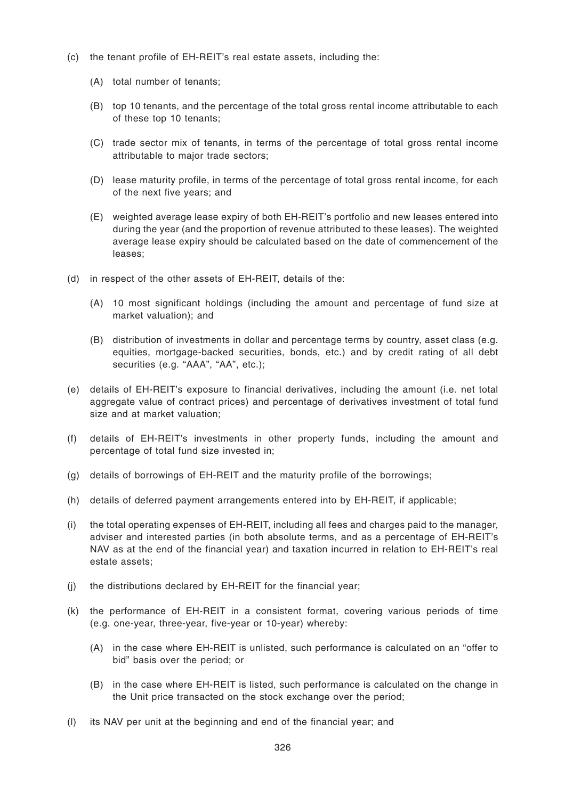- (c) the tenant profile of EH-REIT's real estate assets, including the:
	- (A) total number of tenants;
	- (B) top 10 tenants, and the percentage of the total gross rental income attributable to each of these top 10 tenants;
	- (C) trade sector mix of tenants, in terms of the percentage of total gross rental income attributable to major trade sectors;
	- (D) lease maturity profile, in terms of the percentage of total gross rental income, for each of the next five years; and
	- (E) weighted average lease expiry of both EH-REIT's portfolio and new leases entered into during the year (and the proportion of revenue attributed to these leases). The weighted average lease expiry should be calculated based on the date of commencement of the leases;
- (d) in respect of the other assets of EH-REIT, details of the:
	- (A) 10 most significant holdings (including the amount and percentage of fund size at market valuation); and
	- (B) distribution of investments in dollar and percentage terms by country, asset class (e.g. equities, mortgage-backed securities, bonds, etc.) and by credit rating of all debt securities (e.g. "AAA", "AA", etc.);
- (e) details of EH-REIT's exposure to financial derivatives, including the amount (i.e. net total aggregate value of contract prices) and percentage of derivatives investment of total fund size and at market valuation;
- (f) details of EH-REIT's investments in other property funds, including the amount and percentage of total fund size invested in;
- (g) details of borrowings of EH-REIT and the maturity profile of the borrowings;
- (h) details of deferred payment arrangements entered into by EH-REIT, if applicable;
- (i) the total operating expenses of EH-REIT, including all fees and charges paid to the manager, adviser and interested parties (in both absolute terms, and as a percentage of EH-REIT's NAV as at the end of the financial year) and taxation incurred in relation to EH-REIT's real estate assets;
- (j) the distributions declared by EH-REIT for the financial year;
- (k) the performance of EH-REIT in a consistent format, covering various periods of time (e.g. one-year, three-year, five-year or 10-year) whereby:
	- (A) in the case where EH-REIT is unlisted, such performance is calculated on an "offer to bid" basis over the period; or
	- (B) in the case where EH-REIT is listed, such performance is calculated on the change in the Unit price transacted on the stock exchange over the period;
- (l) its NAV per unit at the beginning and end of the financial year; and